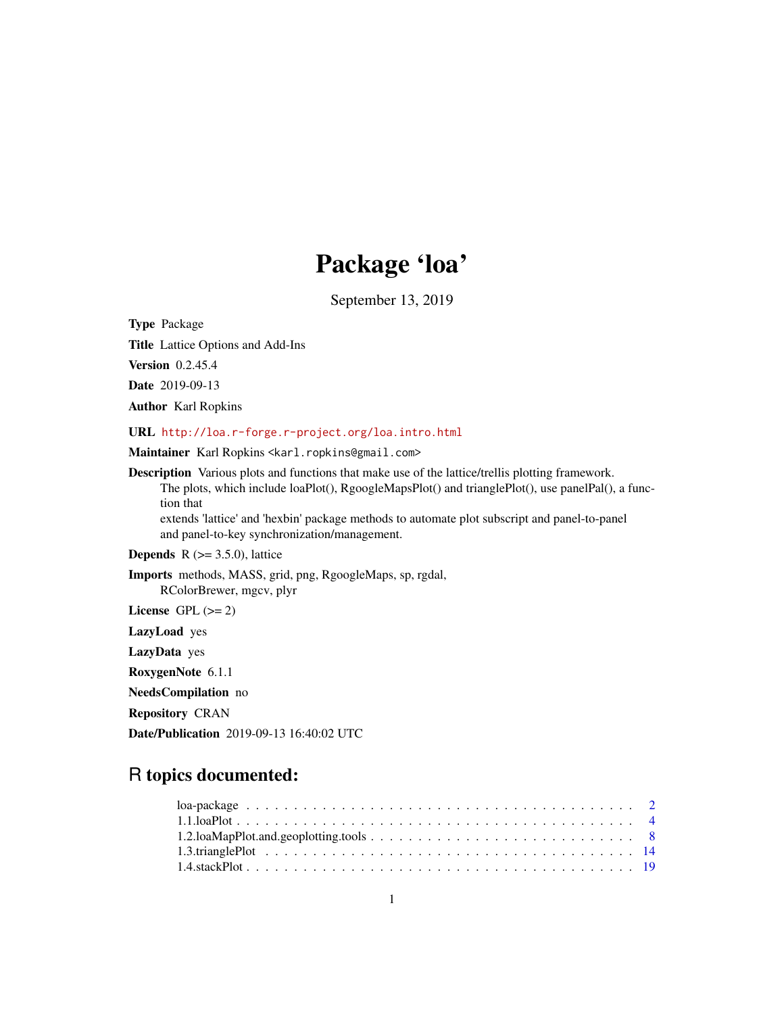# Package 'loa'

September 13, 2019

<span id="page-0-0"></span>Type Package

Title Lattice Options and Add-Ins

Version 0.2.45.4

Date 2019-09-13

Author Karl Ropkins

URL <http://loa.r-forge.r-project.org/loa.intro.html>

Maintainer Karl Ropkins <karl.ropkins@gmail.com>

Description Various plots and functions that make use of the lattice/trellis plotting framework. The plots, which include loaPlot(), RgoogleMapsPlot() and trianglePlot(), use panelPal(), a function that

extends 'lattice' and 'hexbin' package methods to automate plot subscript and panel-to-panel and panel-to-key synchronization/management.

**Depends** R  $(>= 3.5.0)$ , lattice

Imports methods, MASS, grid, png, RgoogleMaps, sp, rgdal, RColorBrewer, mgcv, plyr

License GPL  $(>= 2)$ 

LazyLoad yes

LazyData yes

RoxygenNote 6.1.1

NeedsCompilation no

Repository CRAN

Date/Publication 2019-09-13 16:40:02 UTC

## R topics documented: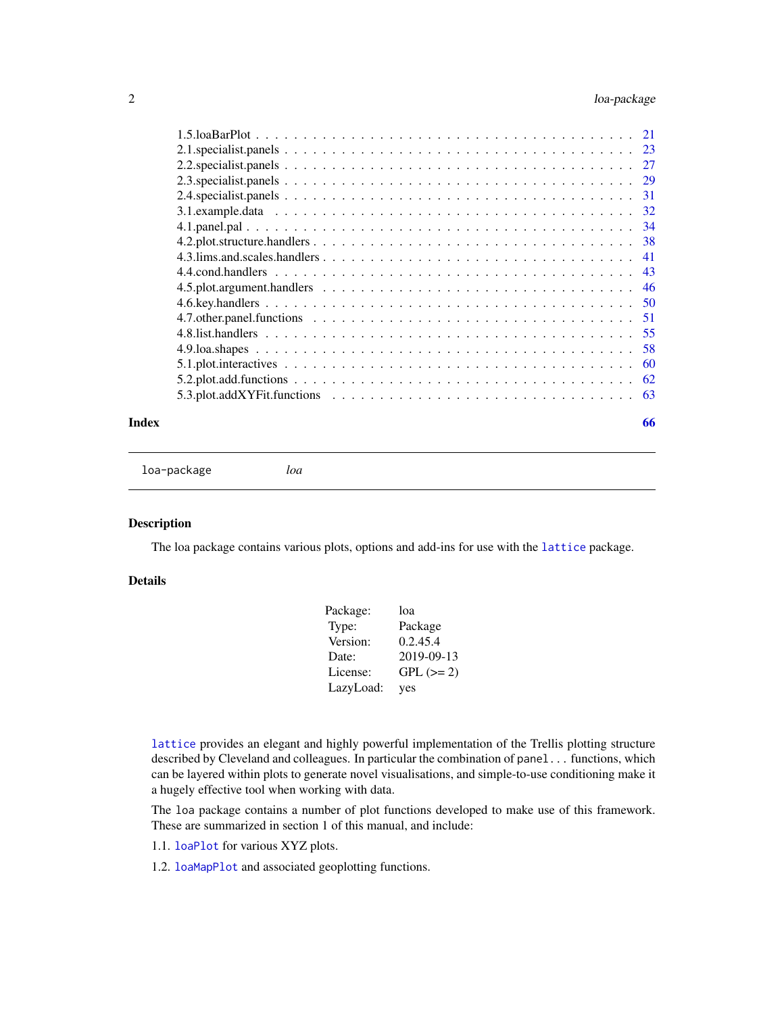<span id="page-1-0"></span>

### **Index** [66](#page-65-0)

loa-package *loa*

### Description

The loa package contains various plots, options and add-ins for use with the [lattice](#page-0-0) package.

### Details

| Package:  | loa        |
|-----------|------------|
| Type:     | Package    |
| Version:  | 0.2.45.4   |
| Date:     | 2019-09-13 |
| License:  | $GPL (=2)$ |
| LazyLoad: | yes        |

[lattice](#page-0-0) provides an elegant and highly powerful implementation of the Trellis plotting structure described by Cleveland and colleagues. In particular the combination of panel... functions, which can be layered within plots to generate novel visualisations, and simple-to-use conditioning make it a hugely effective tool when working with data.

The loa package contains a number of plot functions developed to make use of this framework. These are summarized in section 1 of this manual, and include:

1.1. [loaPlot](#page-3-1) for various XYZ plots.

1.2. [loaMapPlot](#page-7-1) and associated geoplotting functions.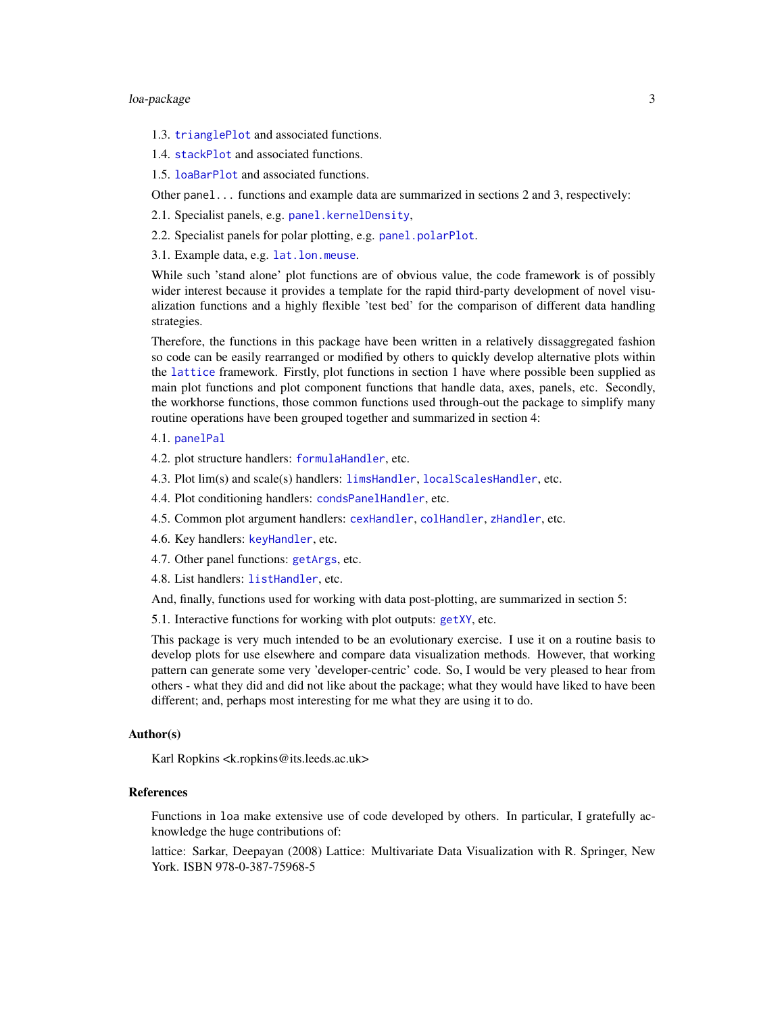### <span id="page-2-0"></span>loa-package 3

- 1.3. [trianglePlot](#page-13-1) and associated functions.
- 1.4. [stackPlot](#page-18-1) and associated functions.
- 1.5. [loaBarPlot](#page-20-1) and associated functions.

Other panel... functions and example data are summarized in sections 2 and 3, respectively:

- 2.1. Specialist panels, e.g. [panel.kernelDensity](#page-22-1),
- 2.2. Specialist panels for polar plotting, e.g. [panel.polarPlot](#page-26-1).
- 3.1. Example data, e.g. [lat.lon.meuse](#page-31-1).

While such 'stand alone' plot functions are of obvious value, the code framework is of possibly wider interest because it provides a template for the rapid third-party development of novel visualization functions and a highly flexible 'test bed' for the comparison of different data handling strategies.

Therefore, the functions in this package have been written in a relatively dissaggregated fashion so code can be easily rearranged or modified by others to quickly develop alternative plots within the [lattice](#page-0-0) framework. Firstly, plot functions in section 1 have where possible been supplied as main plot functions and plot component functions that handle data, axes, panels, etc. Secondly, the workhorse functions, those common functions used through-out the package to simplify many routine operations have been grouped together and summarized in section 4:

- 4.1. [panelPal](#page-33-1)
- 4.2. plot structure handlers: [formulaHandler](#page-37-1), etc.
- 4.3. Plot lim(s) and scale(s) handlers: [limsHandler](#page-40-1), [localScalesHandler](#page-40-1), etc.
- 4.4. Plot conditioning handlers: [condsPanelHandler](#page-42-1), etc.
- 4.5. Common plot argument handlers: [cexHandler](#page-45-1), [colHandler](#page-45-1), [zHandler](#page-45-1), etc.
- 4.6. Key handlers: [keyHandler](#page-49-1), etc.
- 4.7. Other panel functions: [getArgs](#page-50-1), etc.
- 4.8. List handlers: [listHandler](#page-54-1), etc.

And, finally, functions used for working with data post-plotting, are summarized in section 5:

5.1. Interactive functions for working with plot outputs: [getXY](#page-59-1), etc.

This package is very much intended to be an evolutionary exercise. I use it on a routine basis to develop plots for use elsewhere and compare data visualization methods. However, that working pattern can generate some very 'developer-centric' code. So, I would be very pleased to hear from others - what they did and did not like about the package; what they would have liked to have been different; and, perhaps most interesting for me what they are using it to do.

#### Author(s)

Karl Ropkins <k.ropkins@its.leeds.ac.uk>

### References

Functions in loa make extensive use of code developed by others. In particular, I gratefully acknowledge the huge contributions of:

lattice: Sarkar, Deepayan (2008) Lattice: Multivariate Data Visualization with R. Springer, New York. ISBN 978-0-387-75968-5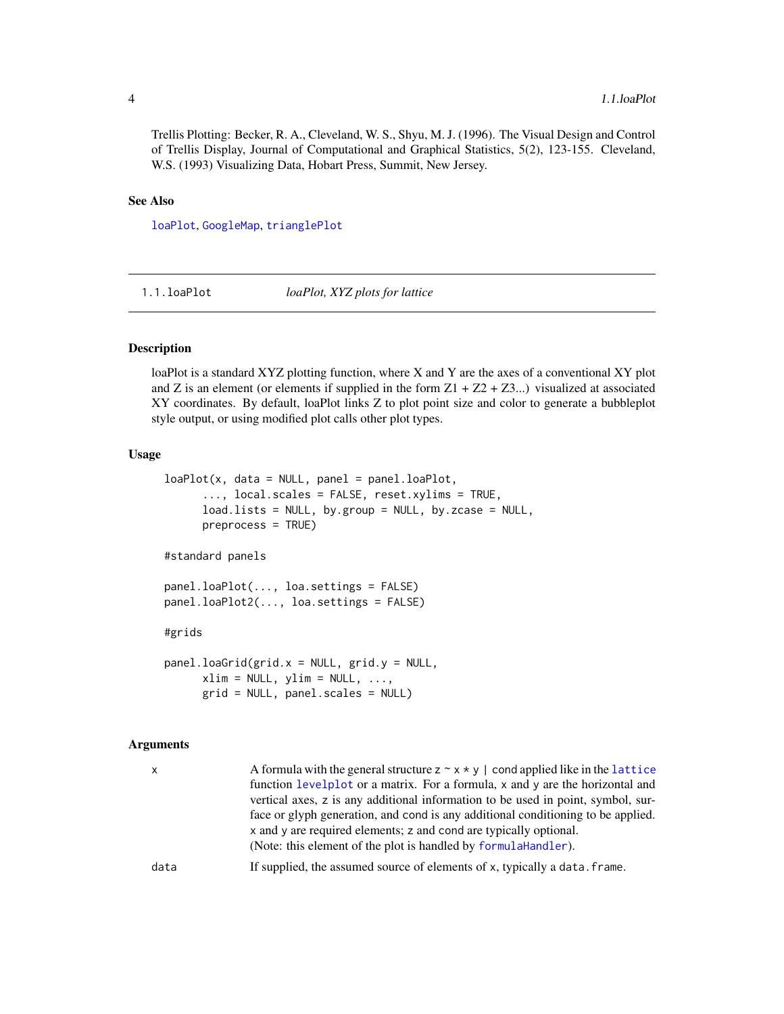<span id="page-3-0"></span>Trellis Plotting: Becker, R. A., Cleveland, W. S., Shyu, M. J. (1996). The Visual Design and Control of Trellis Display, Journal of Computational and Graphical Statistics, 5(2), 123-155. Cleveland, W.S. (1993) Visualizing Data, Hobart Press, Summit, New Jersey.

### See Also

[loaPlot](#page-3-1), [GoogleMap](#page-7-1), [trianglePlot](#page-13-1)

1.1.loaPlot *loaPlot, XYZ plots for lattice*

### <span id="page-3-1"></span>Description

loaPlot is a standard XYZ plotting function, where X and Y are the axes of a conventional XY plot and Z is an element (or elements if supplied in the form  $Z1 + Z2 + Z3...$ ) visualized at associated XY coordinates. By default, loaPlot links Z to plot point size and color to generate a bubbleplot style output, or using modified plot calls other plot types.

#### Usage

```
loaPlot(x, data = NULL, panel = panel.loaPlot,..., local.scales = FALSE, reset.xylims = TRUE,
     load,lists = NULL, by.group = NULL, by.zcase = NULL,preprocess = TRUE)
#standard panels
panel.loaPlot(..., loa.settings = FALSE)
panel.loaPlot2(..., loa.settings = FALSE)
#grids
panel.loaGrid(grid.x = NULL, grid.y = NULL,
     xlim = NULL, ylim = NULL, ...grid = NULL, panel.scales = NULL)
```
### Arguments

| $\mathsf{x}$ | A formula with the general structure $z \sim x * y$   cond applied like in the lattice<br>function levelplot or a matrix. For a formula, x and y are the horizontal and<br>vertical axes, z is any additional information to be used in point, symbol, sur-<br>face or glyph generation, and cond is any additional conditioning to be applied.<br>x and y are required elements; z and cond are typically optional.<br>(Note: this element of the plot is handled by formula Handler). |
|--------------|-----------------------------------------------------------------------------------------------------------------------------------------------------------------------------------------------------------------------------------------------------------------------------------------------------------------------------------------------------------------------------------------------------------------------------------------------------------------------------------------|
| data         | If supplied, the assumed source of elements of x, typically a data. frame.                                                                                                                                                                                                                                                                                                                                                                                                              |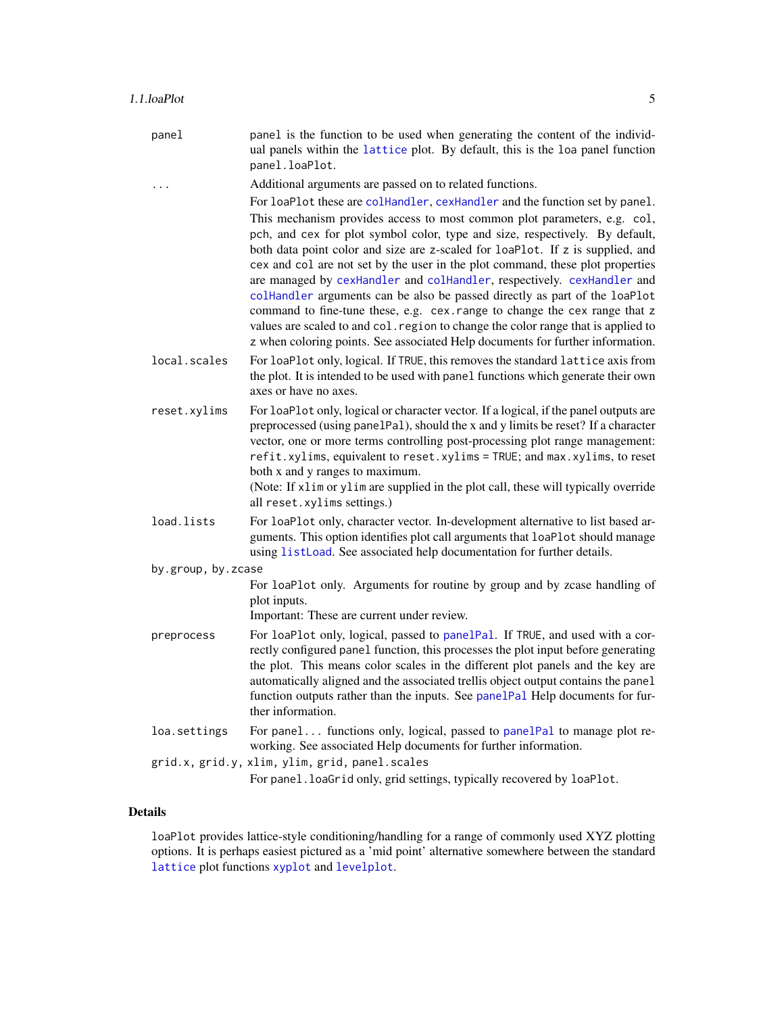<span id="page-4-0"></span>

| panel        | panel is the function to be used when generating the content of the individ-<br>ual panels within the lattice plot. By default, this is the loa panel function<br>panel.loaPlot.                                                                                                                                                                                                                                                                                                                                                                                                                                                                                                                                                                   |
|--------------|----------------------------------------------------------------------------------------------------------------------------------------------------------------------------------------------------------------------------------------------------------------------------------------------------------------------------------------------------------------------------------------------------------------------------------------------------------------------------------------------------------------------------------------------------------------------------------------------------------------------------------------------------------------------------------------------------------------------------------------------------|
|              | Additional arguments are passed on to related functions.                                                                                                                                                                                                                                                                                                                                                                                                                                                                                                                                                                                                                                                                                           |
|              | For loaPlot these are collandler, cexHandler and the function set by panel.                                                                                                                                                                                                                                                                                                                                                                                                                                                                                                                                                                                                                                                                        |
|              | This mechanism provides access to most common plot parameters, e.g. col,<br>pch, and cex for plot symbol color, type and size, respectively. By default,<br>both data point color and size are z-scaled for loaPlot. If z is supplied, and<br>cex and col are not set by the user in the plot command, these plot properties<br>are managed by cexHandler and colHandler, respectively. cexHandler and<br>collect and collect arguments can be also be passed directly as part of the loaPlot<br>command to fine-tune these, e.g. cex. range to change the cex range that z<br>values are scaled to and col. region to change the color range that is applied to<br>z when coloring points. See associated Help documents for further information. |
| local.scales | For loaPlot only, logical. If TRUE, this removes the standard lattice axis from<br>the plot. It is intended to be used with panel functions which generate their own                                                                                                                                                                                                                                                                                                                                                                                                                                                                                                                                                                               |

- the plot. It is intended to be used with panel functions which generate their own axes or have no axes.
- reset.xylims For loaPlot only, logical or character vector. If a logical, if the panel outputs are preprocessed (using panelPal), should the x and y limits be reset? If a character vector, one or more terms controlling post-processing plot range management: refit.xylims, equivalent to reset.xylims = TRUE; and max.xylims, to reset both x and y ranges to maximum.

(Note: If xlim or ylim are supplied in the plot call, these will typically override all reset.xylims settings.)

- load.lists For loaPlot only, character vector. In-development alternative to list based arguments. This option identifies plot call arguments that loaPlot should manage using [listLoad](#page-54-1). See associated help documentation for further details.
- by.group, by.zcase

For loaPlot only. Arguments for routine by group and by zcase handling of plot inputs.

Important: These are current under review.

- preprocess For loaPlot only, logical, passed to [panelPal](#page-33-1). If TRUE, and used with a correctly configured panel function, this processes the plot input before generating the plot. This means color scales in the different plot panels and the key are automatically aligned and the associated trellis object output contains the panel function outputs rather than the inputs. See [panelPal](#page-33-1) Help documents for further information.
- loa.settings For panel... functions only, logical, passed to [panelPal](#page-33-1) to manage plot reworking. See associated Help documents for further information.

grid.x, grid.y, xlim, ylim, grid, panel.scales For panel.loaGrid only, grid settings, typically recovered by loaPlot.

### Details

loaPlot provides lattice-style conditioning/handling for a range of commonly used XYZ plotting options. It is perhaps easiest pictured as a 'mid point' alternative somewhere between the standard [lattice](#page-0-0) plot functions [xyplot](#page-0-0) and [levelplot](#page-0-0).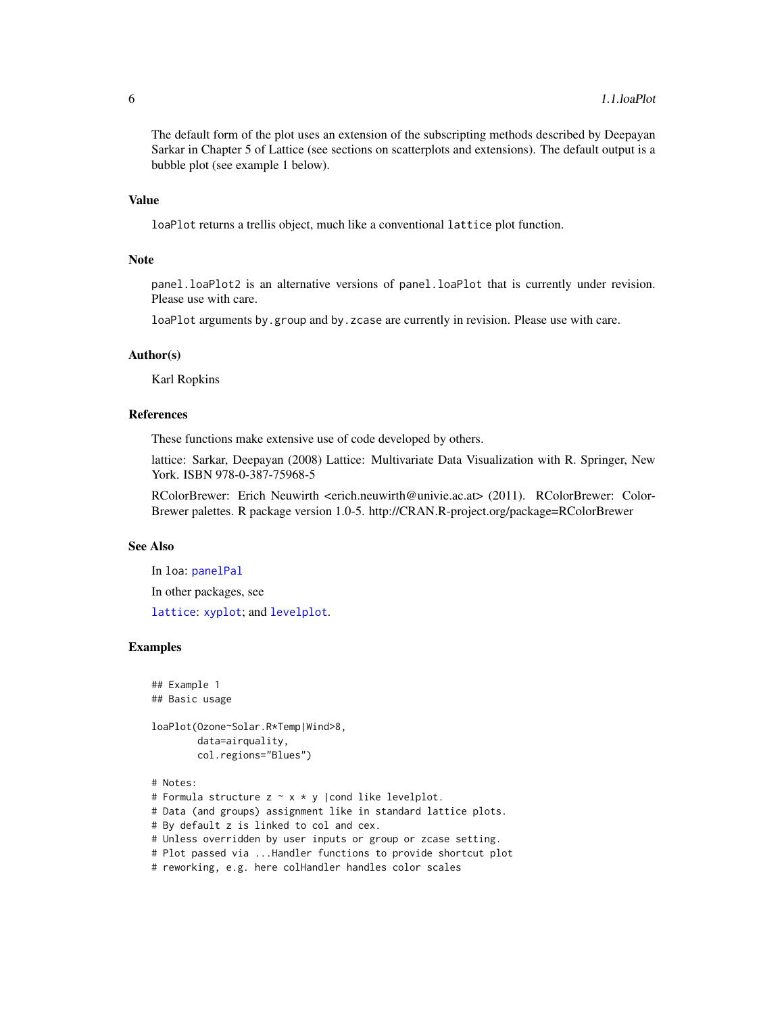The default form of the plot uses an extension of the subscripting methods described by Deepayan Sarkar in Chapter 5 of Lattice (see sections on scatterplots and extensions). The default output is a bubble plot (see example 1 below).

### Value

loaPlot returns a trellis object, much like a conventional lattice plot function.

#### Note

panel.loaPlot2 is an alternative versions of panel.loaPlot that is currently under revision. Please use with care.

loaPlot arguments by.group and by.zcase are currently in revision. Please use with care.

#### Author(s)

Karl Ropkins

### References

These functions make extensive use of code developed by others.

lattice: Sarkar, Deepayan (2008) Lattice: Multivariate Data Visualization with R. Springer, New York. ISBN 978-0-387-75968-5

RColorBrewer: Erich Neuwirth <erich.neuwirth@univie.ac.at> (2011). RColorBrewer: Color-Brewer palettes. R package version 1.0-5. http://CRAN.R-project.org/package=RColorBrewer

### See Also

In loa: [panelPal](#page-33-1) In other packages, see

[lattice](#page-0-0): [xyplot](#page-0-0); and [levelplot](#page-0-0).

### Examples

```
## Example 1
## Basic usage
```
loaPlot(Ozone~Solar.R\*Temp|Wind>8, data=airquality,

```
col.regions="Blues")
```

```
# Notes:
# Formula structure z \sim x * y | cond like levelplot.
# Data (and groups) assignment like in standard lattice plots.
# By default z is linked to col and cex.
# Unless overridden by user inputs or group or zcase setting.
# Plot passed via ...Handler functions to provide shortcut plot
# reworking, e.g. here colHandler handles color scales
```
<span id="page-5-0"></span>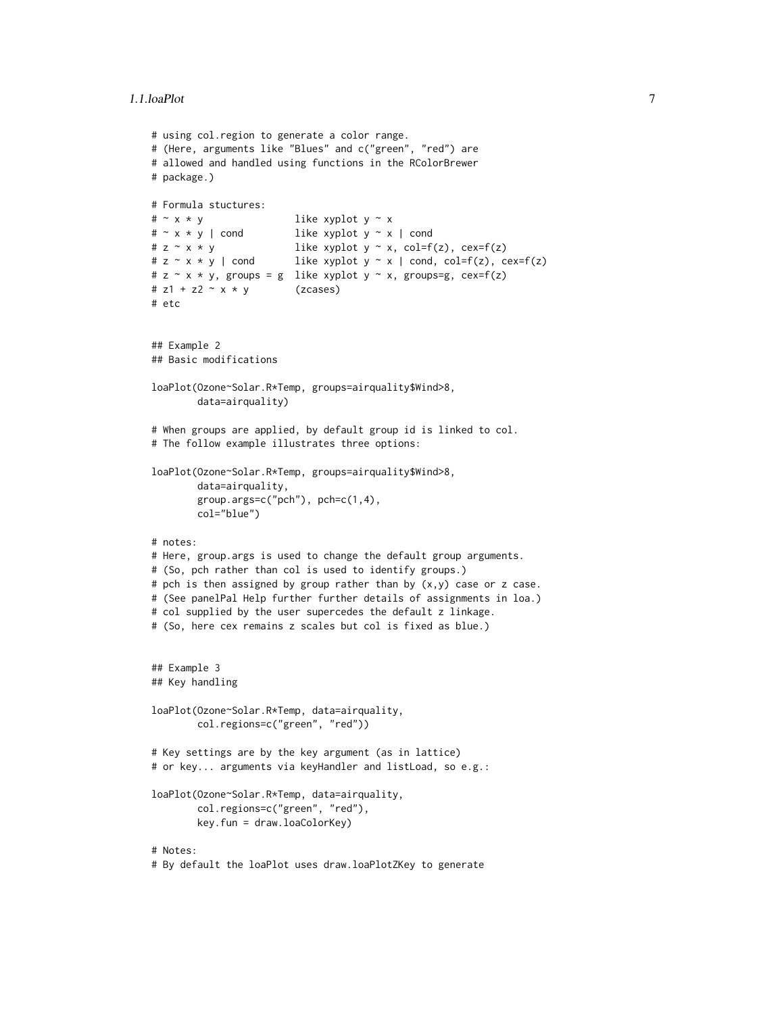```
# using col.region to generate a color range.
# (Here, arguments like "Blues" and c("green", "red") are
# allowed and handled using functions in the RColorBrewer
# package.)
# Formula stuctures:
# \sim x * y like xyplot y \sim x# \sim x * y | cond like xyplot y \sim x | cond
# z \sim x * y like xyplot y \sim x, col=f(z), cex=f(z)
# z \sim x * y | cond like xyplot y \sim x | cond, col=f(z), cex=f(z)
# z \sim x * y, groups = g like xyplot y \sim x, groups=g, cex=f(z)
# z1 + z2 \sim x * y (zcases)
# etc
## Example 2
## Basic modifications
loaPlot(Ozone~Solar.R*Temp, groups=airquality$Wind>8,
        data=airquality)
# When groups are applied, by default group id is linked to col.
# The follow example illustrates three options:
loaPlot(Ozone~Solar.R*Temp, groups=airquality$Wind>8,
        data=airquality,
        group.args=c("pch"), pch=c(1,4),
        col="blue")
# notes:
# Here, group.args is used to change the default group arguments.
# (So, pch rather than col is used to identify groups.)
# pch is then assigned by group rather than by (x, y) case or z case.
# (See panelPal Help further further details of assignments in loa.)
# col supplied by the user supercedes the default z linkage.
# (So, here cex remains z scales but col is fixed as blue.)
## Example 3
## Key handling
loaPlot(Ozone~Solar.R*Temp, data=airquality,
        col.regions=c("green", "red"))
# Key settings are by the key argument (as in lattice)
# or key... arguments via keyHandler and listLoad, so e.g.:
loaPlot(Ozone~Solar.R*Temp, data=airquality,
        col.regions=c("green", "red"),
        key.fun = draw.loaColorKey)
# Notes:
```

```
# By default the loaPlot uses draw.loaPlotZKey to generate
```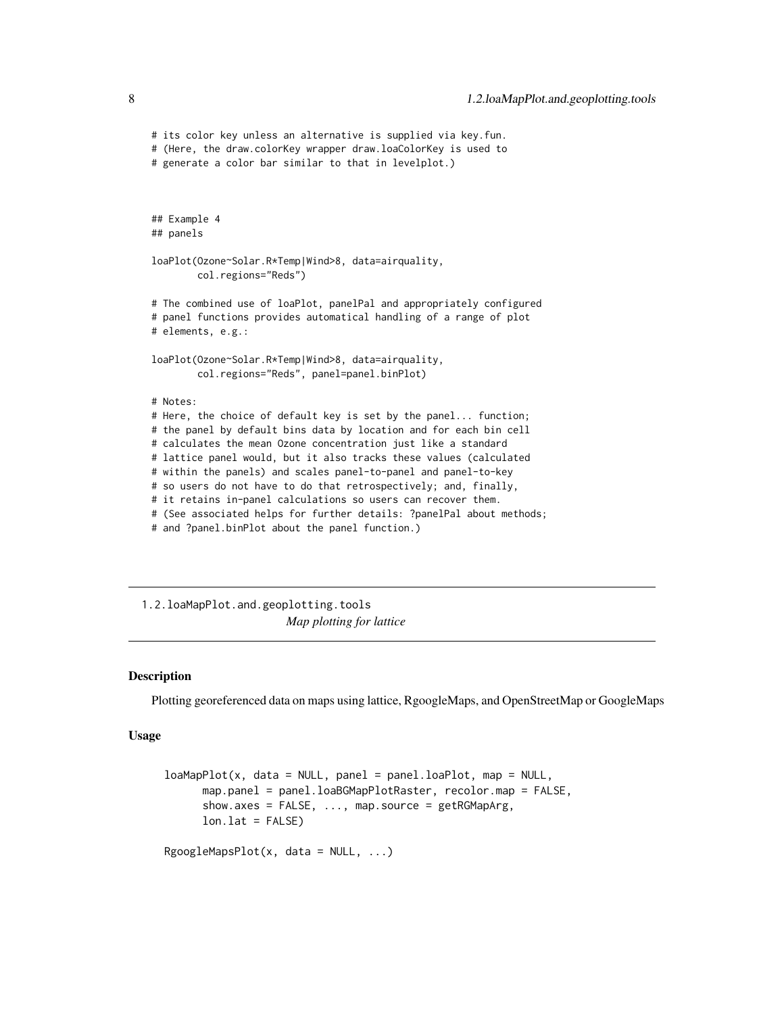```
# its color key unless an alternative is supplied via key.fun.
# (Here, the draw.colorKey wrapper draw.loaColorKey is used to
# generate a color bar similar to that in levelplot.)
## Example 4
## panels
loaPlot(Ozone~Solar.R*Temp|Wind>8, data=airquality,
        col.regions="Reds")
# The combined use of loaPlot, panelPal and appropriately configured
# panel functions provides automatical handling of a range of plot
# elements, e.g.:
loaPlot(Ozone~Solar.R*Temp|Wind>8, data=airquality,
       col.regions="Reds", panel=panel.binPlot)
# Notes:
# Here, the choice of default key is set by the panel... function;
# the panel by default bins data by location and for each bin cell
# calculates the mean Ozone concentration just like a standard
# lattice panel would, but it also tracks these values (calculated
# within the panels) and scales panel-to-panel and panel-to-key
# so users do not have to do that retrospectively; and, finally,
# it retains in-panel calculations so users can recover them.
# (See associated helps for further details: ?panelPal about methods;
# and ?panel.binPlot about the panel function.)
```
1.2.loaMapPlot.and.geoplotting.tools *Map plotting for lattice*

### <span id="page-7-1"></span>Description

Plotting georeferenced data on maps using lattice, RgoogleMaps, and OpenStreetMap or GoogleMaps

### Usage

```
loaMapPlot(x, data = NULL, panel = panel.loaPlot, map = NULL,map.panel = panel.loaBGMapPlotRaster, recolor.map = FALSE,
     show.axes = FALSE, ..., map.source = getRGMapArg,
     lon.lat = FALSE)RgoogleMapsPlot(x, data = NULL, ...)
```
<span id="page-7-0"></span>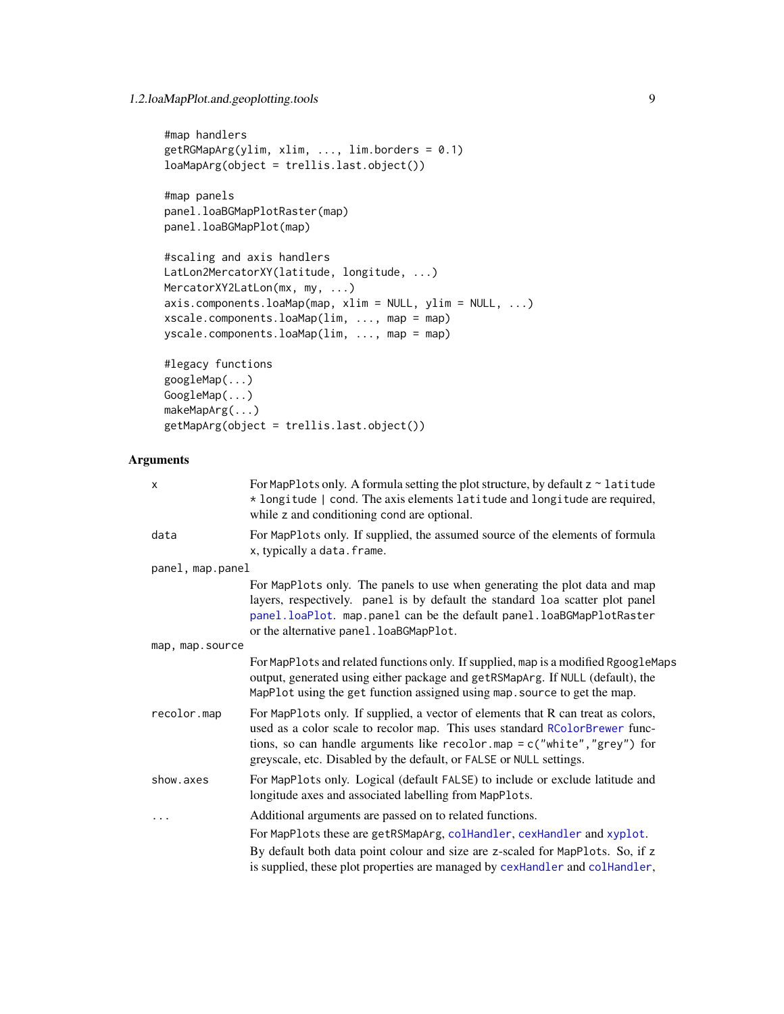### <span id="page-8-0"></span>1.2.loaMapPlot.and.geoplotting.tools 9

```
#map handlers
getRGMapArg(ylim, xlim, ..., lim.borders = 0.1)
loaMapArg(object = trellis.last.object())
#map panels
panel.loaBGMapPlotRaster(map)
panel.loaBGMapPlot(map)
#scaling and axis handlers
LatLon2MercatorXY(latitude, longitude, ...)
MercatorXY2LatLon(mx, my, ...)
axis.components.loaMap(map, xlim = NULL, ylim = NULL, ...)
xscale.components.loaMap(lim, ..., map = map)
yscale.components.loaMap(lim, ..., map = map)
#legacy functions
googleMap(...)
```
### GoogleMap(...) makeMapArg(...) getMapArg(object = trellis.last.object())

### Arguments

| X                | For MapPlots only. A formula setting the plot structure, by default $z \sim$ latitude<br>* longitude   cond. The axis elements latitude and longitude are required,<br>while z and conditioning cond are optional.                                                                                                   |
|------------------|----------------------------------------------------------------------------------------------------------------------------------------------------------------------------------------------------------------------------------------------------------------------------------------------------------------------|
| data             | For MapPlots only. If supplied, the assumed source of the elements of formula<br>x, typically a data. frame.                                                                                                                                                                                                         |
| panel, map.panel |                                                                                                                                                                                                                                                                                                                      |
|                  | For MapPlots only. The panels to use when generating the plot data and map<br>layers, respectively. panel is by default the standard loa scatter plot panel<br>panel.loaPlot. map.panel can be the default panel.loaBGMapPlotRaster<br>or the alternative panel. loaBGMapPlot.                                       |
| map, map.source  |                                                                                                                                                                                                                                                                                                                      |
|                  | For MapPlots and related functions only. If supplied, map is a modified RgoogleMaps<br>output, generated using either package and getRSMapArg. If NULL (default), the<br>MapPlot using the get function assigned using map. source to get the map.                                                                   |
| recolor.map      | For MapPlots only. If supplied, a vector of elements that R can treat as colors,<br>used as a color scale to recolor map. This uses standard RColorBrewer func-<br>tions, so can handle arguments like recolor.map = $c("white", "grey")$ for<br>greyscale, etc. Disabled by the default, or FALSE or NULL settings. |
| show.axes        | For MapPlots only. Logical (default FALSE) to include or exclude latitude and<br>longitude axes and associated labelling from MapPlots.                                                                                                                                                                              |
| .                | Additional arguments are passed on to related functions.                                                                                                                                                                                                                                                             |
|                  | For MapPlots these are getRSMapArg, colHandler, cexHandler and xyplot.                                                                                                                                                                                                                                               |
|                  | By default both data point colour and size are z-scaled for MapPlots. So, if z<br>is supplied, these plot properties are managed by cexHandler and colHandler,                                                                                                                                                       |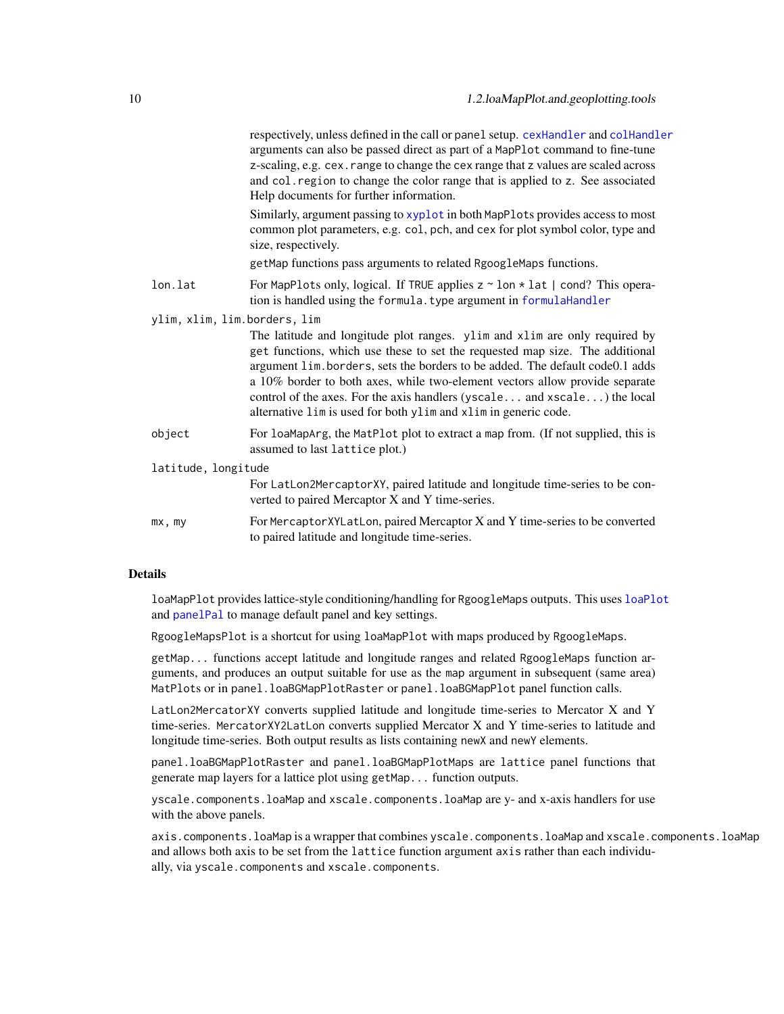<span id="page-9-0"></span>

|                              | respectively, unless defined in the call or panel setup. cexHandler and colHandler<br>arguments can also be passed direct as part of a MapPlot command to fine-tune<br>z-scaling, e.g. cex. range to change the cex range that z values are scaled across<br>and col. region to change the color range that is applied to z. See associated<br>Help documents for further information.                                                                                    |
|------------------------------|---------------------------------------------------------------------------------------------------------------------------------------------------------------------------------------------------------------------------------------------------------------------------------------------------------------------------------------------------------------------------------------------------------------------------------------------------------------------------|
|                              | Similarly, argument passing to xyplot in both MapPlots provides access to most<br>common plot parameters, e.g. col, pch, and cex for plot symbol color, type and<br>size, respectively.                                                                                                                                                                                                                                                                                   |
|                              | getMap functions pass arguments to related RgoogleMaps functions.                                                                                                                                                                                                                                                                                                                                                                                                         |
| lon.lat                      | For MapPlots only, logical. If TRUE applies $z \sim 1$ on $*$ lat   cond? This opera-<br>tion is handled using the formula. type argument in formulaHandler                                                                                                                                                                                                                                                                                                               |
| ylim, xlim, lim.borders, lim |                                                                                                                                                                                                                                                                                                                                                                                                                                                                           |
|                              | The latitude and longitude plot ranges. ylim and xlim are only required by<br>get functions, which use these to set the requested map size. The additional<br>argument lim. borders, sets the borders to be added. The default code0.1 adds<br>a 10% border to both axes, while two-element vectors allow provide separate<br>control of the axes. For the axis handlers (yscale and xscale) the local<br>alternative lim is used for both ylim and xlim in generic code. |
| object                       | For loaMapArg, the MatPlot plot to extract a map from. (If not supplied, this is<br>assumed to last lattice plot.)                                                                                                                                                                                                                                                                                                                                                        |
| latitude, longitude          |                                                                                                                                                                                                                                                                                                                                                                                                                                                                           |
|                              | For LatLon2MercaptorXY, paired latitude and longitude time-series to be con-<br>verted to paired Mercaptor X and Y time-series.                                                                                                                                                                                                                                                                                                                                           |
| mx, my                       | For Mercaptor XYLatLon, paired Mercaptor X and Y time-series to be converted<br>to paired latitude and longitude time-series.                                                                                                                                                                                                                                                                                                                                             |

### Details

loaMapPlot provides lattice-style conditioning/handling for RgoogleMaps outputs. This uses [loaPlot](#page-3-1) and [panelPal](#page-33-1) to manage default panel and key settings.

RgoogleMapsPlot is a shortcut for using loaMapPlot with maps produced by RgoogleMaps.

getMap... functions accept latitude and longitude ranges and related RgoogleMaps function arguments, and produces an output suitable for use as the map argument in subsequent (same area) MatPlots or in panel.loaBGMapPlotRaster or panel.loaBGMapPlot panel function calls.

LatLon2MercatorXY converts supplied latitude and longitude time-series to Mercator X and Y time-series. MercatorXY2LatLon converts supplied Mercator X and Y time-series to latitude and longitude time-series. Both output results as lists containing newX and newY elements.

panel.loaBGMapPlotRaster and panel.loaBGMapPlotMaps are lattice panel functions that generate map layers for a lattice plot using getMap... function outputs.

yscale.components.loaMap and xscale.components.loaMap are y- and x-axis handlers for use with the above panels.

axis.components.loaMap is a wrapper that combines yscale.components.loaMap and xscale.components.loaMap and allows both axis to be set from the lattice function argument axis rather than each individually, via yscale.components and xscale.components.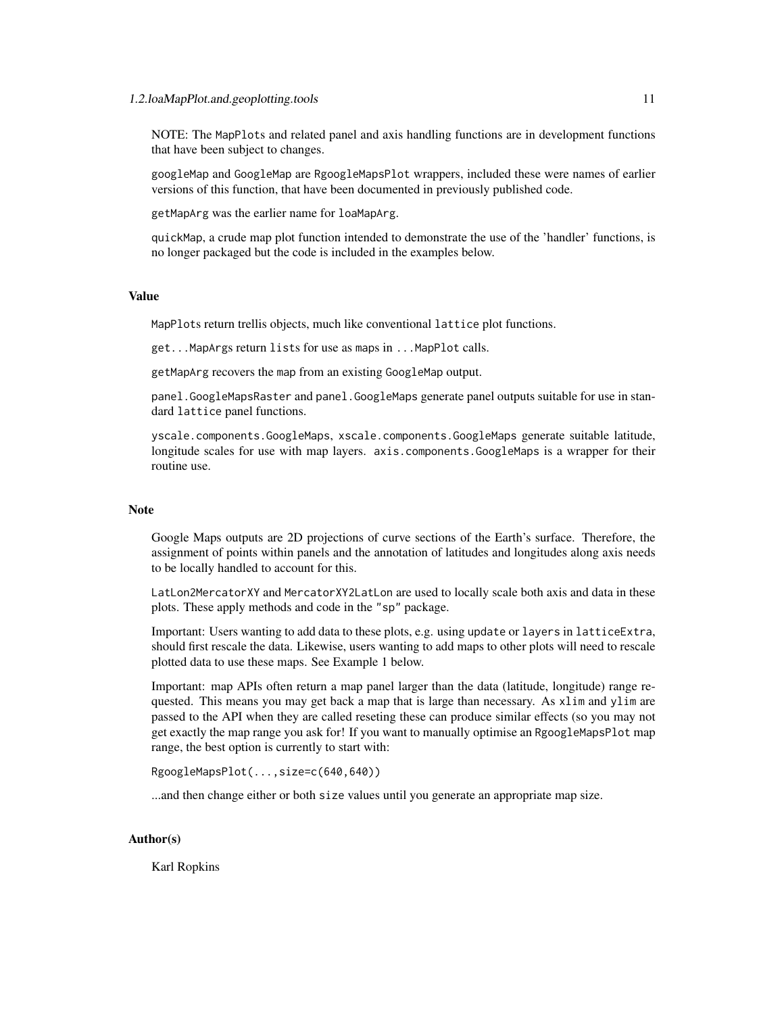### 1.2.loaMapPlot.and.geoplotting.tools 11

NOTE: The MapPlots and related panel and axis handling functions are in development functions that have been subject to changes.

googleMap and GoogleMap are RgoogleMapsPlot wrappers, included these were names of earlier versions of this function, that have been documented in previously published code.

getMapArg was the earlier name for loaMapArg.

quickMap, a crude map plot function intended to demonstrate the use of the 'handler' functions, is no longer packaged but the code is included in the examples below.

### Value

MapPlots return trellis objects, much like conventional lattice plot functions.

get...MapArgs return lists for use as maps in ...MapPlot calls.

getMapArg recovers the map from an existing GoogleMap output.

panel.GoogleMapsRaster and panel.GoogleMaps generate panel outputs suitable for use in standard lattice panel functions.

yscale.components.GoogleMaps, xscale.components.GoogleMaps generate suitable latitude, longitude scales for use with map layers. axis.components.GoogleMaps is a wrapper for their routine use.

### Note

Google Maps outputs are 2D projections of curve sections of the Earth's surface. Therefore, the assignment of points within panels and the annotation of latitudes and longitudes along axis needs to be locally handled to account for this.

LatLon2MercatorXY and MercatorXY2LatLon are used to locally scale both axis and data in these plots. These apply methods and code in the "sp" package.

Important: Users wanting to add data to these plots, e.g. using update or layers in latticeExtra, should first rescale the data. Likewise, users wanting to add maps to other plots will need to rescale plotted data to use these maps. See Example 1 below.

Important: map APIs often return a map panel larger than the data (latitude, longitude) range requested. This means you may get back a map that is large than necessary. As xlim and ylim are passed to the API when they are called reseting these can produce similar effects (so you may not get exactly the map range you ask for! If you want to manually optimise an RgoogleMapsPlot map range, the best option is currently to start with:

RgoogleMapsPlot(...,size=c(640,640))

...and then change either or both size values until you generate an appropriate map size.

### Author(s)

Karl Ropkins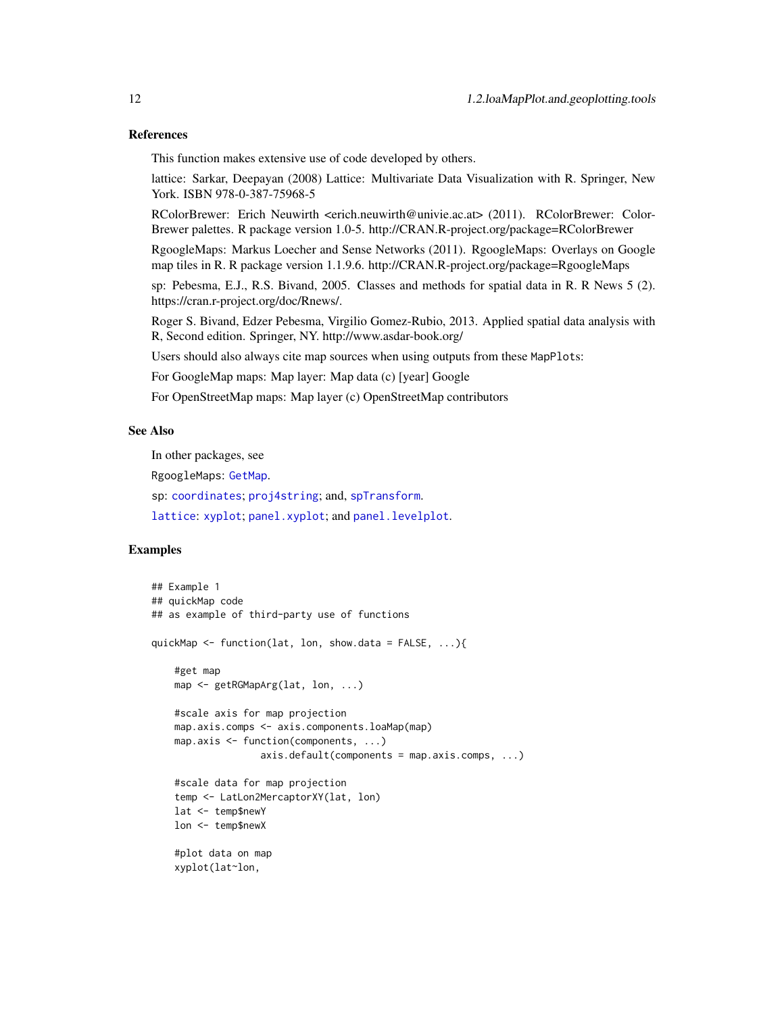### <span id="page-11-0"></span>References

This function makes extensive use of code developed by others.

lattice: Sarkar, Deepayan (2008) Lattice: Multivariate Data Visualization with R. Springer, New York. ISBN 978-0-387-75968-5

RColorBrewer: Erich Neuwirth <erich.neuwirth@univie.ac.at> (2011). RColorBrewer: Color-Brewer palettes. R package version 1.0-5. http://CRAN.R-project.org/package=RColorBrewer

RgoogleMaps: Markus Loecher and Sense Networks (2011). RgoogleMaps: Overlays on Google map tiles in R. R package version 1.1.9.6. http://CRAN.R-project.org/package=RgoogleMaps

sp: Pebesma, E.J., R.S. Bivand, 2005. Classes and methods for spatial data in R. R News 5 (2). https://cran.r-project.org/doc/Rnews/.

Roger S. Bivand, Edzer Pebesma, Virgilio Gomez-Rubio, 2013. Applied spatial data analysis with R, Second edition. Springer, NY. http://www.asdar-book.org/

Users should also always cite map sources when using outputs from these MapPlots:

For GoogleMap maps: Map layer: Map data (c) [year] Google

For OpenStreetMap maps: Map layer (c) OpenStreetMap contributors

### See Also

In other packages, see

RgoogleMaps: [GetMap](#page-0-0).

sp: [coordinates](#page-0-0); [proj4string](#page-0-0); and, [spTransform](#page-0-0).

[lattice](#page-0-0): [xyplot](#page-0-0); [panel.xyplot](#page-0-0); and [panel.levelplot](#page-0-0).

### Examples

```
## Example 1
## quickMap code
## as example of third-party use of functions
quickMap \leq function(lat, lon, show.data = FALSE, ...){
    #get map
   map <- getRGMapArg(lat, lon, ...)
    #scale axis for map projection
   map.axis.comps <- axis.components.loaMap(map)
   map.axis <- function(components, ...)
                   axis.default(components = map.axis.comps, ...)
    #scale data for map projection
    temp <- LatLon2MercaptorXY(lat, lon)
    lat <- temp$newY
    lon <- temp$newX
    #plot data on map
    xyplot(lat~lon,
```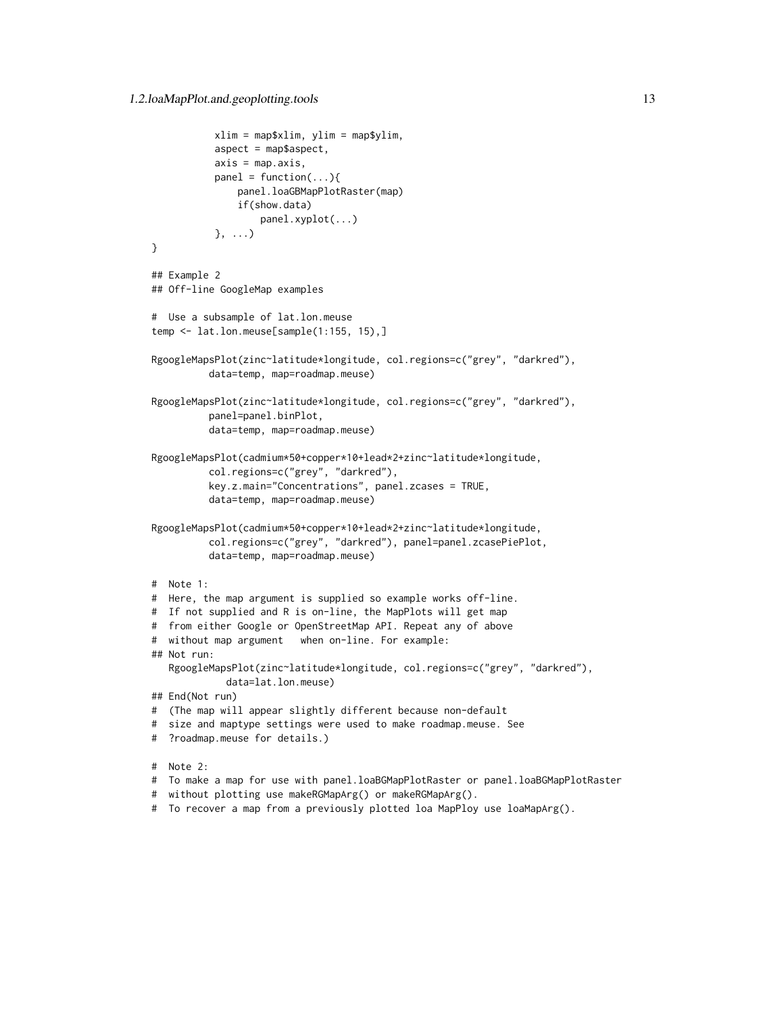```
xlim = map$xlim, ylim = map$ylim,
           aspect = map$aspect,
           axis = map.axis,
          panel = function(...){
               panel.loaGBMapPlotRaster(map)
               if(show.data)
                   panel.xyplot(...)
          }, ...)
}
## Example 2
## Off-line GoogleMap examples
# Use a subsample of lat.lon.meuse
temp <- lat.lon.meuse[sample(1:155, 15),]
RgoogleMapsPlot(zinc~latitude*longitude, col.regions=c("grey", "darkred"),
          data=temp, map=roadmap.meuse)
RgoogleMapsPlot(zinc~latitude*longitude, col.regions=c("grey", "darkred"),
         panel=panel.binPlot,
          data=temp, map=roadmap.meuse)
RgoogleMapsPlot(cadmium*50+copper*10+lead*2+zinc~latitude*longitude,
         col.regions=c("grey", "darkred"),
          key.z.main="Concentrations", panel.zcases = TRUE,
          data=temp, map=roadmap.meuse)
RgoogleMapsPlot(cadmium*50+copper*10+lead*2+zinc~latitude*longitude,
          col.regions=c("grey", "darkred"), panel=panel.zcasePiePlot,
          data=temp, map=roadmap.meuse)
# Note 1:
# Here, the map argument is supplied so example works off-line.
# If not supplied and R is on-line, the MapPlots will get map
# from either Google or OpenStreetMap API. Repeat any of above
# without map argument when on-line. For example:
## Not run:
  RgoogleMapsPlot(zinc~latitude*longitude, col.regions=c("grey", "darkred"),
            data=lat.lon.meuse)
## End(Not run)
# (The map will appear slightly different because non-default
# size and maptype settings were used to make roadmap.meuse. See
# ?roadmap.meuse for details.)
# Note 2:
# To make a map for use with panel.loaBGMapPlotRaster or panel.loaBGMapPlotRaster
# without plotting use makeRGMapArg() or makeRGMapArg().
# To recover a map from a previously plotted loa MapPloy use loaMapArg().
```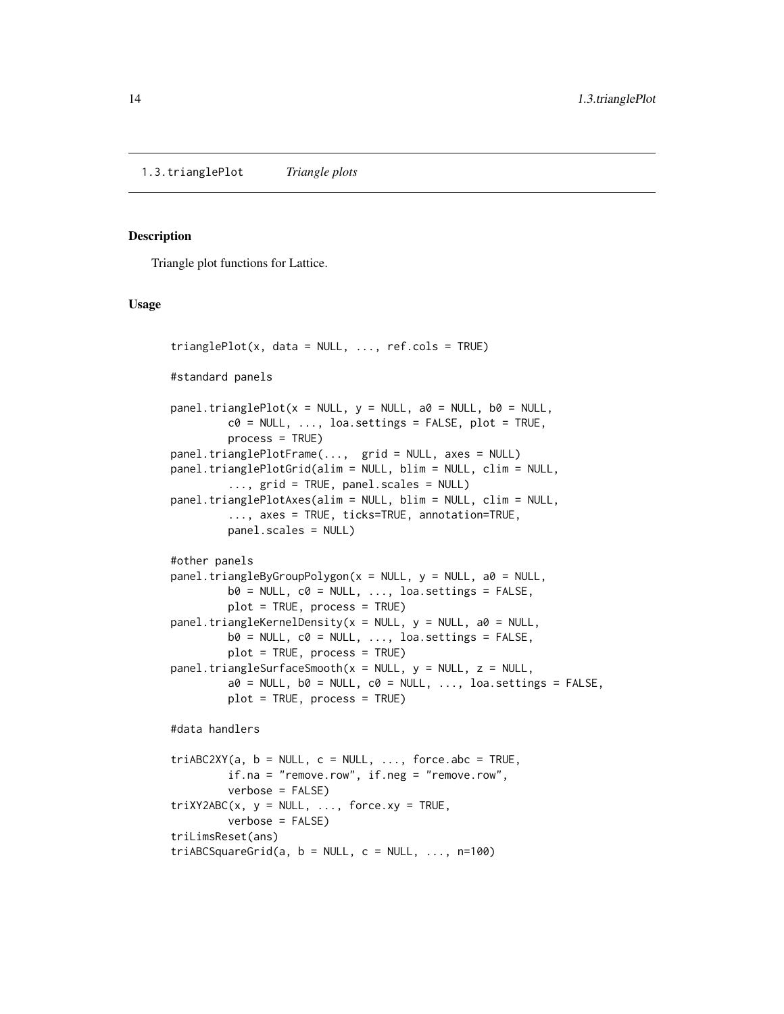### <span id="page-13-1"></span><span id="page-13-0"></span>Description

Triangle plot functions for Lattice.

### Usage

```
trianglePlot(x, data = NULL, ..., ref. <math>cols = TRUE</math>)#standard panels
panel.triangleright0 = NULL, y = NULL, a0 = NULL, b0 = NULL,c0 = NULL, ..., loa.settings = FALSE, plot = TRUE,
         process = TRUE)
panel.trianglePlotFrame(..., grid = NULL, axes = NULL)
panel.trianglePlotGrid(alim = NULL, blim = NULL, clim = NULL,
         ..., grid = TRUE, panel.scales = NULL)
panel.trianglePlotAxes(alim = NULL, blim = NULL, clim = NULL,
         ..., axes = TRUE, ticks=TRUE, annotation=TRUE,
         panel.scales = NULL)
#other panels
panel.triangleByGroupPolygon(x = NULL, y = NULL, a0 = NULL,
         b0 = NULL, c0 = NULL, ..., loa.settings = FALSE,
         plot = TRUE, process = TRUE)
panel.triangleKernelDensity(x = NULL, y = NULL, a0 = NULL,
         b0 = NULL, c0 = NULL, ..., loa.settings = FALSE,
         plot = TRUE, process = TRUE)
panel.trianglesurfaceSmooth(x = NULL, y = NULL, z = NULL,a0 = NULL, b0 = NULL, c0 = NULL, ..., loa.settings = FALSE,
         plot = TRUE, process = TRUE#data handlers
triABC2XY(a, b = NULL, c = NULL, ..., force.abc = TRUE,if.na = "remove.row", if.neg = "remove.row",
         verbose = FALSE)
triXY2ABC(x, y = NULL, ..., force.xy = TRUE,verbose = FALSE)
triLimsReset(ans)
triABCSquareGrid(a, b = NULL, c = NULL, ..., n=100)
```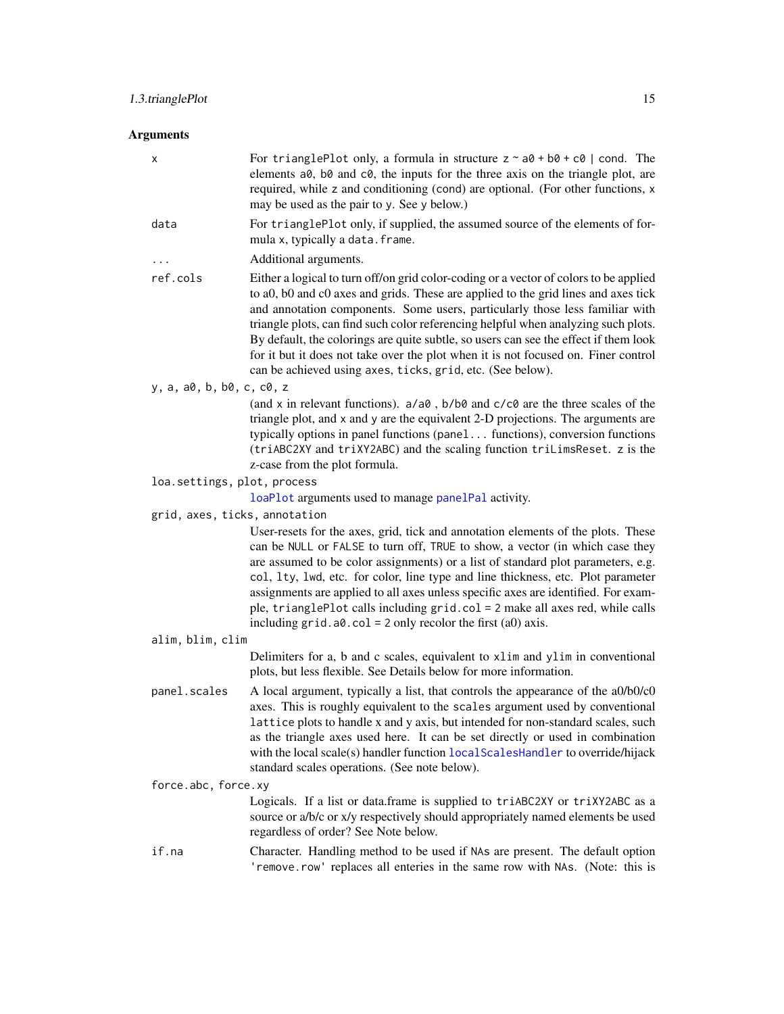### <span id="page-14-0"></span>Arguments

| х                             | For trianglePlot only, a formula in structure $z \sim a\theta + b\theta + c\theta$   cond. The<br>elements a0, b0 and c0, the inputs for the three axis on the triangle plot, are<br>required, while z and conditioning (cond) are optional. (For other functions, x<br>may be used as the pair to y. See y below.)                                                                                                                                                                                                                                                                           |  |
|-------------------------------|-----------------------------------------------------------------------------------------------------------------------------------------------------------------------------------------------------------------------------------------------------------------------------------------------------------------------------------------------------------------------------------------------------------------------------------------------------------------------------------------------------------------------------------------------------------------------------------------------|--|
| data                          | For trianglePlot only, if supplied, the assumed source of the elements of for-<br>mula x, typically a data. frame.                                                                                                                                                                                                                                                                                                                                                                                                                                                                            |  |
| .                             | Additional arguments.                                                                                                                                                                                                                                                                                                                                                                                                                                                                                                                                                                         |  |
| ref.cols                      | Either a logical to turn off/on grid color-coding or a vector of colors to be applied<br>to a0, b0 and c0 axes and grids. These are applied to the grid lines and axes tick<br>and annotation components. Some users, particularly those less familiar with<br>triangle plots, can find such color referencing helpful when analyzing such plots.<br>By default, the colorings are quite subtle, so users can see the effect if them look<br>for it but it does not take over the plot when it is not focused on. Finer control<br>can be achieved using axes, ticks, grid, etc. (See below). |  |
| y, a, a0, b, b0, c, c0, z     |                                                                                                                                                                                                                                                                                                                                                                                                                                                                                                                                                                                               |  |
|                               | (and x in relevant functions). $a/a0$ , $b/b0$ and $c/c0$ are the three scales of the<br>triangle plot, and x and y are the equivalent 2-D projections. The arguments are<br>typically options in panel functions (panel functions), conversion functions<br>(triABC2XY and triXY2ABC) and the scaling function triLimsReset. z is the<br>z-case from the plot formula.                                                                                                                                                                                                                       |  |
| loa.settings, plot, process   |                                                                                                                                                                                                                                                                                                                                                                                                                                                                                                                                                                                               |  |
|                               | loaPlot arguments used to manage panelPal activity.                                                                                                                                                                                                                                                                                                                                                                                                                                                                                                                                           |  |
| grid, axes, ticks, annotation |                                                                                                                                                                                                                                                                                                                                                                                                                                                                                                                                                                                               |  |
|                               | User-resets for the axes, grid, tick and annotation elements of the plots. These<br>can be NULL or FALSE to turn off, TRUE to show, a vector (in which case they<br>are assumed to be color assignments) or a list of standard plot parameters, e.g.<br>col, 1ty, 1wd, etc. for color, line type and line thickness, etc. Plot parameter<br>assignments are applied to all axes unless specific axes are identified. For exam-<br>ple, trianglePlot calls including grid.col = 2 make all axes red, while calls<br>including $grid.a0.col = 2 only recolor the first (a0) axis.$              |  |
| alim, blim, clim              |                                                                                                                                                                                                                                                                                                                                                                                                                                                                                                                                                                                               |  |
|                               | Delimiters for a, b and c scales, equivalent to x1im and y1im in conventional<br>plots, but less flexible. See Details below for more information.                                                                                                                                                                                                                                                                                                                                                                                                                                            |  |
| panel.scales                  | A local argument, typically a list, that controls the appearance of the a0/b0/c0<br>axes. This is roughly equivalent to the scales argument used by conventional<br>lattice plots to handle x and y axis, but intended for non-standard scales, such<br>as the triangle axes used here. It can be set directly or used in combination<br>with the local scale(s) handler function local ScalesHandler to override/hijack<br>standard scales operations. (See note below).                                                                                                                     |  |
| force.abc, force.xy           |                                                                                                                                                                                                                                                                                                                                                                                                                                                                                                                                                                                               |  |
|                               | Logicals. If a list or data.frame is supplied to triABC2XY or triXY2ABC as a<br>source or a/b/c or x/y respectively should appropriately named elements be used<br>regardless of order? See Note below.                                                                                                                                                                                                                                                                                                                                                                                       |  |
| if.na                         | Character. Handling method to be used if NAs are present. The default option<br>'remove.row' replaces all enteries in the same row with NAs. (Note: this is                                                                                                                                                                                                                                                                                                                                                                                                                                   |  |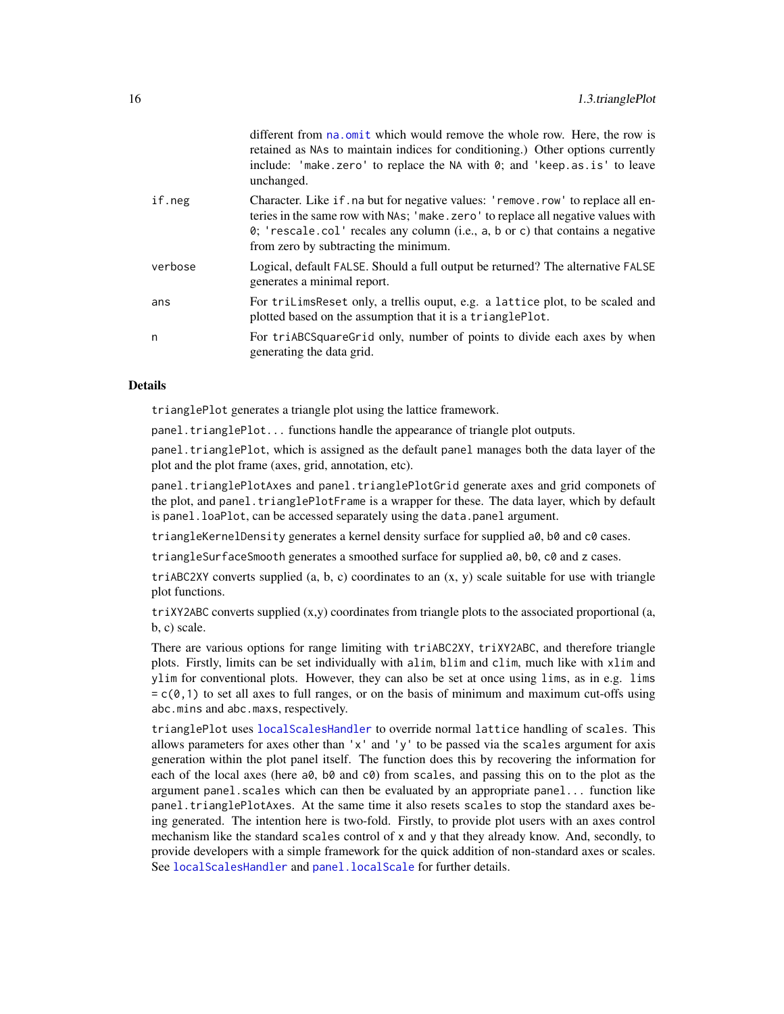<span id="page-15-0"></span>

|         | different from that office which would remove the whole row. Here, the row is<br>retained as NAs to maintain indices for conditioning.) Other options currently<br>include: 'make.zero' to replace the NA with 0; and 'keep.as.is' to leave<br>unchanged.                                             |
|---------|-------------------------------------------------------------------------------------------------------------------------------------------------------------------------------------------------------------------------------------------------------------------------------------------------------|
| if.neg  | Character. Like if no but for negative values: 'remove.row' to replace all en-<br>teries in the same row with NAs; 'make.zero' to replace all negative values with<br>$\theta$ ; 'rescale.col' recales any column (i.e., a, b or c) that contains a negative<br>from zero by subtracting the minimum. |
| verbose | Logical, default FALSE. Should a full output be returned? The alternative FALSE<br>generates a minimal report.                                                                                                                                                                                        |
| ans     | For triLimsReset only, a trellis ouput, e.g. a lattice plot, to be scaled and<br>plotted based on the assumption that it is a trianglePlot.                                                                                                                                                           |
| n       | For triABCS quare Grid only, number of points to divide each axes by when<br>generating the data grid.                                                                                                                                                                                                |

different from no. omit which would noncess the whole new Here, the row is

### Details

trianglePlot generates a triangle plot using the lattice framework.

panel.trianglePlot... functions handle the appearance of triangle plot outputs.

panel.trianglePlot, which is assigned as the default panel manages both the data layer of the plot and the plot frame (axes, grid, annotation, etc).

panel.trianglePlotAxes and panel.trianglePlotGrid generate axes and grid componets of the plot, and panel.trianglePlotFrame is a wrapper for these. The data layer, which by default is panel.loaPlot, can be accessed separately using the data.panel argument.

triangleKernelDensity generates a kernel density surface for supplied a0, b0 and c0 cases.

triangleSurfaceSmooth generates a smoothed surface for supplied a0, b0, c0 and z cases.

triABC2XY converts supplied  $(a, b, c)$  coordinates to an  $(x, y)$  scale suitable for use with triangle plot functions.

 $triXY2ABC$  converts supplied  $(x,y)$  coordinates from triangle plots to the associated proportional (a, b, c) scale.

There are various options for range limiting with triABC2XY, triXY2ABC, and therefore triangle plots. Firstly, limits can be set individually with alim, blim and clim, much like with xlim and ylim for conventional plots. However, they can also be set at once using lims, as in e.g. lims  $= c(0,1)$  to set all axes to full ranges, or on the basis of minimum and maximum cut-offs using abc.mins and abc.maxs, respectively.

trianglePlot uses [localScalesHandler](#page-40-1) to override normal lattice handling of scales. This allows parameters for axes other than 'x' and 'y' to be passed via the scales argument for axis generation within the plot panel itself. The function does this by recovering the information for each of the local axes (here a0, b0 and c0) from scales, and passing this on to the plot as the argument panel.scales which can then be evaluated by an appropriate panel... function like panel.trianglePlotAxes. At the same time it also resets scales to stop the standard axes being generated. The intention here is two-fold. Firstly, to provide plot users with an axes control mechanism like the standard scales control of x and y that they already know. And, secondly, to provide developers with a simple framework for the quick addition of non-standard axes or scales. See [localScalesHandler](#page-40-1) and [panel.localScale](#page-40-1) for further details.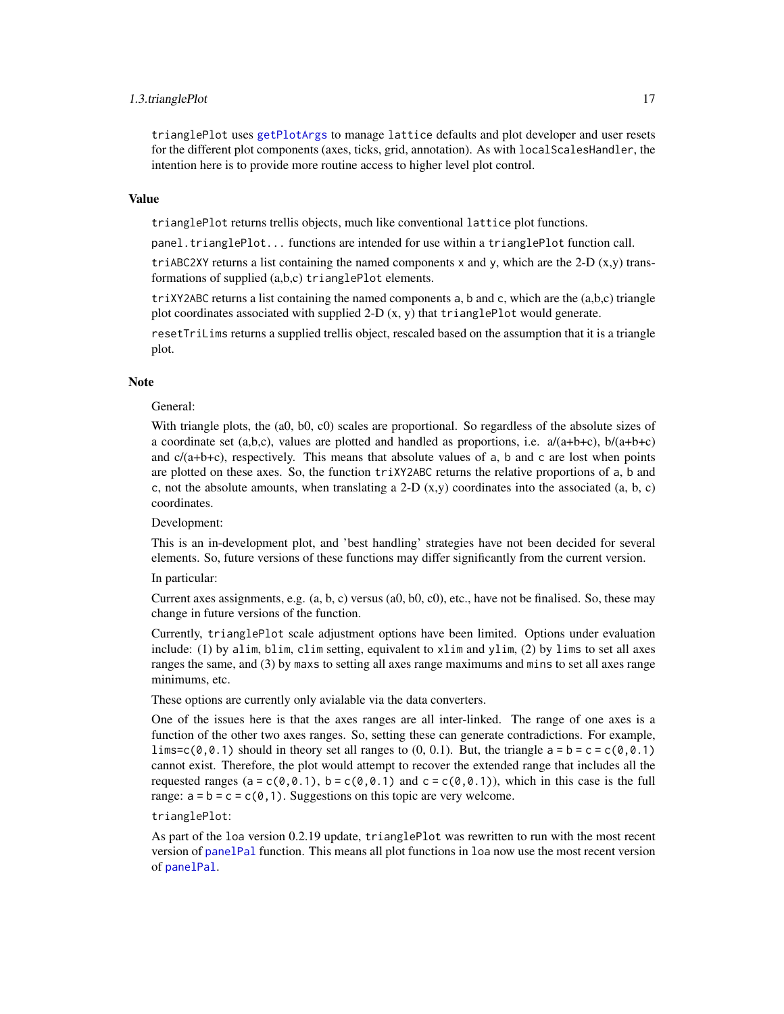### <span id="page-16-0"></span>1.3.trianglePlot 17

trianglePlot uses [getPlotArgs](#page-50-1) to manage lattice defaults and plot developer and user resets for the different plot components (axes, ticks, grid, annotation). As with localScalesHandler, the intention here is to provide more routine access to higher level plot control.

#### Value

trianglePlot returns trellis objects, much like conventional lattice plot functions.

panel.trianglePlot... functions are intended for use within a trianglePlot function call.

triABC2XY returns a list containing the named components x and y, which are the 2-D  $(x,y)$  transformations of supplied (a,b,c) trianglePlot elements.

 $triXY2ABC$  returns a list containing the named components a, b and c, which are the  $(a,b,c)$  triangle plot coordinates associated with supplied 2-D  $(x, y)$  that trianglePlot would generate.

resetTriLims returns a supplied trellis object, rescaled based on the assumption that it is a triangle plot.

#### Note

#### General:

With triangle plots, the (a0, b0, c0) scales are proportional. So regardless of the absolute sizes of a coordinate set  $(a,b,c)$ , values are plotted and handled as proportions, i.e.  $a/(a+b+c)$ ,  $b/(a+b+c)$ and  $c/(a+b+c)$ , respectively. This means that absolute values of a, b and c are lost when points are plotted on these axes. So, the function triXY2ABC returns the relative proportions of a, b and c, not the absolute amounts, when translating a 2-D  $(x,y)$  coordinates into the associated  $(a, b, c)$ coordinates.

Development:

This is an in-development plot, and 'best handling' strategies have not been decided for several elements. So, future versions of these functions may differ significantly from the current version.

In particular:

Current axes assignments, e.g.  $(a, b, c)$  versus  $(a0, b0, c0)$ , etc., have not be finalised. So, these may change in future versions of the function.

Currently, trianglePlot scale adjustment options have been limited. Options under evaluation include: (1) by alim, blim, clim setting, equivalent to xlim and ylim, (2) by lims to set all axes ranges the same, and (3) by maxs to setting all axes range maximums and mins to set all axes range minimums, etc.

These options are currently only avialable via the data converters.

One of the issues here is that the axes ranges are all inter-linked. The range of one axes is a function of the other two axes ranges. So, setting these can generate contradictions. For example, lims=c( $\theta$ , $\theta$ .1) should in theory set all ranges to (0, 0.1). But, the triangle  $a = b = c = c(\theta, \theta, 1)$ cannot exist. Therefore, the plot would attempt to recover the extended range that includes all the requested ranges (a = c(0,0.1), b = c(0,0.1) and c = c(0,0.1)), which in this case is the full range:  $a = b = c = c(0, 1)$ . Suggestions on this topic are very welcome.

trianglePlot:

As part of the loa version 0.2.19 update, trianglePlot was rewritten to run with the most recent version of [panelPal](#page-33-1) function. This means all plot functions in loa now use the most recent version of [panelPal](#page-33-1).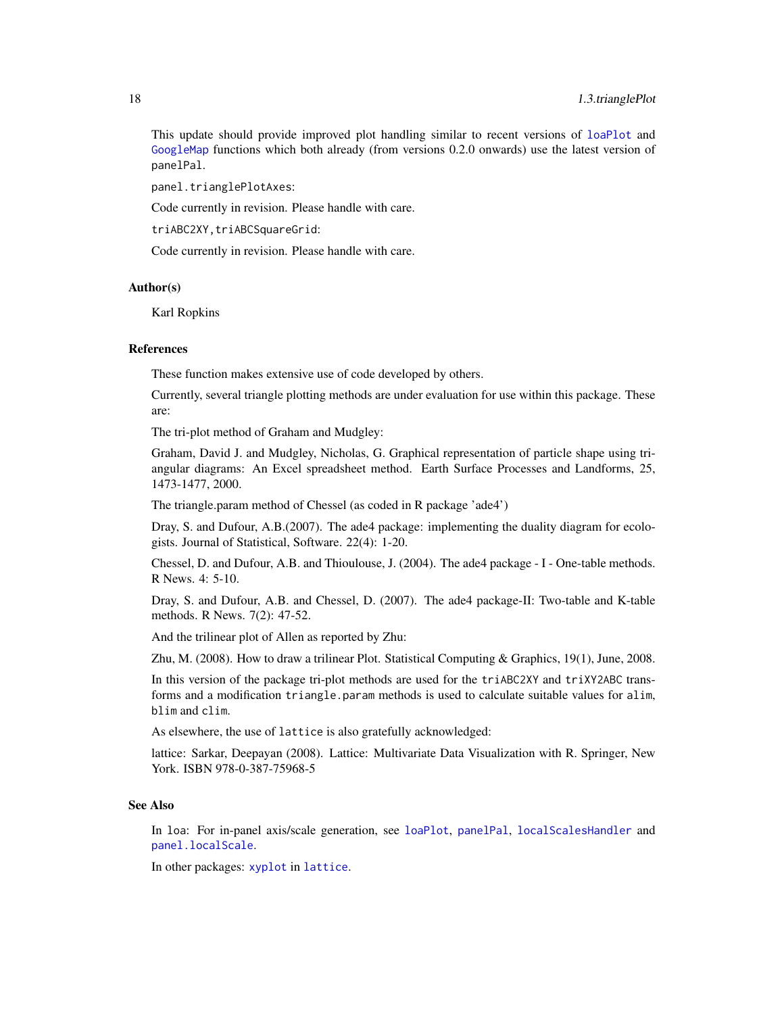<span id="page-17-0"></span>This update should provide improved plot handling similar to recent versions of [loaPlot](#page-3-1) and [GoogleMap](#page-7-1) functions which both already (from versions 0.2.0 onwards) use the latest version of panelPal.

panel.trianglePlotAxes:

Code currently in revision. Please handle with care.

triABC2XY,triABCSquareGrid:

Code currently in revision. Please handle with care.

### Author(s)

Karl Ropkins

### References

These function makes extensive use of code developed by others.

Currently, several triangle plotting methods are under evaluation for use within this package. These are:

The tri-plot method of Graham and Mudgley:

Graham, David J. and Mudgley, Nicholas, G. Graphical representation of particle shape using triangular diagrams: An Excel spreadsheet method. Earth Surface Processes and Landforms, 25, 1473-1477, 2000.

The triangle.param method of Chessel (as coded in R package 'ade4')

Dray, S. and Dufour, A.B.(2007). The ade4 package: implementing the duality diagram for ecologists. Journal of Statistical, Software. 22(4): 1-20.

Chessel, D. and Dufour, A.B. and Thioulouse, J. (2004). The ade4 package - I - One-table methods. R News. 4: 5-10.

Dray, S. and Dufour, A.B. and Chessel, D. (2007). The ade4 package-II: Two-table and K-table methods. R News. 7(2): 47-52.

And the trilinear plot of Allen as reported by Zhu:

Zhu, M. (2008). How to draw a trilinear Plot. Statistical Computing & Graphics, 19(1), June, 2008.

In this version of the package tri-plot methods are used for the triABC2XY and triXY2ABC transforms and a modification triangle.param methods is used to calculate suitable values for alim, blim and clim.

As elsewhere, the use of lattice is also gratefully acknowledged:

lattice: Sarkar, Deepayan (2008). Lattice: Multivariate Data Visualization with R. Springer, New York. ISBN 978-0-387-75968-5

### See Also

In loa: For in-panel axis/scale generation, see [loaPlot](#page-3-1), [panelPal](#page-33-1), [localScalesHandler](#page-40-1) and [panel.localScale](#page-40-1).

In other packages: [xyplot](#page-0-0) in [lattice](#page-0-0).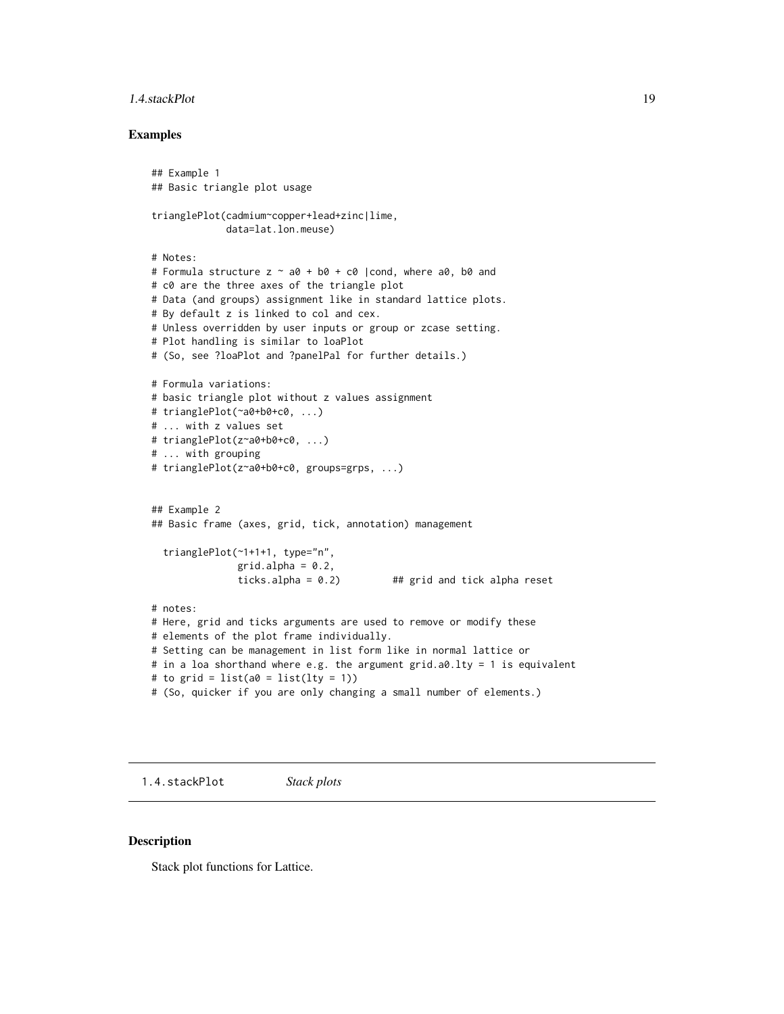### <span id="page-18-0"></span>1.4.stackPlot 19

### Examples

```
## Example 1
## Basic triangle plot usage
trianglePlot(cadmium~copper+lead+zinc|lime,
             data=lat.lon.meuse)
# Notes:
# Formula structure z \sim a0 + b0 + c0 |cond, where a0, b0 and
# c0 are the three axes of the triangle plot
# Data (and groups) assignment like in standard lattice plots.
# By default z is linked to col and cex.
# Unless overridden by user inputs or group or zcase setting.
# Plot handling is similar to loaPlot
# (So, see ?loaPlot and ?panelPal for further details.)
# Formula variations:
# basic triangle plot without z values assignment
# trianglePlot(~a0+b0+c0, ...)
# ... with z values set
# trianglePlot(z~a0+b0+c0, ...)
# ... with grouping
# trianglePlot(z~a0+b0+c0, groups=grps, ...)
## Example 2
## Basic frame (axes, grid, tick, annotation) management
  trianglePlot(~1+1+1, type="n",
               grid.alpha = 0.2,
               ticks.alpha = 0.2) ## grid and tick alpha reset
# notes:
# Here, grid and ticks arguments are used to remove or modify these
# elements of the plot frame individually.
# Setting can be management in list form like in normal lattice or
# in a loa shorthand where e.g. the argument grid.a0.lty = 1 is equivalent
# to grid = list(a\emptyset = list(lty = 1))
# (So, quicker if you are only changing a small number of elements.)
```
1.4.stackPlot *Stack plots*

### <span id="page-18-1"></span>Description

Stack plot functions for Lattice.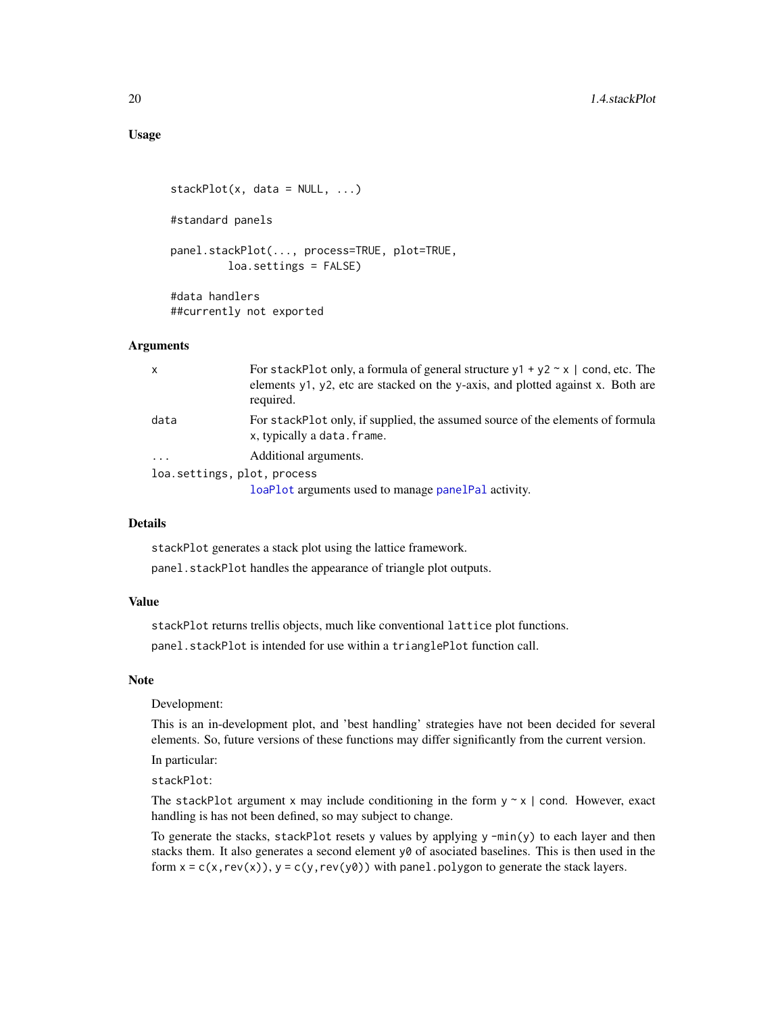```
stackPlot(x, data = NULL, ...)#standard panels
panel.stackPlot(..., process=TRUE, plot=TRUE,
         loa.settings = FALSE)
#data handlers
##currently not exported
```
### Arguments

| $\mathsf{x}$                | For stackPlot only, a formula of general structure $y1 + y2 \sim x$   cond, etc. The<br>elements y1, y2, etc are stacked on the y-axis, and plotted against x. Both are<br>required. |
|-----------------------------|--------------------------------------------------------------------------------------------------------------------------------------------------------------------------------------|
| data                        | For stackPlot only, if supplied, the assumed source of the elements of formula<br>x, typically a data. frame.                                                                        |
| $\ddotsc$                   | Additional arguments.                                                                                                                                                                |
| loa.settings, plot, process |                                                                                                                                                                                      |
|                             | loaPlot arguments used to manage panelPal activity.                                                                                                                                  |

### Details

stackPlot generates a stack plot using the lattice framework.

panel.stackPlot handles the appearance of triangle plot outputs.

### Value

stackPlot returns trellis objects, much like conventional lattice plot functions.

panel.stackPlot is intended for use within a trianglePlot function call.

### Note

Development:

This is an in-development plot, and 'best handling' strategies have not been decided for several elements. So, future versions of these functions may differ significantly from the current version.

In particular:

stackPlot:

The stackPlot argument x may include conditioning in the form  $y \sim x$  | cond. However, exact handling is has not been defined, so may subject to change.

To generate the stacks, stackPlot resets y values by applying y -min(y) to each layer and then stacks them. It also generates a second element  $y\theta$  of asociated baselines. This is then used in the form  $x = c(x, rev(x)), y = c(y, rev(y0))$  with panel.polygon to generate the stack layers.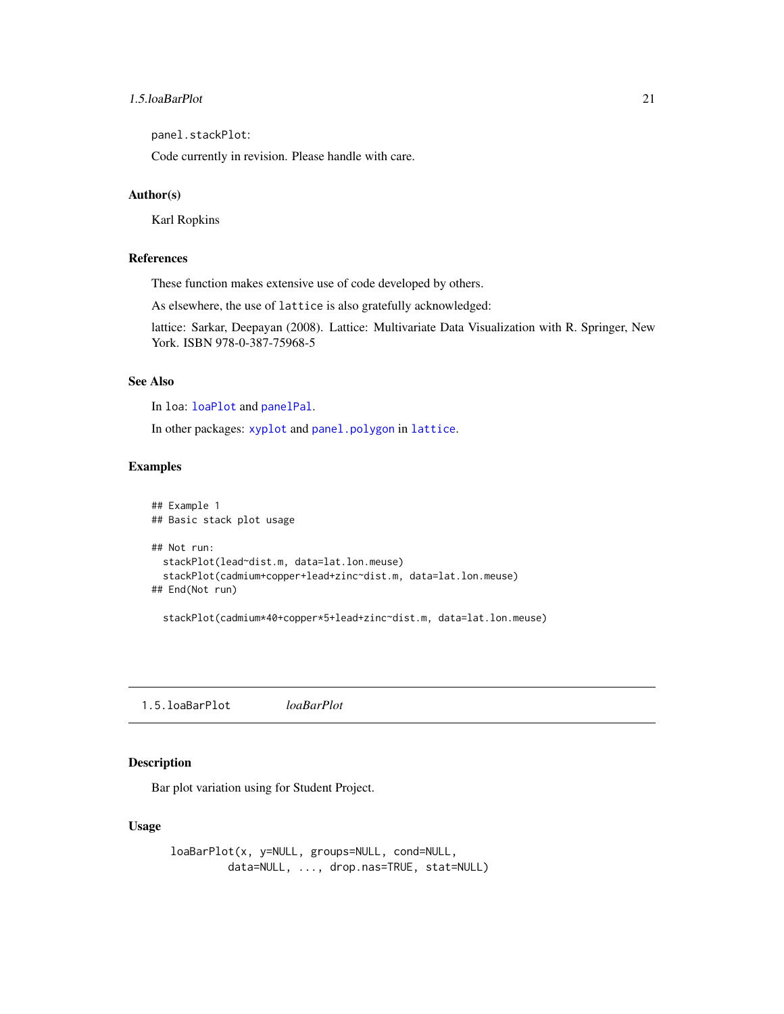### <span id="page-20-0"></span>1.5.loaBarPlot 21

panel.stackPlot:

Code currently in revision. Please handle with care.

### Author(s)

Karl Ropkins

### References

These function makes extensive use of code developed by others.

As elsewhere, the use of lattice is also gratefully acknowledged:

lattice: Sarkar, Deepayan (2008). Lattice: Multivariate Data Visualization with R. Springer, New York. ISBN 978-0-387-75968-5

### See Also

In loa: [loaPlot](#page-3-1) and [panelPal](#page-33-1).

In other packages: [xyplot](#page-0-0) and [panel.polygon](#page-0-0) in [lattice](#page-0-0).

### Examples

```
## Example 1
## Basic stack plot usage
## Not run:
 stackPlot(lead~dist.m, data=lat.lon.meuse)
 stackPlot(cadmium+copper+lead+zinc~dist.m, data=lat.lon.meuse)
## End(Not run)
```
stackPlot(cadmium\*40+copper\*5+lead+zinc~dist.m, data=lat.lon.meuse)

1.5.loaBarPlot *loaBarPlot*

### <span id="page-20-1"></span>Description

Bar plot variation using for Student Project.

### Usage

```
loaBarPlot(x, y=NULL, groups=NULL, cond=NULL,
        data=NULL, ..., drop.nas=TRUE, stat=NULL)
```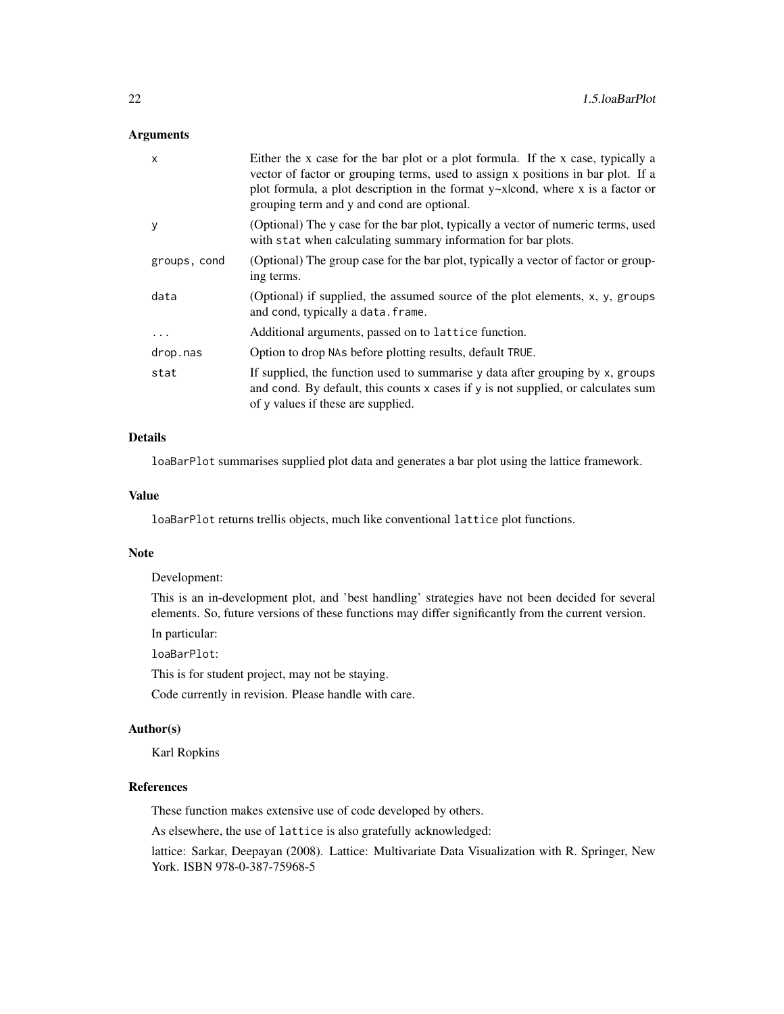### Arguments

| $\mathsf{x}$ | Either the x case for the bar plot or a plot formula. If the x case, typically a<br>vector of factor or grouping terms, used to assign x positions in bar plot. If a<br>plot formula, a plot description in the format $y \sim x$ kond, where x is a factor or<br>grouping term and y and cond are optional. |
|--------------|--------------------------------------------------------------------------------------------------------------------------------------------------------------------------------------------------------------------------------------------------------------------------------------------------------------|
| y            | (Optional) The y case for the bar plot, typically a vector of numeric terms, used<br>with stat when calculating summary information for bar plots.                                                                                                                                                           |
| groups, cond | (Optional) The group case for the bar plot, typically a vector of factor or group-<br>ing terms.                                                                                                                                                                                                             |
| data         | (Optional) if supplied, the assumed source of the plot elements, x, y, groups<br>and cond, typically a data. frame.                                                                                                                                                                                          |
| .            | Additional arguments, passed on to lattice function.                                                                                                                                                                                                                                                         |
| drop.nas     | Option to drop NAs before plotting results, default TRUE.                                                                                                                                                                                                                                                    |
| stat         | If supplied, the function used to summarise y data after grouping by x, groups<br>and cond. By default, this counts x cases if y is not supplied, or calculates sum<br>of y values if these are supplied.                                                                                                    |

### Details

loaBarPlot summarises supplied plot data and generates a bar plot using the lattice framework.

### Value

loaBarPlot returns trellis objects, much like conventional lattice plot functions.

### Note

Development:

This is an in-development plot, and 'best handling' strategies have not been decided for several elements. So, future versions of these functions may differ significantly from the current version.

In particular:

loaBarPlot:

This is for student project, may not be staying.

Code currently in revision. Please handle with care.

### Author(s)

Karl Ropkins

### References

These function makes extensive use of code developed by others.

As elsewhere, the use of lattice is also gratefully acknowledged:

lattice: Sarkar, Deepayan (2008). Lattice: Multivariate Data Visualization with R. Springer, New York. ISBN 978-0-387-75968-5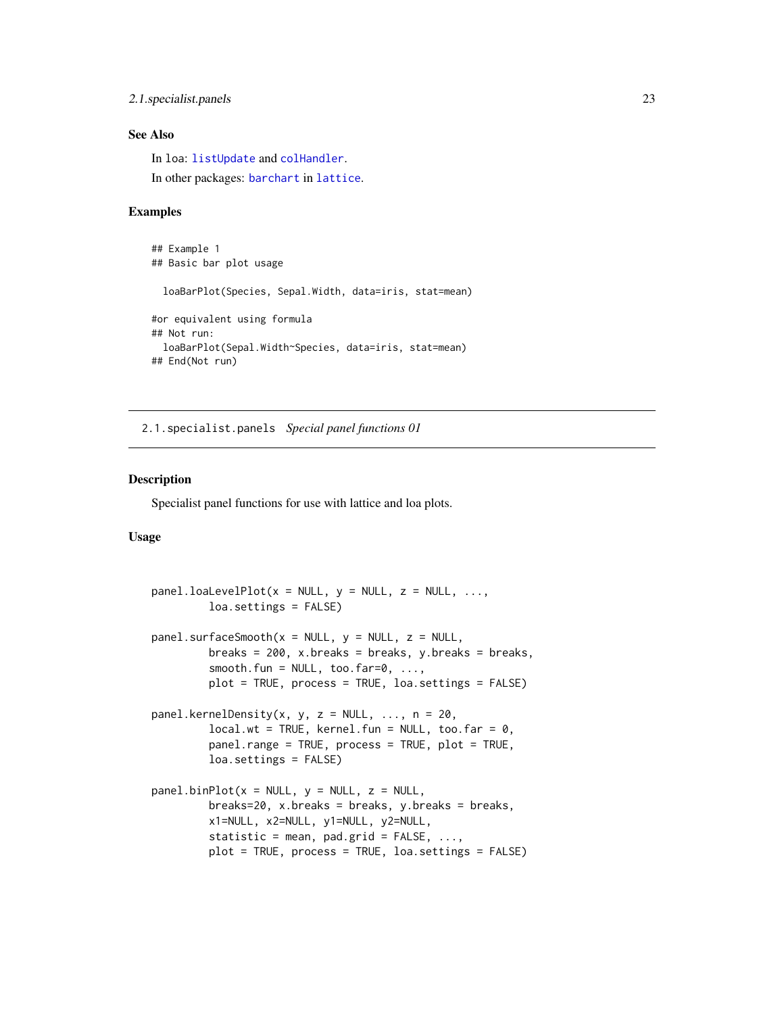### <span id="page-22-0"></span>2.1.specialist.panels 23

### See Also

In loa: [listUpdate](#page-54-1) and [colHandler](#page-45-1). In other packages: [barchart](#page-0-0) in [lattice](#page-0-0).

### Examples

```
## Example 1
## Basic bar plot usage
 loaBarPlot(Species, Sepal.Width, data=iris, stat=mean)
#or equivalent using formula
## Not run:
 loaBarPlot(Sepal.Width~Species, data=iris, stat=mean)
## End(Not run)
```
2.1.specialist.panels *Special panel functions 01*

#### <span id="page-22-1"></span>Description

Specialist panel functions for use with lattice and loa plots.

### Usage

```
panel.loaLevelPlot(x = NULL, y = NULL, z = NULL, ...,
         loa.settings = FALSE)
panel.surfaceSmooth(x = NULL, y = NULL, z = NULL,breaks = 200, x.breaks = breaks, y.breaks = breaks,
         smooth.fun = NULL, too.far=0, ...plot = TRUE, process = TRUE, loa.settings = FALSE)
panel.kernelDensity(x, y, z = NULL, ..., n = 20,
         local.wt = TRUE, Kernel.fun = NULL, too.far = <math>0</math>,panel.range = TRUE, process = TRUE, plot = TRUE,
         loa.settings = FALSE)
panel.binPlot(x = NULL, y = NULL, z = NULL,breaks=20, x.breaks = breaks, y.breaks = breaks,
         x1=NULL, x2=NULL, y1=NULL, y2=NULL,
         statistic = mean, pad.grid = FALSE, ...,plot = TRUE, process = TRUE, loa.settings = FALSE)
```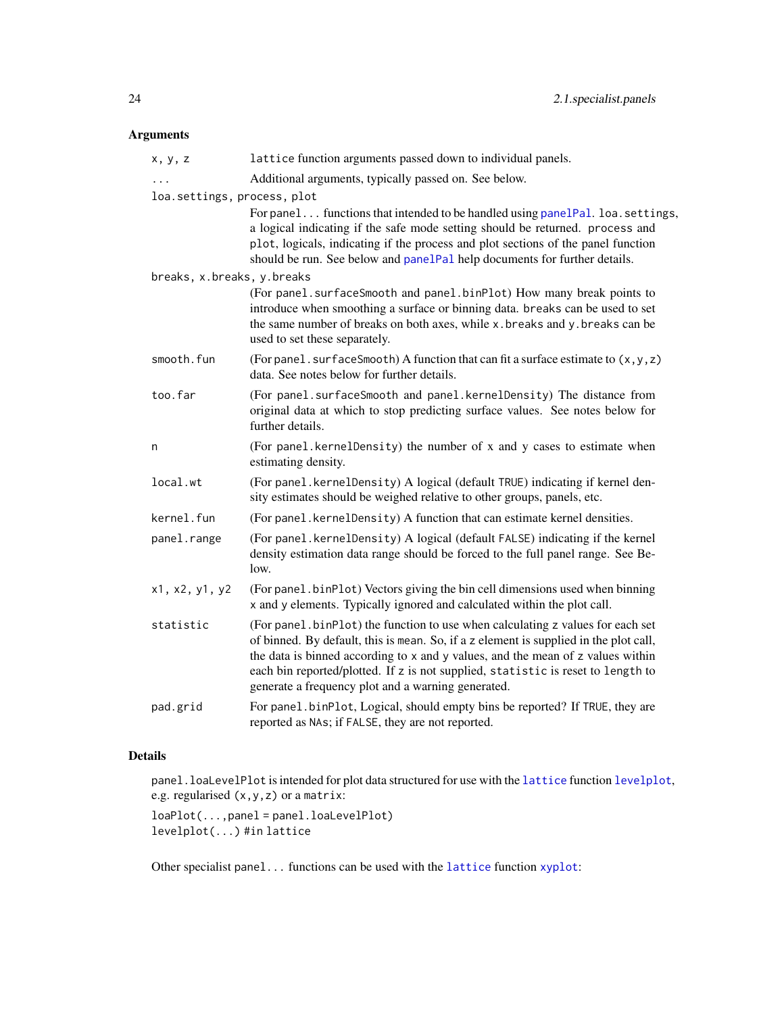### <span id="page-23-0"></span>Arguments

| x, y, z                     | lattice function arguments passed down to individual panels.                                                                                                                                                                                                                                                                                                                                           |
|-----------------------------|--------------------------------------------------------------------------------------------------------------------------------------------------------------------------------------------------------------------------------------------------------------------------------------------------------------------------------------------------------------------------------------------------------|
| $\ddots$                    | Additional arguments, typically passed on. See below.                                                                                                                                                                                                                                                                                                                                                  |
| loa.settings, process, plot |                                                                                                                                                                                                                                                                                                                                                                                                        |
|                             | For panel functions that intended to be handled using panelPal. loa.settings,<br>a logical indicating if the safe mode setting should be returned. process and<br>plot, logicals, indicating if the process and plot sections of the panel function<br>should be run. See below and panelPal help documents for further details.                                                                       |
| breaks, x.breaks, y.breaks  |                                                                                                                                                                                                                                                                                                                                                                                                        |
|                             | (For panel. surfaceSmooth and panel.binPlot) How many break points to<br>introduce when smoothing a surface or binning data. breaks can be used to set<br>the same number of breaks on both axes, while x. breaks and y. breaks can be<br>used to set these separately.                                                                                                                                |
| smooth.fun                  | (For panel. surfaceSmooth) A function that can fit a surface estimate to $(x, y, z)$<br>data. See notes below for further details.                                                                                                                                                                                                                                                                     |
| too.far                     | (For panel. surfaceSmooth and panel. kernelDensity) The distance from<br>original data at which to stop predicting surface values. See notes below for<br>further details.                                                                                                                                                                                                                             |
| n                           | (For panel.kernelDensity) the number of x and y cases to estimate when<br>estimating density.                                                                                                                                                                                                                                                                                                          |
| local.wt                    | (For panel.kernelDensity) A logical (default TRUE) indicating if kernel den-<br>sity estimates should be weighed relative to other groups, panels, etc.                                                                                                                                                                                                                                                |
| kernel.fun                  | (For panel. kernelDensity) A function that can estimate kernel densities.                                                                                                                                                                                                                                                                                                                              |
| panel.range                 | (For panel.kernelDensity) A logical (default FALSE) indicating if the kernel<br>density estimation data range should be forced to the full panel range. See Be-<br>low.                                                                                                                                                                                                                                |
| x1, x2, y1, y2              | (For panel.binPlot) Vectors giving the bin cell dimensions used when binning<br>x and y elements. Typically ignored and calculated within the plot call.                                                                                                                                                                                                                                               |
| statistic                   | (For panel . binPlot) the function to use when calculating z values for each set<br>of binned. By default, this is mean. So, if a z element is supplied in the plot call,<br>the data is binned according to x and y values, and the mean of z values within<br>each bin reported/plotted. If z is not supplied, statistic is reset to length to<br>generate a frequency plot and a warning generated. |
| pad.grid                    | For panel.binPlot, Logical, should empty bins be reported? If TRUE, they are<br>reported as NAs; if FALSE, they are not reported.                                                                                                                                                                                                                                                                      |

### Details

panel.loaLevelPlot is intended for plot data structured for use with the [lattice](#page-0-0) function [levelplot](#page-0-0), e.g. regularised (x,y,z) or a matrix:

loaPlot(...,panel = panel.loaLevelPlot) levelplot(...) #in lattice

Other specialist panel... functions can be used with the [lattice](#page-0-0) function [xyplot](#page-0-0):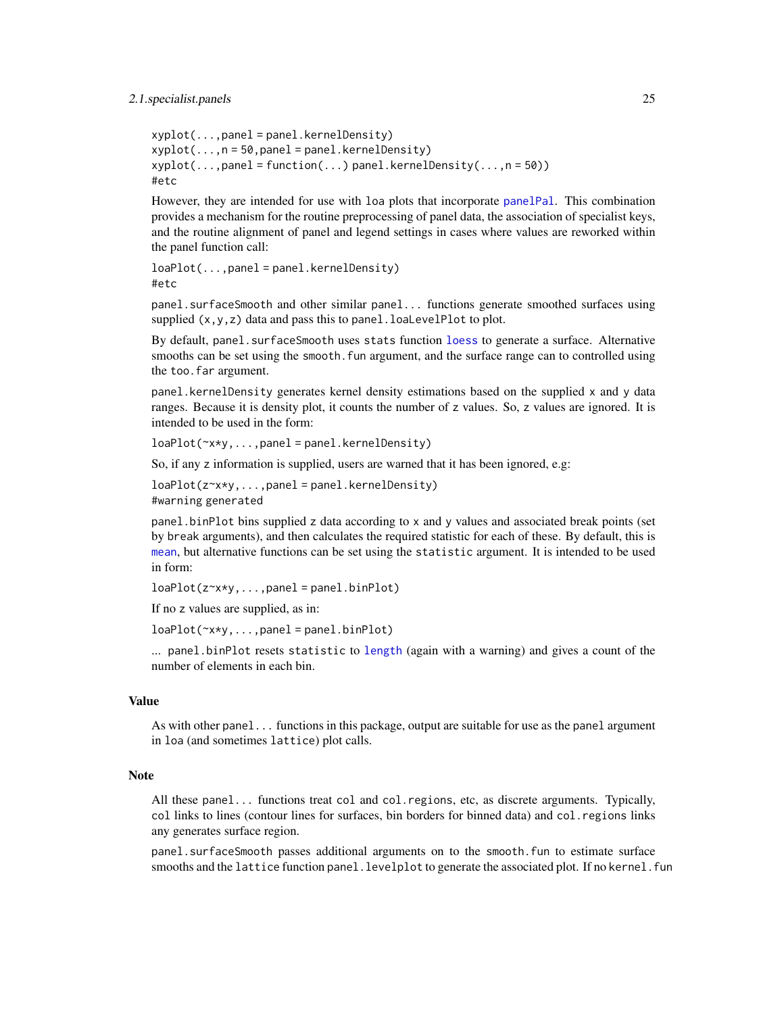#### <span id="page-24-0"></span>2.1.specialist.panels 25

```
xyplot(...,panel = panel.kernelDensity)
xyplot(...,n = 50, panel = panel.kernelDensity)
xyplot(...,panel = function(...) panel.kernelDensity(...,n = 50))
#etc
```
However, they are intended for use with loa plots that incorporate [panelPal](#page-33-1). This combination provides a mechanism for the routine preprocessing of panel data, the association of specialist keys, and the routine alignment of panel and legend settings in cases where values are reworked within the panel function call:

```
loaPlot(...,panel = panel.kernelDensity)
#etc
```
panel.surfaceSmooth and other similar panel... functions generate smoothed surfaces using supplied  $(x,y,z)$  data and pass this to panel. loaLevelPlot to plot.

By default, panel. surfaceSmooth uses stats function [loess](#page-0-0) to generate a surface. Alternative smooths can be set using the smooth. fun argument, and the surface range can to controlled using the too.far argument.

panel.kernelDensity generates kernel density estimations based on the supplied x and y data ranges. Because it is density plot, it counts the number of z values. So, z values are ignored. It is intended to be used in the form:

loaPlot(~x\*y,...,panel = panel.kernelDensity)

So, if any z information is supplied, users are warned that it has been ignored, e.g:

loaPlot(z~x\*y,...,panel = panel.kernelDensity) #warning generated

panel.binPlot bins supplied z data according to x and y values and associated break points (set by break arguments), and then calculates the required statistic for each of these. By default, this is [mean](#page-0-0), but alternative functions can be set using the statistic argument. It is intended to be used in form:

```
loaPlot(z \rightarrow x \rightarrow y, \ldots, panel = panel \text{.binPlot})
```
If no z values are supplied, as in:

```
loaPlot(\sim x*y, \ldots, panel = panel.binPlot)
```
... panel.binPlot resets statistic to [length](#page-0-0) (again with a warning) and gives a count of the number of elements in each bin.

### Value

As with other panel... functions in this package, output are suitable for use as the panel argument in loa (and sometimes lattice) plot calls.

### Note

All these panel... functions treat col and col.regions, etc, as discrete arguments. Typically, col links to lines (contour lines for surfaces, bin borders for binned data) and col.regions links any generates surface region.

panel.surfaceSmooth passes additional arguments on to the smooth.fun to estimate surface smooths and the lattice function panel.levelplot to generate the associated plot. If no kernel.fun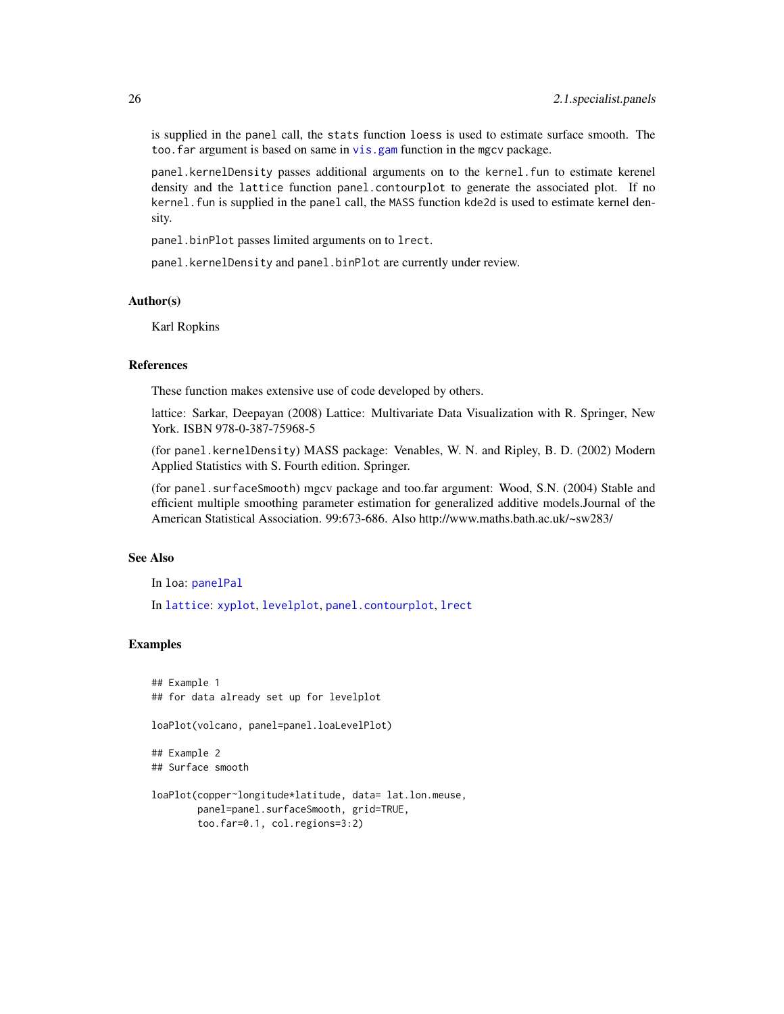<span id="page-25-0"></span>is supplied in the panel call, the stats function loess is used to estimate surface smooth. The too. far argument is based on same in vis. gam function in the mgcv package.

panel.kernelDensity passes additional arguments on to the kernel.fun to estimate kerenel density and the lattice function panel.contourplot to generate the associated plot. If no kernel. fun is supplied in the panel call, the MASS function kde2d is used to estimate kernel density.

panel.binPlot passes limited arguments on to lrect.

panel.kernelDensity and panel.binPlot are currently under review.

### Author(s)

Karl Ropkins

### References

These function makes extensive use of code developed by others.

lattice: Sarkar, Deepayan (2008) Lattice: Multivariate Data Visualization with R. Springer, New York. ISBN 978-0-387-75968-5

(for panel.kernelDensity) MASS package: Venables, W. N. and Ripley, B. D. (2002) Modern Applied Statistics with S. Fourth edition. Springer.

(for panel.surfaceSmooth) mgcv package and too.far argument: Wood, S.N. (2004) Stable and efficient multiple smoothing parameter estimation for generalized additive models.Journal of the American Statistical Association. 99:673-686. Also http://www.maths.bath.ac.uk/~sw283/

### See Also

In loa: [panelPal](#page-33-1)

In [lattice](#page-0-0): [xyplot](#page-0-0), [levelplot](#page-0-0), [panel.contourplot](#page-0-0), [lrect](#page-0-0)

### Examples

```
## Example 1
## for data already set up for levelplot
loaPlot(volcano, panel=panel.loaLevelPlot)
## Example 2
## Surface smooth
loaPlot(copper~longitude*latitude, data= lat.lon.meuse,
        panel=panel.surfaceSmooth, grid=TRUE,
        too.far=0.1, col.regions=3:2)
```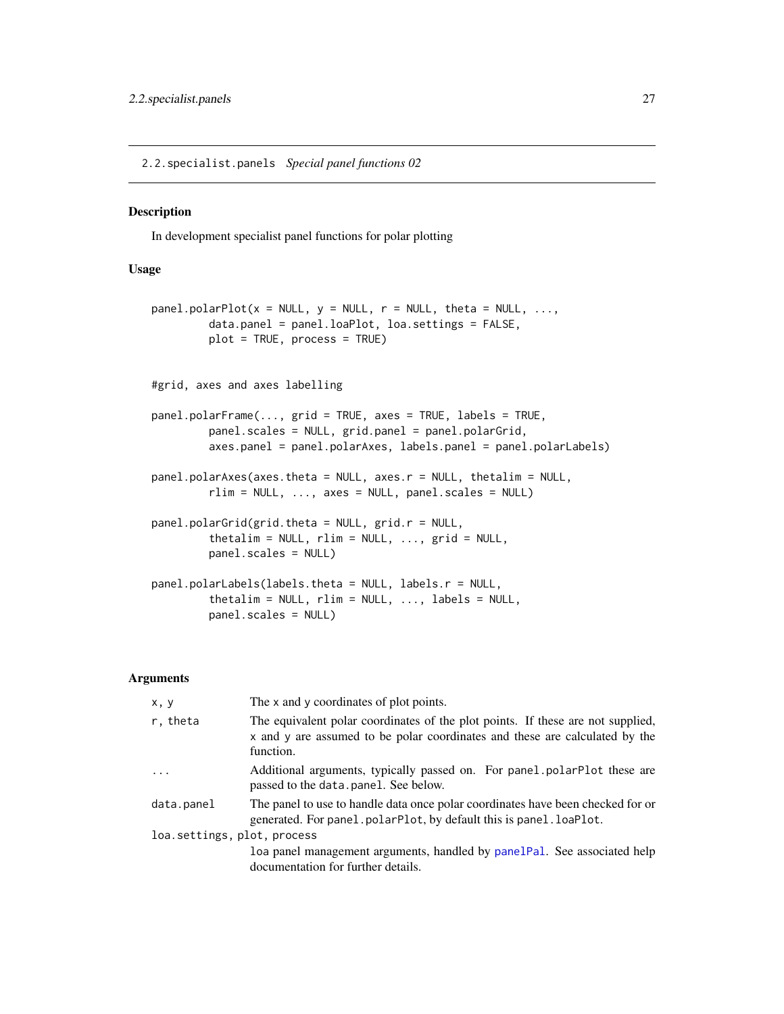<span id="page-26-0"></span>2.2.specialist.panels *Special panel functions 02*

### <span id="page-26-1"></span>Description

In development specialist panel functions for polar plotting

### Usage

```
panel.polarPlot(x = NULL, y = NULL, r = NULL, theta = NULL, ...,
         data.panel = panel.loaPlot, loa.settings = FALSE,
         plot = TRUE, process = TRUE)
#grid, axes and axes labelling
panel.polarFrame(..., grid = TRUE, axes = TRUE, labels = TRUE,
         panel.scales = NULL, grid.panel = panel.polarGrid,
         axes.panel = panel.polarAxes, labels.panel = panel.polarLabels)
panel.polarAxes(axes.theta = NULL, axes.r = NULL, thetalim = NULL,
         rlim = NULL, ..., axes = NULL, panel.scales = NULL)
panel.polarGrid(grid.theta = NULL, grid.r = NULL,
         thetalim = NULL, rlim = NULL, ..., grid = NULL,
         panel.scales = NULL)
panel.polarLabels(labels.theta = NULL, labels.r = NULL,
         thetalim = NULL, rlim = NULL, ..., labels = NULL,panel.scales = NULL)
```
### Arguments

| x, y                        | The x and y coordinates of plot points.                                                                                                                                     |
|-----------------------------|-----------------------------------------------------------------------------------------------------------------------------------------------------------------------------|
| r, theta                    | The equivalent polar coordinates of the plot points. If these are not supplied,<br>x and y are assumed to be polar coordinates and these are calculated by the<br>function. |
| $\ddots$ .                  | Additional arguments, typically passed on. For panel polarPlot these are<br>passed to the data.panel. See below.                                                            |
| data.panel                  | The panel to use to handle data once polar coordinates have been checked for or<br>generated. For panel.polarPlot, by default this is panel.loaPlot.                        |
| loa.settings, plot, process |                                                                                                                                                                             |
|                             | loa panel management arguments, handled by panelPal. See associated help<br>documentation for further details.                                                              |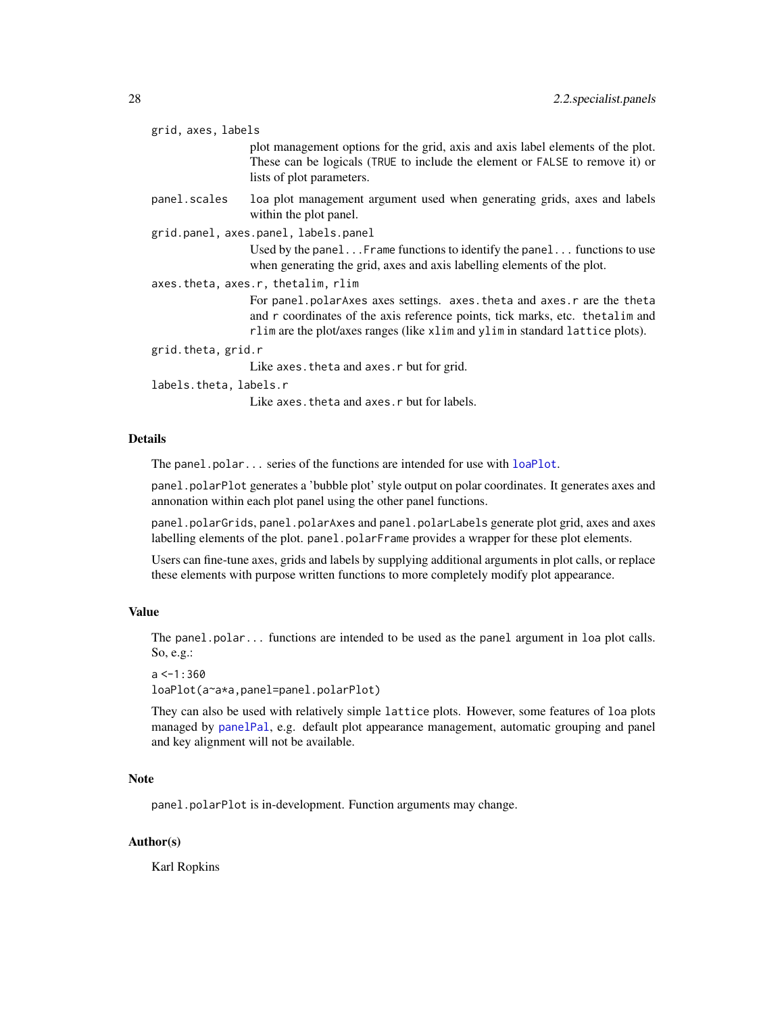<span id="page-27-0"></span>

| grid, axes, labels                 |                                                                                                                                                                                                                                              |  |
|------------------------------------|----------------------------------------------------------------------------------------------------------------------------------------------------------------------------------------------------------------------------------------------|--|
|                                    | plot management options for the grid, axis and axis label elements of the plot.<br>These can be logicals (TRUE to include the element or FALSE to remove it) or<br>lists of plot parameters.                                                 |  |
| panel.scales                       | loa plot management argument used when generating grids, axes and labels<br>within the plot panel.                                                                                                                                           |  |
|                                    | grid.panel, axes.panel, labels.panel                                                                                                                                                                                                         |  |
|                                    | Used by the panel Frame functions to identify the panel functions to use<br>when generating the grid, axes and axis labelling elements of the plot.                                                                                          |  |
| axes.theta, axes.r, thetalim, rlim |                                                                                                                                                                                                                                              |  |
|                                    | For panel. polarAxes axes settings. axes. theta and axes. r are the theta<br>and r coordinates of the axis reference points, tick marks, etc. the talim and<br>rlim are the plot/axes ranges (like xlim and ylim in standard lattice plots). |  |
| grid.theta, grid.r                 |                                                                                                                                                                                                                                              |  |
|                                    | Like axes. the ta and axes. r but for grid.                                                                                                                                                                                                  |  |
| labels.theta, labels.r             |                                                                                                                                                                                                                                              |  |
|                                    | Like axes, theta and axes, r but for labels.                                                                                                                                                                                                 |  |

### Details

The panel.polar... series of the functions are intended for use with [loaPlot](#page-3-1).

panel.polarPlot generates a 'bubble plot' style output on polar coordinates. It generates axes and annonation within each plot panel using the other panel functions.

panel.polarGrids, panel.polarAxes and panel.polarLabels generate plot grid, axes and axes labelling elements of the plot. panel.polarFrame provides a wrapper for these plot elements.

Users can fine-tune axes, grids and labels by supplying additional arguments in plot calls, or replace these elements with purpose written functions to more completely modify plot appearance.

### Value

The panel.polar... functions are intended to be used as the panel argument in loa plot calls. So, e.g.:

```
a < -1:360loaPlot(a~a*a,panel=panel.polarPlot)
```
They can also be used with relatively simple lattice plots. However, some features of loa plots managed by [panelPal](#page-33-1), e.g. default plot appearance management, automatic grouping and panel and key alignment will not be available.

### Note

panel.polarPlot is in-development. Function arguments may change.

### Author(s)

Karl Ropkins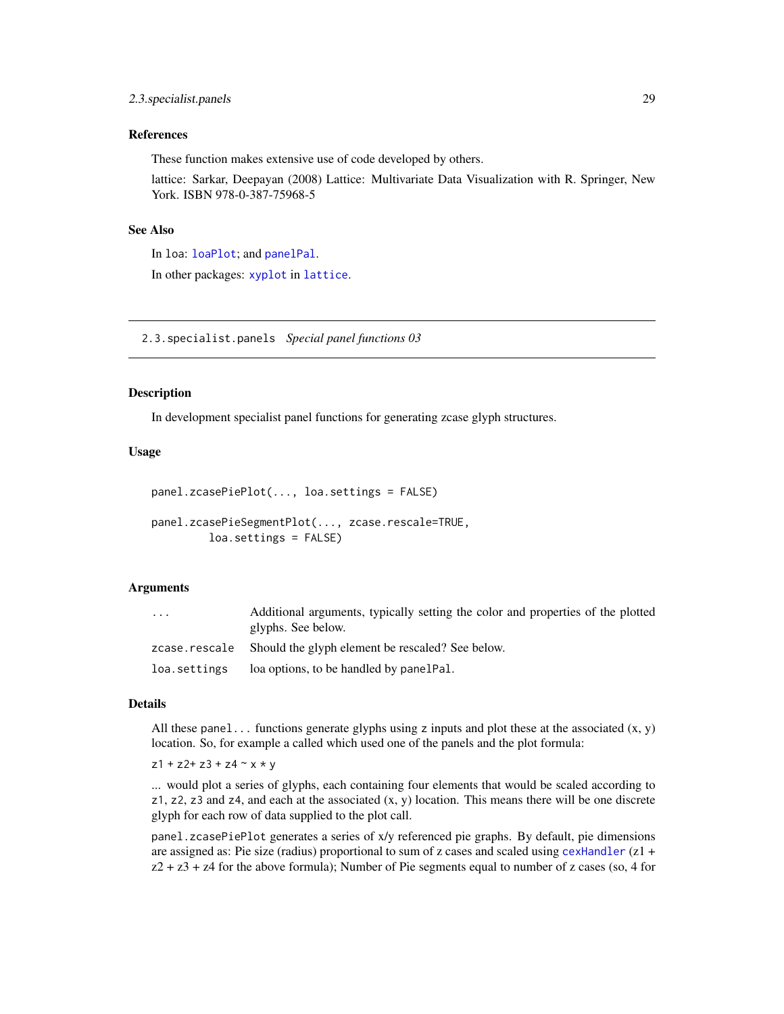### <span id="page-28-0"></span>References

These function makes extensive use of code developed by others.

lattice: Sarkar, Deepayan (2008) Lattice: Multivariate Data Visualization with R. Springer, New York. ISBN 978-0-387-75968-5

### See Also

In loa: [loaPlot](#page-3-1); and [panelPal](#page-33-1). In other packages: [xyplot](#page-0-0) in [lattice](#page-0-0).

2.3.specialist.panels *Special panel functions 03*

### Description

In development specialist panel functions for generating zcase glyph structures.

### Usage

```
panel.zcasePiePlot(..., loa.settings = FALSE)
```

```
panel.zcasePieSegmentPlot(..., zcase.rescale=TRUE,
         loa.settings = FALSE)
```
#### Arguments

| $\cdots$     | Additional arguments, typically setting the color and properties of the plotted<br>glyphs. See below. |
|--------------|-------------------------------------------------------------------------------------------------------|
|              | zcase.rescale Should the glyph element be rescaled? See below.                                        |
| loa.settings | loa options, to be handled by panelPal.                                                               |

### Details

All these panel... functions generate glyphs using z inputs and plot these at the associated  $(x, y)$ location. So, for example a called which used one of the panels and the plot formula:

 $z1 + z2 + z3 + z4 \sim x * y$ 

... would plot a series of glyphs, each containing four elements that would be scaled according to  $z1$ ,  $z2$ ,  $z3$  and  $z4$ , and each at the associated  $(x, y)$  location. This means there will be one discrete glyph for each row of data supplied to the plot call.

panel.zcasePiePlot generates a series of x/y referenced pie graphs. By default, pie dimensions are assigned as: Pie size (radius) proportional to sum of z cases and scaled using [cexHandler](#page-45-1)  $(z1 +$  $z^2 + z^3 + z^4$  for the above formula); Number of Pie segments equal to number of z cases (so, 4 for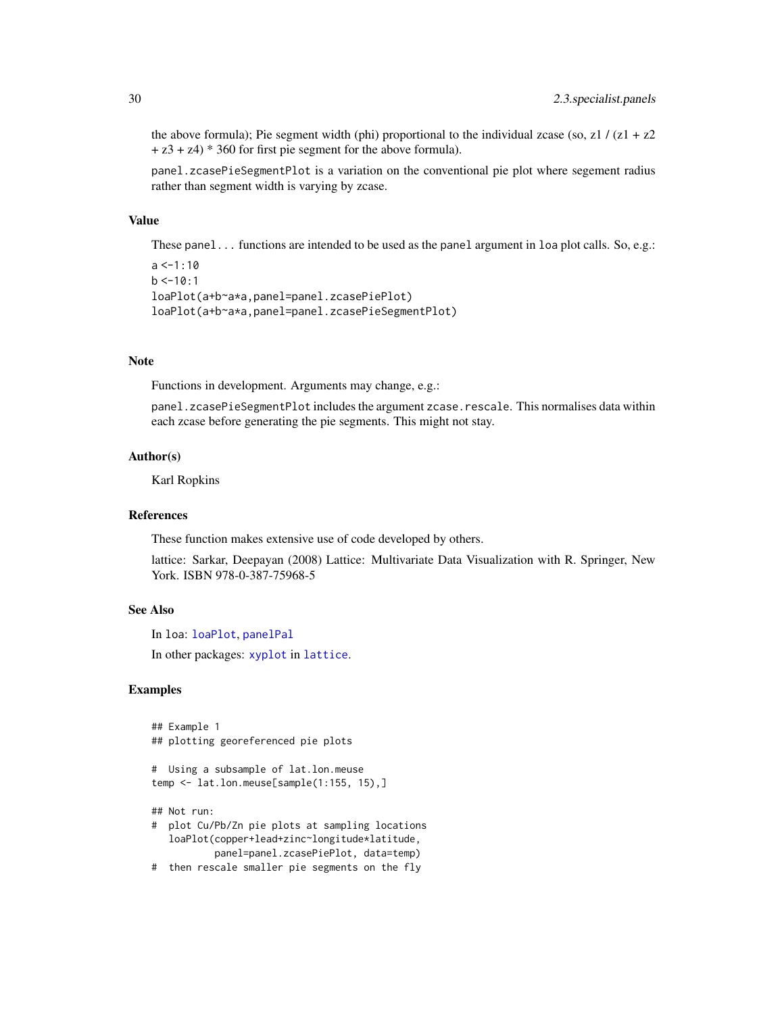the above formula); Pie segment width (phi) proportional to the individual zcase (so, z1 /  $(z1 + z2)$  $+ z3 + z4$ )  $* 360$  for first pie segment for the above formula).

panel.zcasePieSegmentPlot is a variation on the conventional pie plot where segement radius rather than segment width is varying by zcase.

### Value

These panel... functions are intended to be used as the panel argument in loa plot calls. So, e.g.:

```
a < -1:10b < -10:1loaPlot(a+b~a*a,panel=panel.zcasePiePlot)
loaPlot(a+b~a*a,panel=panel.zcasePieSegmentPlot)
```
#### Note

Functions in development. Arguments may change, e.g.:

panel.zcasePieSegmentPlot includes the argument zcase.rescale. This normalises data within each zcase before generating the pie segments. This might not stay.

#### Author(s)

Karl Ropkins

### References

These function makes extensive use of code developed by others.

lattice: Sarkar, Deepayan (2008) Lattice: Multivariate Data Visualization with R. Springer, New York. ISBN 978-0-387-75968-5

### See Also

In loa: [loaPlot](#page-3-1), [panelPal](#page-33-1)

In other packages: [xyplot](#page-0-0) in [lattice](#page-0-0).

#### Examples

```
## Example 1
## plotting georeferenced pie plots
```

```
# Using a subsample of lat.lon.meuse
temp <- lat.lon.meuse[sample(1:155, 15),]
```
## Not run:

- # plot Cu/Pb/Zn pie plots at sampling locations loaPlot(copper+lead+zinc~longitude\*latitude, panel=panel.zcasePiePlot, data=temp)
- # then rescale smaller pie segments on the fly

<span id="page-29-0"></span>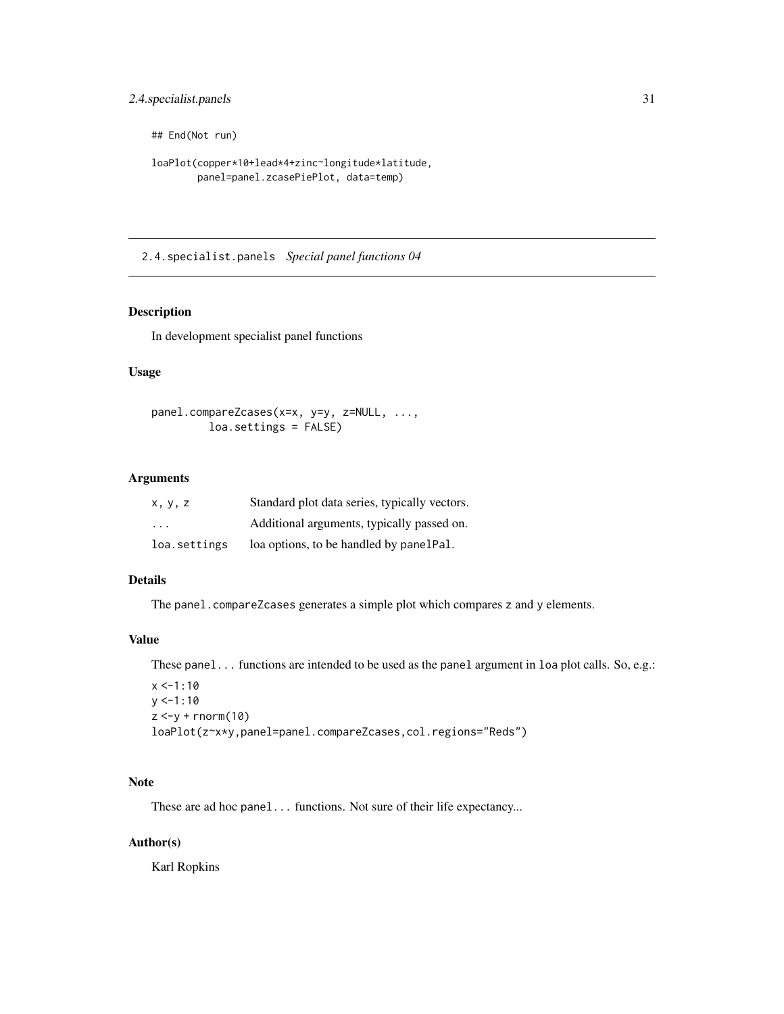### <span id="page-30-0"></span>2.4.specialist.panels 31

## End(Not run)

```
loaPlot(copper*10+lead*4+zinc~longitude*latitude,
        panel=panel.zcasePiePlot, data=temp)
```
2.4.specialist.panels *Special panel functions 04*

### Description

In development specialist panel functions

### Usage

```
panel.compareZcases(x=x, y=y, z=NULL, ...,
        loa.settings = FALSE)
```
### Arguments

| X, V, Z                 | Standard plot data series, typically vectors. |
|-------------------------|-----------------------------------------------|
| $\cdot$ $\cdot$ $\cdot$ | Additional arguments, typically passed on.    |
| loa.settings            | loa options, to be handled by panelPal.       |

### Details

The panel.compareZcases generates a simple plot which compares z and y elements.

### Value

These panel... functions are intended to be used as the panel argument in loa plot calls. So, e.g.:

```
x < -1:10y < -1:10z < -y + rnorm(10)loaPlot(z~x*y,panel=panel.compareZcases,col.regions="Reds")
```
### Note

These are ad hoc panel... functions. Not sure of their life expectancy...

### Author(s)

Karl Ropkins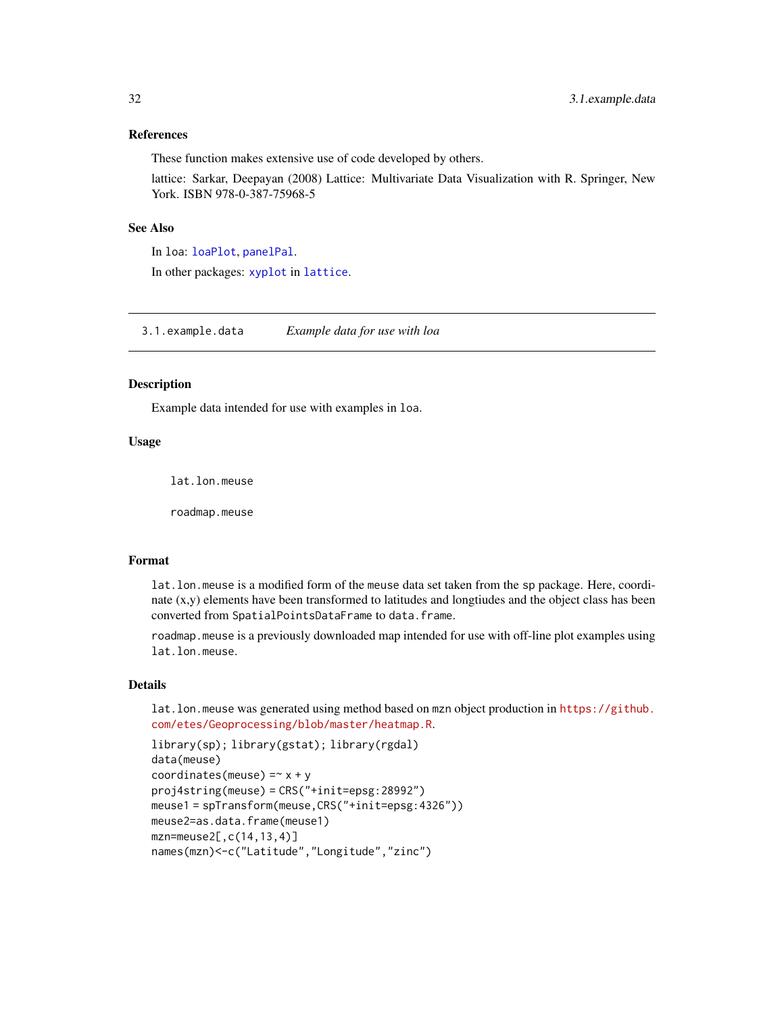### <span id="page-31-0"></span>References

These function makes extensive use of code developed by others.

lattice: Sarkar, Deepayan (2008) Lattice: Multivariate Data Visualization with R. Springer, New York. ISBN 978-0-387-75968-5

### See Also

In loa: [loaPlot](#page-3-1), [panelPal](#page-33-1). In other packages: [xyplot](#page-0-0) in [lattice](#page-0-0).

3.1.example.data *Example data for use with loa*

#### <span id="page-31-1"></span>Description

Example data intended for use with examples in loa.

### Usage

lat.lon.meuse

roadmap.meuse

#### Format

lat.lon.meuse is a modified form of the meuse data set taken from the sp package. Here, coordinate  $(x,y)$  elements have been transformed to latitudes and longtiudes and the object class has been converted from SpatialPointsDataFrame to data.frame.

roadmap.meuse is a previously downloaded map intended for use with off-line plot examples using lat.lon.meuse.

### Details

lat.lon.meuse was generated using method based on mzn object production in [https://github.](https://github.com/etes/Geoprocessing/blob/master/heatmap.R) [com/etes/Geoprocessing/blob/master/heatmap.R](https://github.com/etes/Geoprocessing/blob/master/heatmap.R).

```
library(sp); library(gstat); library(rgdal)
data(meuse)
coordinates(meuse) = -x + yproj4string(meuse) = CRS("+init=epsg:28992")
meuse1 = spTransform(meuse,CRS("+init=epsg:4326"))
meuse2=as.data.frame(meuse1)
mzn=meuse2[,c(14,13,4)]
names(mzn)<-c("Latitude","Longitude","zinc")
```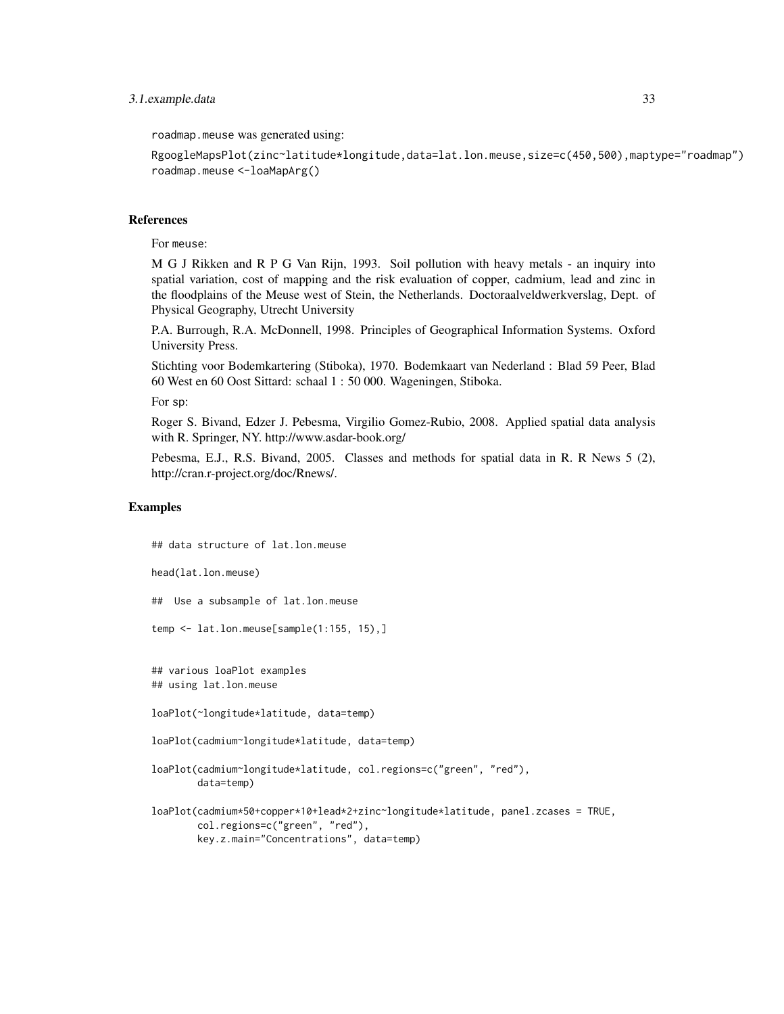### 3.1.example.data 33

roadmap.meuse was generated using:

RgoogleMapsPlot(zinc~latitude\*longitude,data=lat.lon.meuse,size=c(450,500),maptype="roadmap") roadmap.meuse <-loaMapArg()

### References

For meuse:

M G J Rikken and R P G Van Rijn, 1993. Soil pollution with heavy metals - an inquiry into spatial variation, cost of mapping and the risk evaluation of copper, cadmium, lead and zinc in the floodplains of the Meuse west of Stein, the Netherlands. Doctoraalveldwerkverslag, Dept. of Physical Geography, Utrecht University

P.A. Burrough, R.A. McDonnell, 1998. Principles of Geographical Information Systems. Oxford University Press.

Stichting voor Bodemkartering (Stiboka), 1970. Bodemkaart van Nederland : Blad 59 Peer, Blad 60 West en 60 Oost Sittard: schaal 1 : 50 000. Wageningen, Stiboka.

For sp:

Roger S. Bivand, Edzer J. Pebesma, Virgilio Gomez-Rubio, 2008. Applied spatial data analysis with R. Springer, NY. http://www.asdar-book.org/

Pebesma, E.J., R.S. Bivand, 2005. Classes and methods for spatial data in R. R News 5 (2), http://cran.r-project.org/doc/Rnews/.

### Examples

## data structure of lat.lon.meuse head(lat.lon.meuse) ## Use a subsample of lat.lon.meuse temp <- lat.lon.meuse[sample(1:155, 15),] ## various loaPlot examples ## using lat.lon.meuse loaPlot(~longitude\*latitude, data=temp) loaPlot(cadmium~longitude\*latitude, data=temp) loaPlot(cadmium~longitude\*latitude, col.regions=c("green", "red"), data=temp) loaPlot(cadmium\*50+copper\*10+lead\*2+zinc~longitude\*latitude, panel.zcases = TRUE, col.regions=c("green", "red"), key.z.main="Concentrations", data=temp)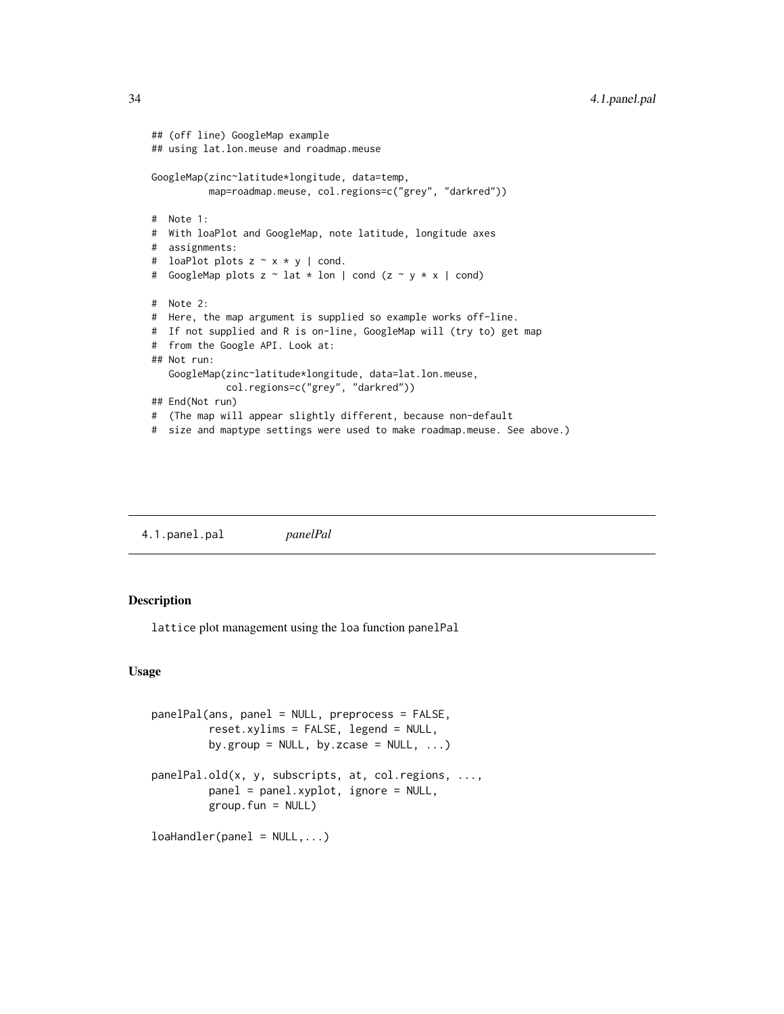```
## (off line) GoogleMap example
## using lat.lon.meuse and roadmap.meuse
GoogleMap(zinc~latitude*longitude, data=temp,
         map=roadmap.meuse, col.regions=c("grey", "darkred"))
# Note 1:
# With loaPlot and GoogleMap, note latitude, longitude axes
# assignments:
# loaPlot plots z ~ x * y | cond.
# GoogleMap plots z ~ lat * lon | cond (z ~ y * x | cond)
# Note 2:
# Here, the map argument is supplied so example works off-line.
# If not supplied and R is on-line, GoogleMap will (try to) get map
# from the Google API. Look at:
## Not run:
  GoogleMap(zinc~latitude*longitude, data=lat.lon.meuse,
            col.regions=c("grey", "darkred"))
## End(Not run)
# (The map will appear slightly different, because non-default
# size and maptype settings were used to make roadmap.meuse. See above.)
```
4.1.panel.pal *panelPal*

### <span id="page-33-1"></span>Description

lattice plot management using the loa function panelPal

#### Usage

```
panelPal(ans, panel = NULL, preprocess = FALSE,
         reset.xylims = FALSE, legend = NULL,
         by.group = NULL, by.zcase = NULL, ...)panelPal.old(x, y, subscripts, at, col.regions, ...,
         panel = panel.xyplot, ignore = NULL,
         group.fun = NULL)
loaHandler(panel = NULL,...)
```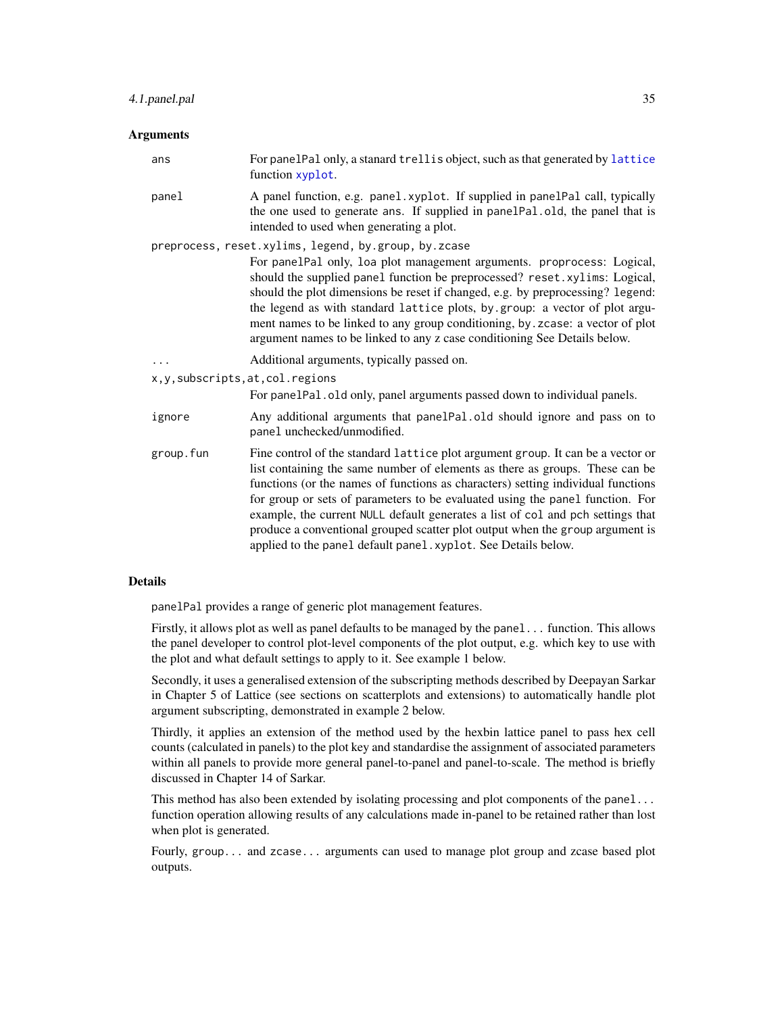### <span id="page-34-0"></span>Arguments

| ans                                | For panelPal only, a stanard trellis object, such as that generated by lattice<br>function xyplot.                                                                                                                                                                                                                                                                                                                                                                                                                                                                         |
|------------------------------------|----------------------------------------------------------------------------------------------------------------------------------------------------------------------------------------------------------------------------------------------------------------------------------------------------------------------------------------------------------------------------------------------------------------------------------------------------------------------------------------------------------------------------------------------------------------------------|
| panel                              | A panel function, e.g. panel.xyplot. If supplied in panelPal call, typically<br>the one used to generate ans. If supplied in panelPal.old, the panel that is<br>intended to used when generating a plot.                                                                                                                                                                                                                                                                                                                                                                   |
|                                    | preprocess, reset.xylims, legend, by.group, by.zcase<br>For panelPal only, loa plot management arguments. proprocess: Logical,<br>should the supplied panel function be preprocessed? reset.xylims: Logical,<br>should the plot dimensions be reset if changed, e.g. by preprocessing? legend:<br>the legend as with standard lattice plots, by .group: a vector of plot argu-<br>ment names to be linked to any group conditioning, by . zcase: a vector of plot<br>argument names to be linked to any z case conditioning See Details below.                             |
|                                    | Additional arguments, typically passed on.                                                                                                                                                                                                                                                                                                                                                                                                                                                                                                                                 |
| x, y, subscripts, at, col. regions | For panelPal.old only, panel arguments passed down to individual panels.                                                                                                                                                                                                                                                                                                                                                                                                                                                                                                   |
| ignore                             | Any additional arguments that panelPal.old should ignore and pass on to<br>panel unchecked/unmodified.                                                                                                                                                                                                                                                                                                                                                                                                                                                                     |
| group.fun                          | Fine control of the standard lattice plot argument group. It can be a vector or<br>list containing the same number of elements as there as groups. These can be<br>functions (or the names of functions as characters) setting individual functions<br>for group or sets of parameters to be evaluated using the panel function. For<br>example, the current NULL default generates a list of col and pch settings that<br>produce a conventional grouped scatter plot output when the group argument is<br>applied to the panel default panel. xyplot. See Details below. |

#### Details

panelPal provides a range of generic plot management features.

Firstly, it allows plot as well as panel defaults to be managed by the panel... function. This allows the panel developer to control plot-level components of the plot output, e.g. which key to use with the plot and what default settings to apply to it. See example 1 below.

Secondly, it uses a generalised extension of the subscripting methods described by Deepayan Sarkar in Chapter 5 of Lattice (see sections on scatterplots and extensions) to automatically handle plot argument subscripting, demonstrated in example 2 below.

Thirdly, it applies an extension of the method used by the hexbin lattice panel to pass hex cell counts (calculated in panels) to the plot key and standardise the assignment of associated parameters within all panels to provide more general panel-to-panel and panel-to-scale. The method is briefly discussed in Chapter 14 of Sarkar.

This method has also been extended by isolating processing and plot components of the panel... function operation allowing results of any calculations made in-panel to be retained rather than lost when plot is generated.

Fourly, group... and zcase... arguments can used to manage plot group and zcase based plot outputs.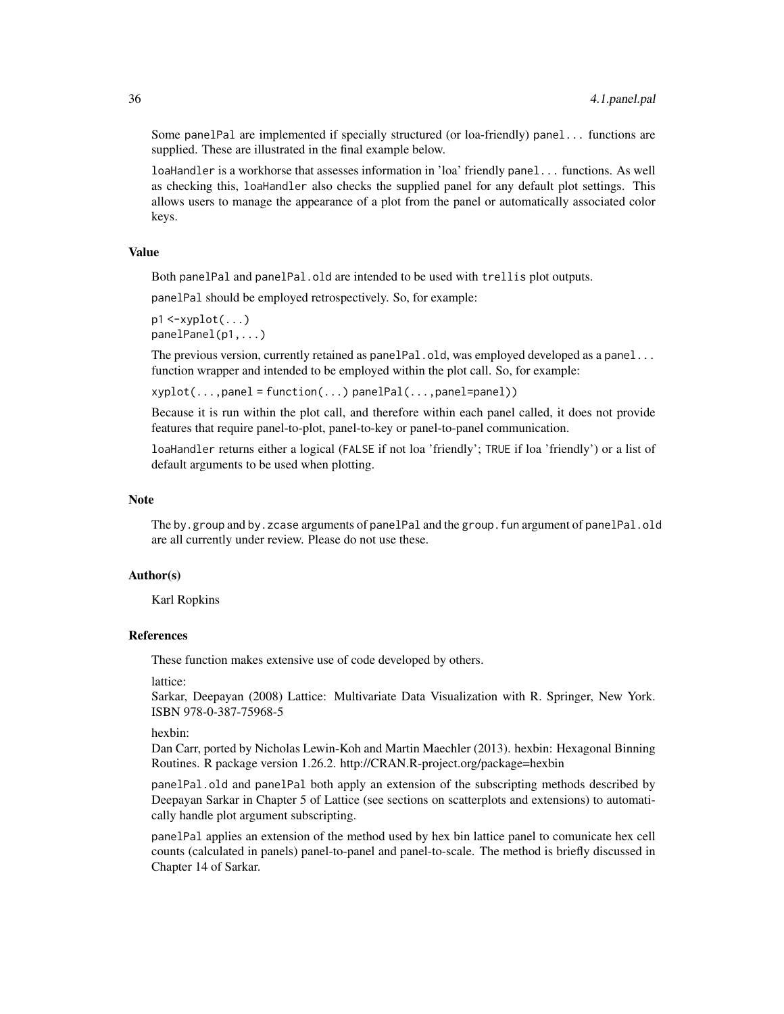Some panelPal are implemented if specially structured (or loa-friendly) panel... functions are supplied. These are illustrated in the final example below.

loaHandler is a workhorse that assesses information in 'loa' friendly panel... functions. As well as checking this, loaHandler also checks the supplied panel for any default plot settings. This allows users to manage the appearance of a plot from the panel or automatically associated color keys.

### Value

Both panelPal and panelPal.old are intended to be used with trellis plot outputs.

panelPal should be employed retrospectively. So, for example:

 $p1 \leq -xyplot( \dots )$ panelPanel(p1,...)

The previous version, currently retained as panelPal.old, was employed developed as a panel... function wrapper and intended to be employed within the plot call. So, for example:

xyplot(...,panel = function(...) panelPal(...,panel=panel))

Because it is run within the plot call, and therefore within each panel called, it does not provide features that require panel-to-plot, panel-to-key or panel-to-panel communication.

loaHandler returns either a logical (FALSE if not loa 'friendly'; TRUE if loa 'friendly') or a list of default arguments to be used when plotting.

#### Note

The by.group and by.zcase arguments of panelPal and the group.fun argument of panelPal.old are all currently under review. Please do not use these.

### Author(s)

Karl Ropkins

### References

These function makes extensive use of code developed by others.

lattice:

Sarkar, Deepayan (2008) Lattice: Multivariate Data Visualization with R. Springer, New York. ISBN 978-0-387-75968-5

hexbin:

Dan Carr, ported by Nicholas Lewin-Koh and Martin Maechler (2013). hexbin: Hexagonal Binning Routines. R package version 1.26.2. http://CRAN.R-project.org/package=hexbin

panelPal.old and panelPal both apply an extension of the subscripting methods described by Deepayan Sarkar in Chapter 5 of Lattice (see sections on scatterplots and extensions) to automatically handle plot argument subscripting.

panelPal applies an extension of the method used by hex bin lattice panel to comunicate hex cell counts (calculated in panels) panel-to-panel and panel-to-scale. The method is briefly discussed in Chapter 14 of Sarkar.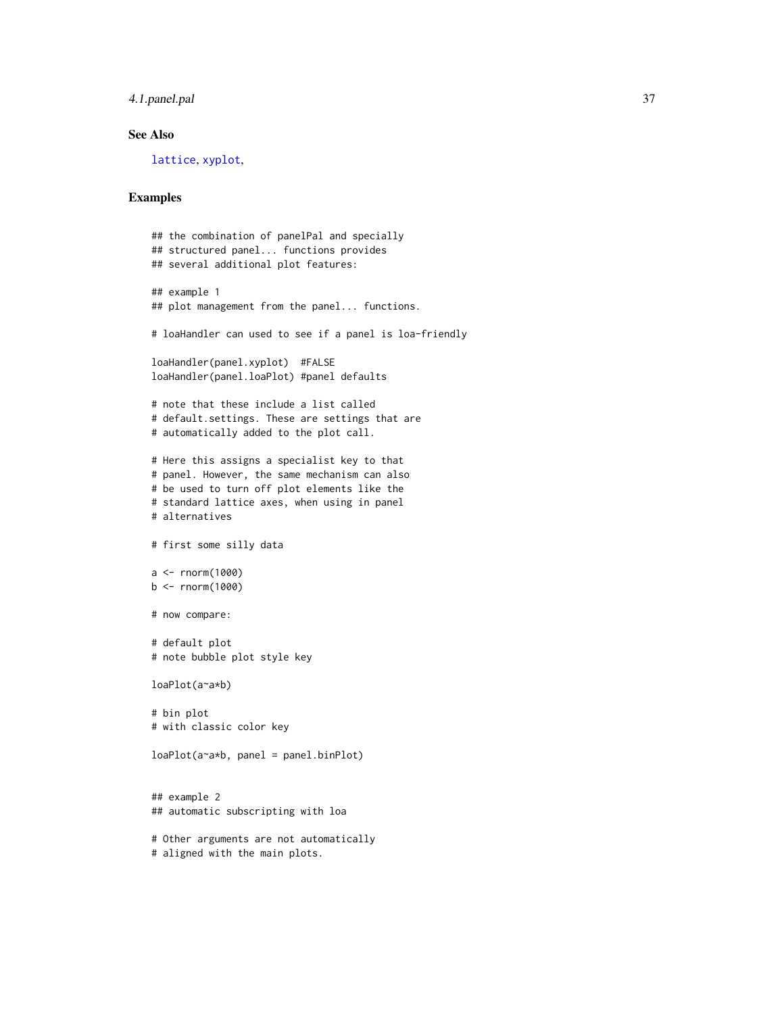### <span id="page-36-0"></span>4.1.panel.pal 37

### See Also

[lattice](#page-0-0), [xyplot](#page-0-0),

### Examples

```
## the combination of panelPal and specially
## structured panel... functions provides
## several additional plot features:
## example 1
## plot management from the panel... functions.
# loaHandler can used to see if a panel is loa-friendly
loaHandler(panel.xyplot) #FALSE
loaHandler(panel.loaPlot) #panel defaults
# note that these include a list called
# default.settings. These are settings that are
# automatically added to the plot call.
# Here this assigns a specialist key to that
# panel. However, the same mechanism can also
# be used to turn off plot elements like the
# standard lattice axes, when using in panel
# alternatives
# first some silly data
a < - rnorm(1000)
b \le rnorm(1000)
# now compare:
# default plot
# note bubble plot style key
loaPlot(a~a*b)
# bin plot
# with classic color key
loaPlot(a~a*b, panel = panel.binPlot)
## example 2
## automatic subscripting with loa
# Other arguments are not automatically
# aligned with the main plots.
```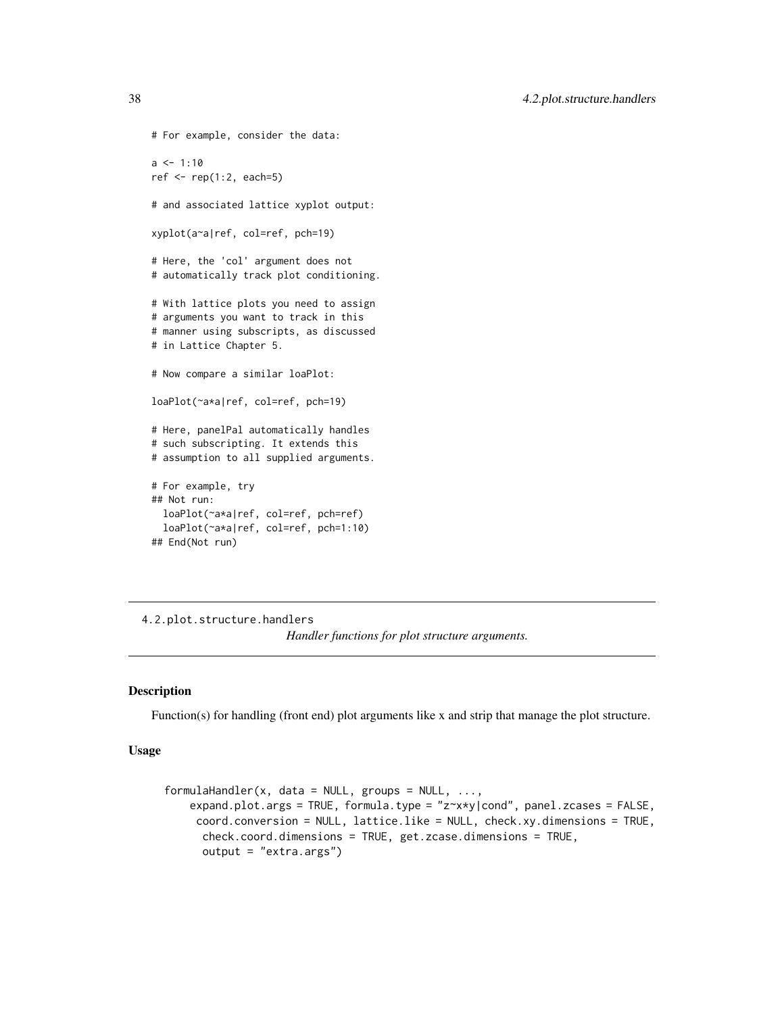<span id="page-37-0"></span>38 4.2.plot.structure.handlers

```
# For example, consider the data:
a \le -1:10ref \leq rep(1:2, each=5)
# and associated lattice xyplot output:
xyplot(a~a|ref, col=ref, pch=19)
# Here, the 'col' argument does not
# automatically track plot conditioning.
# With lattice plots you need to assign
# arguments you want to track in this
# manner using subscripts, as discussed
# in Lattice Chapter 5.
# Now compare a similar loaPlot:
loaPlot(~a*a|ref, col=ref, pch=19)
# Here, panelPal automatically handles
# such subscripting. It extends this
# assumption to all supplied arguments.
# For example, try
## Not run:
 loaPlot(~a*a|ref, col=ref, pch=ref)
 loaPlot(~a*a|ref, col=ref, pch=1:10)
## End(Not run)
```
4.2.plot.structure.handlers *Handler functions for plot structure arguments.*

### <span id="page-37-1"></span>Description

Function(s) for handling (front end) plot arguments like x and strip that manage the plot structure.

### Usage

```
formulaHandler(x, data = NULL, groups = NULL, \dots,
    expand.plot.args = TRUE, formula.type = "z~x*y|cond", panel.zcases = FALSE,
     coord.conversion = NULL, lattice.like = NULL, check.xy.dimensions = TRUE,
      check.coord.dimensions = TRUE, get.zcase.dimensions = TRUE,
      output = "extra.args")
```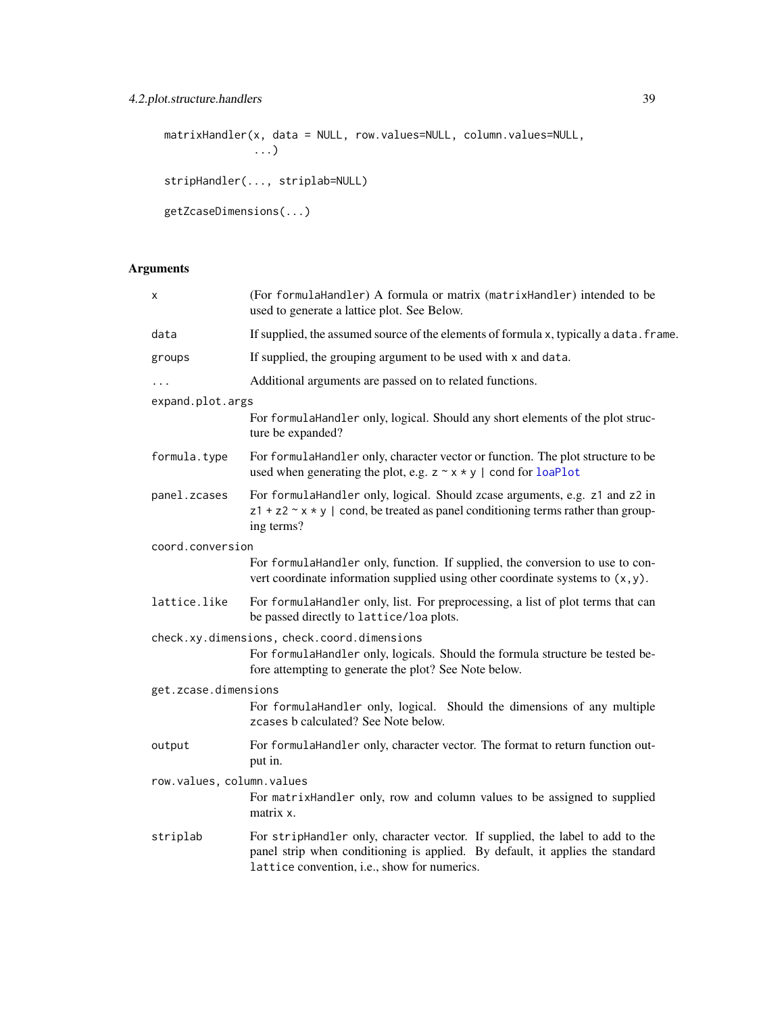### <span id="page-38-0"></span>4.2.plot.structure.handlers 39

```
matrixHandler(x, data = NULL, row.values=NULL, column.values=NULL,
              ...)
stripHandler(..., striplab=NULL)
getZcaseDimensions(...)
```
### Arguments

| x                         | (For formulaHandler) A formula or matrix (matrixHandler) intended to be<br>used to generate a lattice plot. See Below.                                                                                         |
|---------------------------|----------------------------------------------------------------------------------------------------------------------------------------------------------------------------------------------------------------|
| data                      | If supplied, the assumed source of the elements of formula x, typically a data. frame.                                                                                                                         |
| groups                    | If supplied, the grouping argument to be used with x and data.                                                                                                                                                 |
| $\cdots$                  | Additional arguments are passed on to related functions.                                                                                                                                                       |
| expand.plot.args          |                                                                                                                                                                                                                |
|                           | For formulaHandler only, logical. Should any short elements of the plot struc-<br>ture be expanded?                                                                                                            |
| formula.type              | For formulaHandler only, character vector or function. The plot structure to be<br>used when generating the plot, e.g. $z \sim x * y$   cond for loaPlot                                                       |
| panel.zcases              | For formulaHandler only, logical. Should zcase arguments, e.g. z1 and z2 in<br>$z1 + z2 \sim x \star y$   cond, be treated as panel conditioning terms rather than group-<br>ing terms?                        |
| coord.conversion          |                                                                                                                                                                                                                |
|                           | For formulaHandler only, function. If supplied, the conversion to use to con-<br>vert coordinate information supplied using other coordinate systems to $(x, y)$ .                                             |
| lattice.like              | For formulaHandler only, list. For preprocessing, a list of plot terms that can<br>be passed directly to lattice/loa plots.                                                                                    |
|                           | check.xy.dimensions, check.coord.dimensions<br>For formulaHandler only, logicals. Should the formula structure be tested be-<br>fore attempting to generate the plot? See Note below.                          |
| get.zcase.dimensions      |                                                                                                                                                                                                                |
|                           | For formulaHandler only, logical. Should the dimensions of any multiple<br>zcases b calculated? See Note below.                                                                                                |
| output                    | For formulaHandler only, character vector. The format to return function out-<br>put in.                                                                                                                       |
| row.values, column.values |                                                                                                                                                                                                                |
|                           | For matrixHandler only, row and column values to be assigned to supplied<br>matrix x.                                                                                                                          |
| striplab                  | For stripHandler only, character vector. If supplied, the label to add to the<br>panel strip when conditioning is applied. By default, it applies the standard<br>lattice convention, i.e., show for numerics. |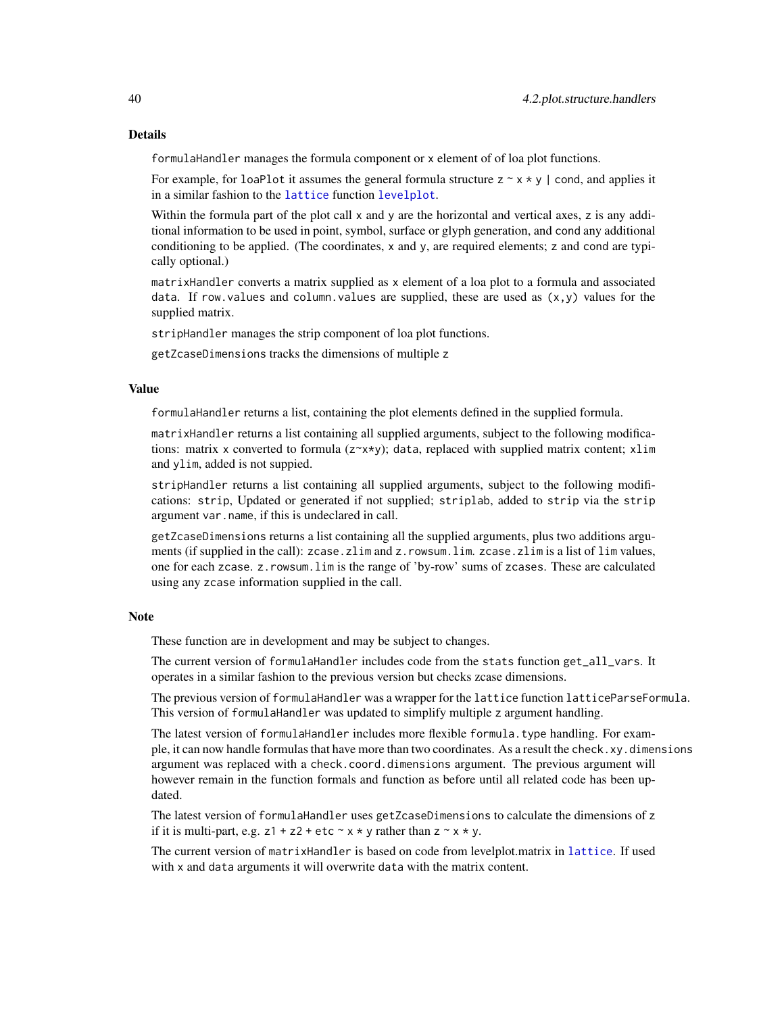<span id="page-39-0"></span>formulaHandler manages the formula component or x element of of loa plot functions.

For example, for loaPlot it assumes the general formula structure  $z \sim x \star y$  | cond, and applies it in a similar fashion to the [lattice](#page-0-0) function [levelplot](#page-0-0).

Within the formula part of the plot call x and y are the horizontal and vertical axes, z is any additional information to be used in point, symbol, surface or glyph generation, and cond any additional conditioning to be applied. (The coordinates, x and y, are required elements; z and cond are typically optional.)

matrixHandler converts a matrix supplied as x element of a loa plot to a formula and associated data. If row. values and column. values are supplied, these are used as  $(x,y)$  values for the supplied matrix.

stripHandler manages the strip component of loa plot functions.

getZcaseDimensions tracks the dimensions of multiple z

#### Value

formulaHandler returns a list, containing the plot elements defined in the supplied formula.

matrixHandler returns a list containing all supplied arguments, subject to the following modifications: matrix x converted to formula  $(z \times x \times y)$ ; data, replaced with supplied matrix content;  $x \text{lim}$ and ylim, added is not suppied.

stripHandler returns a list containing all supplied arguments, subject to the following modifications: strip, Updated or generated if not supplied; striplab, added to strip via the strip argument var.name, if this is undeclared in call.

getZcaseDimensions returns a list containing all the supplied arguments, plus two additions arguments (if supplied in the call): zcase.zlim and z.rowsum.lim.zcase.zlim is a list of lim values, one for each zcase. z.rowsum.lim is the range of 'by-row' sums of zcases. These are calculated using any zcase information supplied in the call.

### Note

These function are in development and may be subject to changes.

The current version of formulaHandler includes code from the stats function get\_all\_vars. It operates in a similar fashion to the previous version but checks zcase dimensions.

The previous version of formulaHandler was a wrapper for the lattice function latticeParseFormula. This version of formulaHandler was updated to simplify multiple z argument handling.

The latest version of formulaHandler includes more flexible formula.type handling. For example, it can now handle formulas that have more than two coordinates. As a result the check.xy.dimensions argument was replaced with a check.coord.dimensions argument. The previous argument will however remain in the function formals and function as before until all related code has been updated.

The latest version of formulaHandler uses getZcaseDimensions to calculate the dimensions of z if it is multi-part, e.g.  $z1 + z2 + etc \sim x * y$  rather than  $z \sim x * y$ .

The current version of matrixHandler is based on code from levelplot.matrix in [lattice](#page-0-0). If used with x and data arguments it will overwrite data with the matrix content.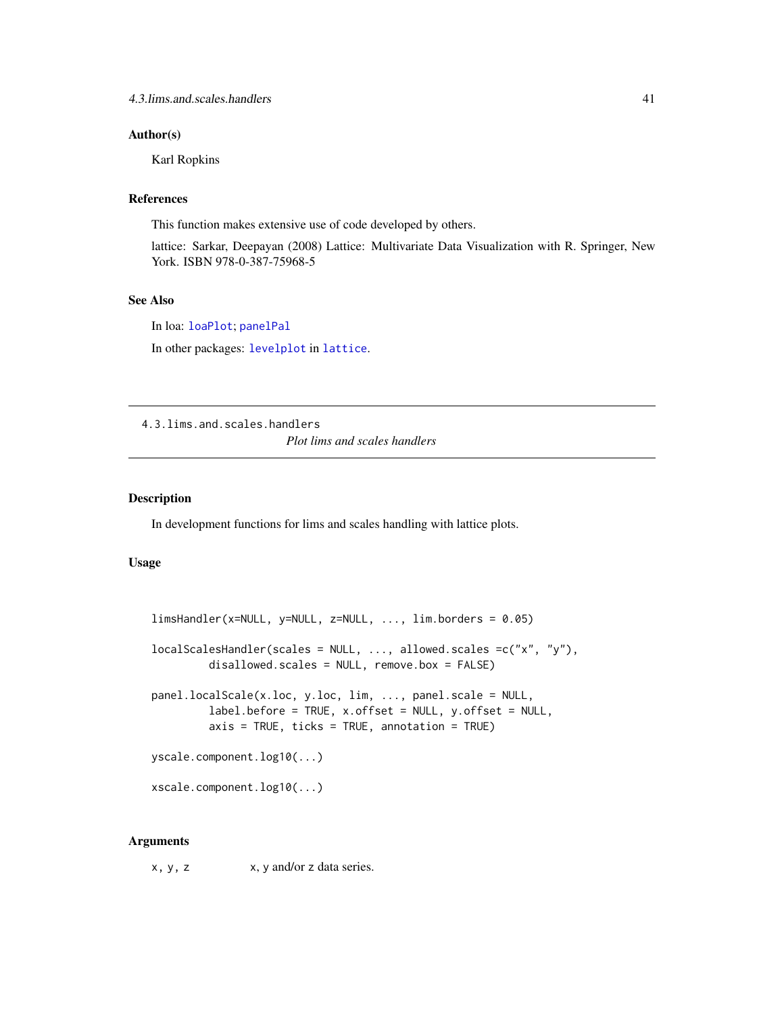### <span id="page-40-0"></span>Author(s)

Karl Ropkins

### References

This function makes extensive use of code developed by others.

lattice: Sarkar, Deepayan (2008) Lattice: Multivariate Data Visualization with R. Springer, New York. ISBN 978-0-387-75968-5

### See Also

In loa: [loaPlot](#page-3-1); [panelPal](#page-33-1)

In other packages: [levelplot](#page-0-0) in [lattice](#page-0-0).

4.3.lims.and.scales.handlers *Plot lims and scales handlers*

#### <span id="page-40-1"></span>Description

In development functions for lims and scales handling with lattice plots.

### Usage

```
limsHandler(x=NULL, y=NULL, z=NULL, ..., lim.borders = 0.05)
localScalesHandler(scales = NULL, ..., allowed.scales =c("x", "y"),
         disallowed.scales = NULL, remove.box = FALSE)
panel.localScale(x.loc, y.loc, lim, ..., panel.scale = NULL,
         label.before = TRUE, x.offset = NULL, y.offset = NULL,
         axis = TRUE, ticks = TRUE, annotation = TRUEyscale.component.log10(...)
xscale.component.log10(...)
```
### Arguments

 $x, y, z$   $x, y$  and/or z data series.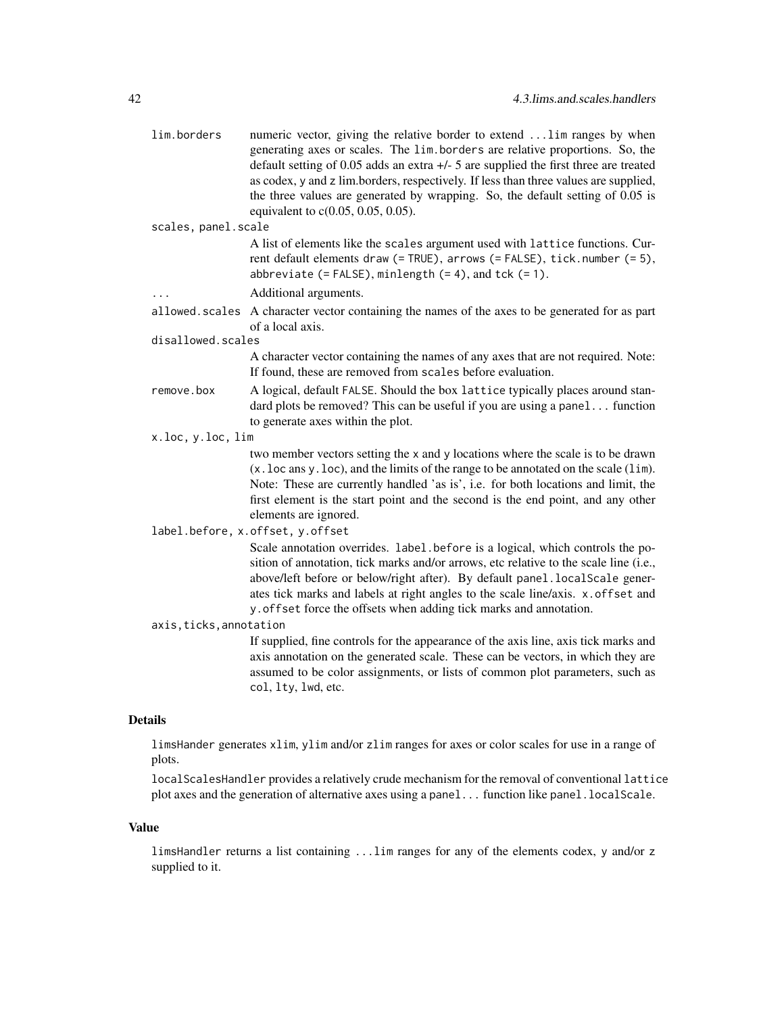|                | lim.borders             | numeric vector, giving the relative border to extend  lim ranges by when<br>generating axes or scales. The lim.borders are relative proportions. So, the<br>default setting of 0.05 adds an extra $+/-$ 5 are supplied the first three are treated<br>as codex, y and z lim.borders, respectively. If less than three values are supplied,<br>the three values are generated by wrapping. So, the default setting of 0.05 is<br>equivalent to c(0.05, 0.05, 0.05). |
|----------------|-------------------------|--------------------------------------------------------------------------------------------------------------------------------------------------------------------------------------------------------------------------------------------------------------------------------------------------------------------------------------------------------------------------------------------------------------------------------------------------------------------|
|                | scales, panel.scale     |                                                                                                                                                                                                                                                                                                                                                                                                                                                                    |
|                |                         | A list of elements like the scales argument used with lattice functions. Cur-<br>rent default elements draw (= TRUE), arrows (= FALSE), tick.number (= 5),<br>abbreviate $(=\text{FALSE})$ , minlength $(= 4)$ , and tck $(= 1)$ .                                                                                                                                                                                                                                 |
|                | $\cdots$                | Additional arguments.                                                                                                                                                                                                                                                                                                                                                                                                                                              |
|                |                         | allowed. scales A character vector containing the names of the axes to be generated for as part<br>of a local axis.                                                                                                                                                                                                                                                                                                                                                |
|                | disallowed.scales       |                                                                                                                                                                                                                                                                                                                                                                                                                                                                    |
|                |                         | A character vector containing the names of any axes that are not required. Note:<br>If found, these are removed from scales before evaluation.                                                                                                                                                                                                                                                                                                                     |
|                | remove.box              | A logical, default FALSE. Should the box lattice typically places around stan-<br>dard plots be removed? This can be useful if you are using a panel function<br>to generate axes within the plot.                                                                                                                                                                                                                                                                 |
|                | x.loc, y.loc, lim       |                                                                                                                                                                                                                                                                                                                                                                                                                                                                    |
|                |                         | two member vectors setting the x and y locations where the scale is to be drawn<br>(x. loc ans y. loc), and the limits of the range to be annotated on the scale (lim).<br>Note: These are currently handled 'as is', i.e. for both locations and limit, the<br>first element is the start point and the second is the end point, and any other<br>elements are ignored.                                                                                           |
|                |                         | label.before, x.offset, y.offset                                                                                                                                                                                                                                                                                                                                                                                                                                   |
|                |                         | Scale annotation overrides. label.before is a logical, which controls the po-<br>sition of annotation, tick marks and/or arrows, etc relative to the scale line (i.e.,<br>above/left before or below/right after). By default panel.localScale gener-<br>ates tick marks and labels at right angles to the scale line/axis. x.offset and<br>y. offset force the offsets when adding tick marks and annotation.                                                     |
|                | axis, ticks, annotation |                                                                                                                                                                                                                                                                                                                                                                                                                                                                    |
|                |                         | If supplied, fine controls for the appearance of the axis line, axis tick marks and<br>axis annotation on the generated scale. These can be vectors, in which they are<br>assumed to be color assignments, or lists of common plot parameters, such as<br>col, lty, lwd, etc.                                                                                                                                                                                      |
| <b>Details</b> |                         |                                                                                                                                                                                                                                                                                                                                                                                                                                                                    |
|                | plots.                  | limsHander generates xlim, ylim and/or zlim ranges for axes or color scales for use in a range of                                                                                                                                                                                                                                                                                                                                                                  |
|                |                         | localScalesHandler provides a relatively crude mechanism for the removal of conventional lattice                                                                                                                                                                                                                                                                                                                                                                   |

### Value

limsHandler returns a list containing ...lim ranges for any of the elements codex, y and/or z supplied to it.

plot axes and the generation of alternative axes using a panel... function like panel.localScale.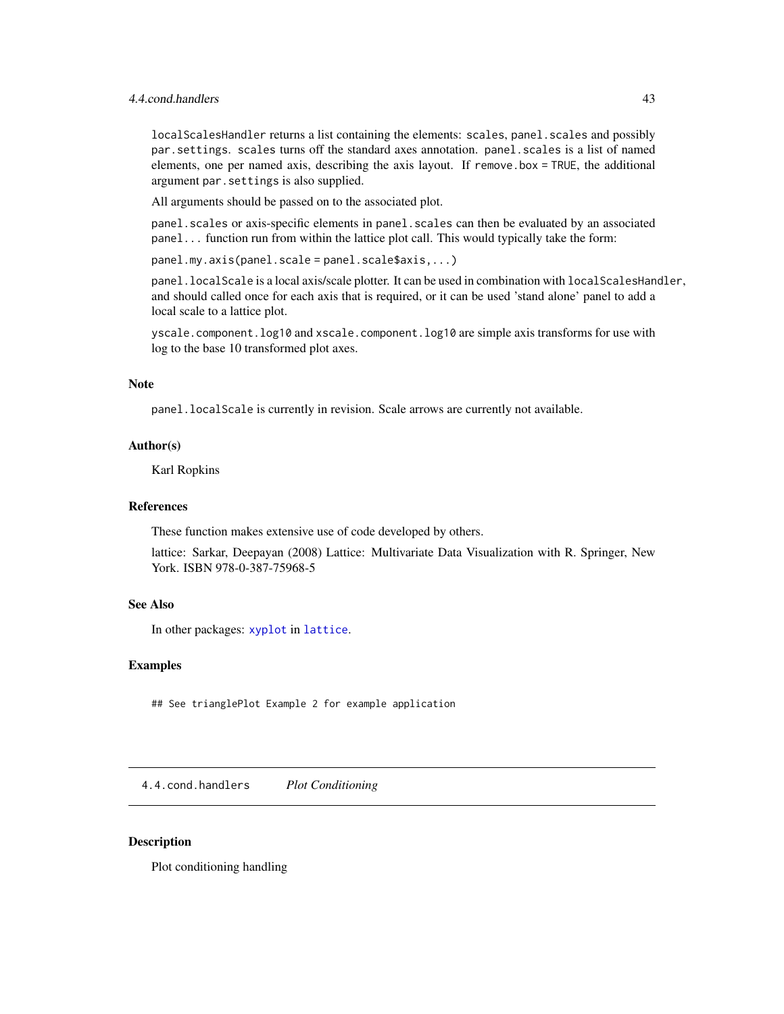### <span id="page-42-0"></span>4.4.cond.handlers 43

localScalesHandler returns a list containing the elements: scales, panel. scales and possibly par.settings. scales turns off the standard axes annotation. panel.scales is a list of named elements, one per named axis, describing the axis layout. If remove.box = TRUE, the additional argument par.settings is also supplied.

All arguments should be passed on to the associated plot.

panel.scales or axis-specific elements in panel.scales can then be evaluated by an associated panel... function run from within the lattice plot call. This would typically take the form:

panel.my.axis(panel.scale = panel.scale\$axis,...)

panel.localScale is a local axis/scale plotter. It can be used in combination with localScalesHandler, and should called once for each axis that is required, or it can be used 'stand alone' panel to add a local scale to a lattice plot.

yscale.component.log10 and xscale.component.log10 are simple axis transforms for use with log to the base 10 transformed plot axes.

#### Note

panel.localScale is currently in revision. Scale arrows are currently not available.

### Author(s)

Karl Ropkins

#### References

These function makes extensive use of code developed by others.

lattice: Sarkar, Deepayan (2008) Lattice: Multivariate Data Visualization with R. Springer, New York. ISBN 978-0-387-75968-5

### See Also

In other packages: [xyplot](#page-0-0) in [lattice](#page-0-0).

### Examples

## See trianglePlot Example 2 for example application

4.4.cond.handlers *Plot Conditioning*

### <span id="page-42-1"></span>Description

Plot conditioning handling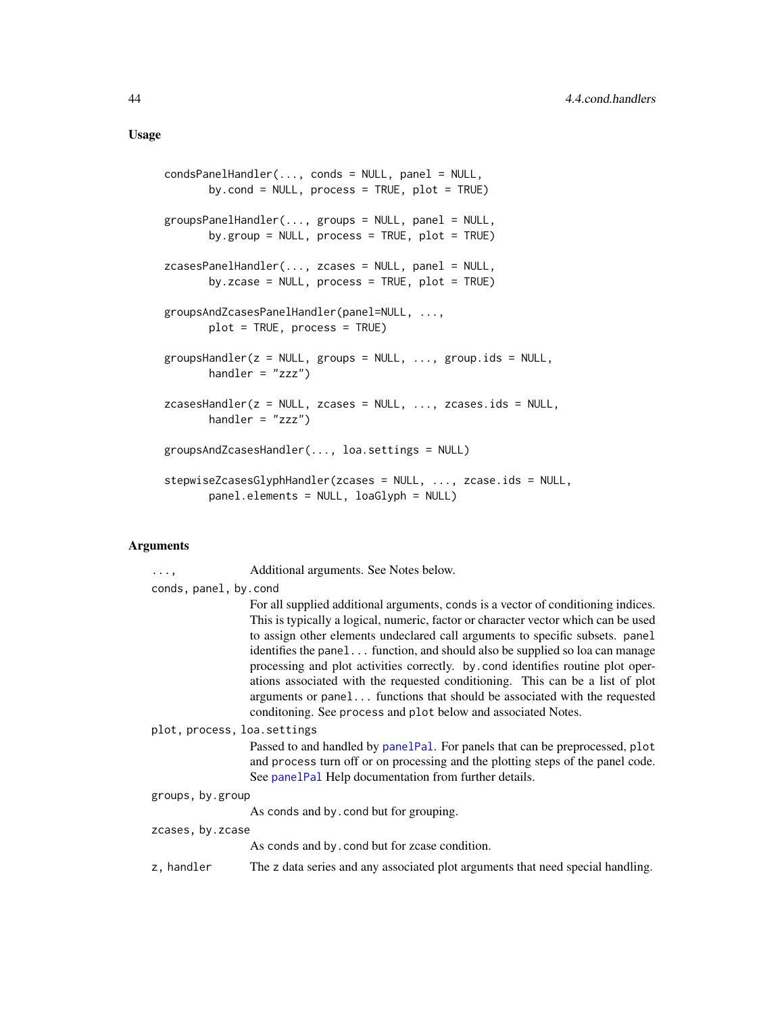```
condsPanelHandler(..., conds = NULL, panel = NULL,
       by.cond = NULL, process = TRUE, plot = TRUE)
groupsPanelHandler(..., groups = NULL, panel = NULL,
       by.group = NULL, process = TRUE, plot = TRUE)
zcasesPanelHandler(..., zcases = NULL, panel = NULL,
      by.zcase = NULL, process = TRUE, plot = TRUE)
groupsAndZcasesPanelHandler(panel=NULL, ...,
       plot = TRUE, process = TRUE)
groupsHandler(z = NULL, groups = NULL, ..., group.ids = NULL,
       handler = "zzz")
zcasesHandler(z = NULL, zcases = NULL, ..., zcases.ids = NULL,
      handler = "zzz")groupsAndZcasesHandler(..., loa.settings = NULL)
stepwiseZcasesGlyphHandler(zcases = NULL, ..., zcase.ids = NULL,
       panel.elements = NULL, loaGlyph = NULL)
```
### Arguments

| . ,                   | Additional arguments. See Notes below.                                                                                                                                                                                                                                                                                                                                                                                                                                                                                                                                                                                                                     |
|-----------------------|------------------------------------------------------------------------------------------------------------------------------------------------------------------------------------------------------------------------------------------------------------------------------------------------------------------------------------------------------------------------------------------------------------------------------------------------------------------------------------------------------------------------------------------------------------------------------------------------------------------------------------------------------------|
| conds, panel, by.cond |                                                                                                                                                                                                                                                                                                                                                                                                                                                                                                                                                                                                                                                            |
|                       | For all supplied additional arguments, conds is a vector of conditioning indices.<br>This is typically a logical, numeric, factor or character vector which can be used<br>to assign other elements undeclared call arguments to specific subsets. panel<br>identifies the panel function, and should also be supplied so loa can manage<br>processing and plot activities correctly. by cond identifies routine plot oper-<br>ations associated with the requested conditioning. This can be a list of plot<br>arguments or panel functions that should be associated with the requested<br>conditoning. See process and plot below and associated Notes. |
|                       | plot, process, loa. settings                                                                                                                                                                                                                                                                                                                                                                                                                                                                                                                                                                                                                               |
|                       | Passed to and handled by panelPal. For panels that can be preprocessed, plot<br>and process turn off or on processing and the plotting steps of the panel code.<br>See panelPal Help documentation from further details.                                                                                                                                                                                                                                                                                                                                                                                                                                   |
| groups, by.group      |                                                                                                                                                                                                                                                                                                                                                                                                                                                                                                                                                                                                                                                            |
|                       | As conds and by cond but for grouping.                                                                                                                                                                                                                                                                                                                                                                                                                                                                                                                                                                                                                     |
| zcases, by.zcase      |                                                                                                                                                                                                                                                                                                                                                                                                                                                                                                                                                                                                                                                            |
|                       | As conds and by cond but for zease condition.                                                                                                                                                                                                                                                                                                                                                                                                                                                                                                                                                                                                              |
| z, handler            | The z data series and any associated plot arguments that need special handling.                                                                                                                                                                                                                                                                                                                                                                                                                                                                                                                                                                            |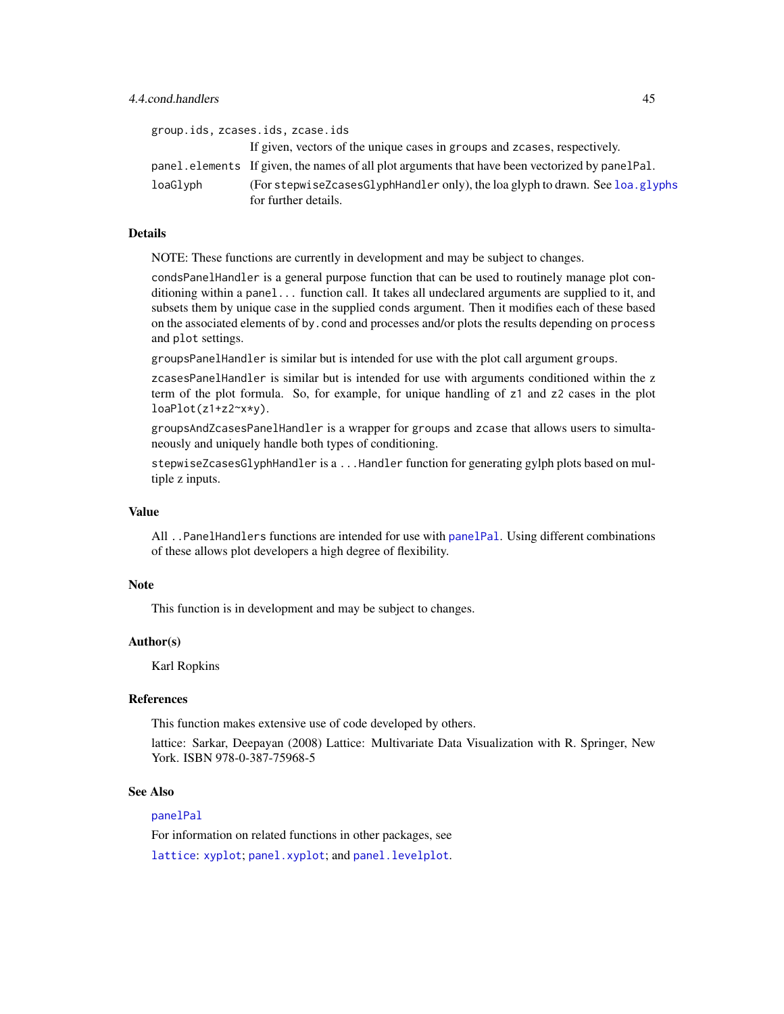<span id="page-44-0"></span>

|          | group.ids, zcases.ids, zcase.ids                                                                      |
|----------|-------------------------------------------------------------------------------------------------------|
|          | If given, vectors of the unique cases in groups and zcases, respectively.                             |
|          | panel.elements If given, the names of all plot arguments that have been vectorized by panel Pal.      |
| loaGlyph | (For stepwiseZcasesGlyphHandler only), the loa glyph to drawn. See loa.glyphs<br>for further details. |

### Details

NOTE: These functions are currently in development and may be subject to changes.

condsPanelHandler is a general purpose function that can be used to routinely manage plot conditioning within a panel... function call. It takes all undeclared arguments are supplied to it, and subsets them by unique case in the supplied conds argument. Then it modifies each of these based on the associated elements of by.cond and processes and/or plots the results depending on process and plot settings.

groupsPanelHandler is similar but is intended for use with the plot call argument groups.

zcasesPanelHandler is similar but is intended for use with arguments conditioned within the z term of the plot formula. So, for example, for unique handling of z1 and z2 cases in the plot loaPlot(z1+z2~x\*y).

groupsAndZcasesPanelHandler is a wrapper for groups and zcase that allows users to simultaneously and uniquely handle both types of conditioning.

stepwiseZcasesGlyphHandler is a ...Handler function for generating gylph plots based on multiple z inputs.

### Value

All ..PanelHandlers functions are intended for use with [panelPal](#page-33-1). Using different combinations of these allows plot developers a high degree of flexibility.

### **Note**

This function is in development and may be subject to changes.

### Author(s)

Karl Ropkins

#### References

This function makes extensive use of code developed by others.

lattice: Sarkar, Deepayan (2008) Lattice: Multivariate Data Visualization with R. Springer, New York. ISBN 978-0-387-75968-5

#### See Also

### [panelPal](#page-33-1)

For information on related functions in other packages, see [lattice](#page-0-0): [xyplot](#page-0-0); [panel.xyplot](#page-0-0); and [panel.levelplot](#page-0-0).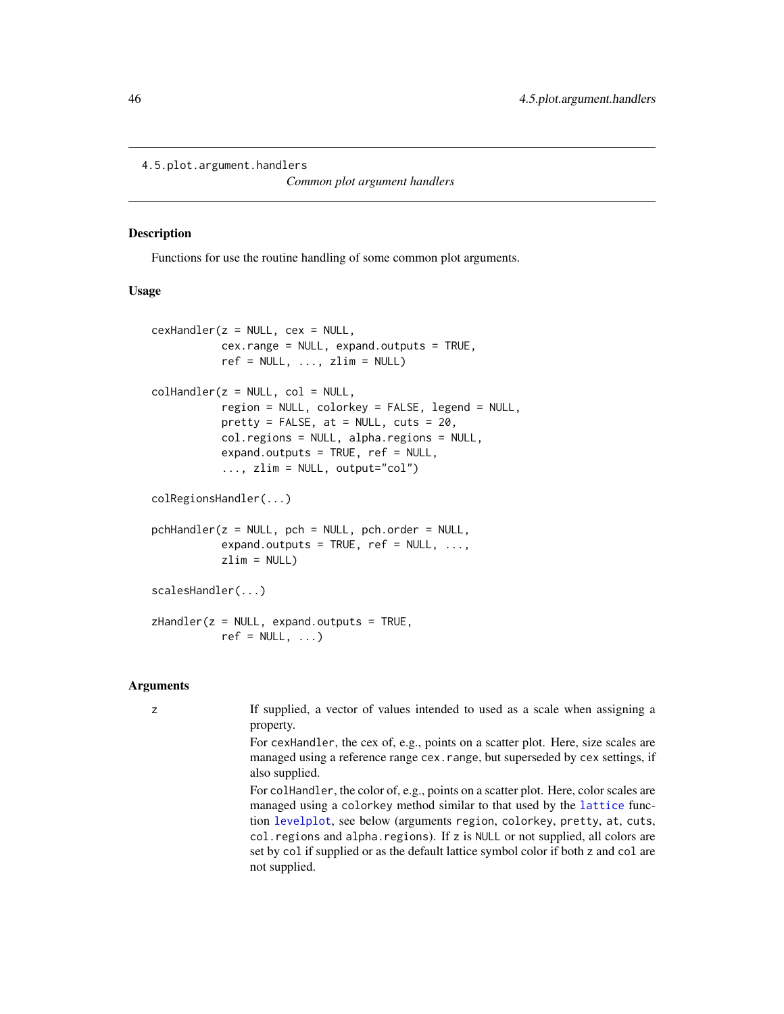```
4.5.plot.argument.handlers
```
*Common plot argument handlers*

### <span id="page-45-1"></span>Description

Functions for use the routine handling of some common plot arguments.

### Usage

```
cexHandler(z = NULL, cex = NULL,cex.range = NULL, expand.outputs = TRUE,
           ref = NULL, ..., zlim = NULL)collHandler(z = NULL, col = NULL,
           region = NULL, colorkey = FALSE, legend = NULL,
           pretty = FALSE, at = NULL, cuts = 20,col.regions = NULL, alpha.regions = NULL,
           expand.outputs = TRUE, ref = NULL,
           \ldots, zlim = NULL, output="col")
colRegionsHandler(...)
pchHandler(z = NULL, pch = NULL, pch.order = NULL,
           expand.outputs = TRUE, ref = NULL, ...,zlim = NULLscalesHandler(...)
zHandler(z = NULL, expand.outputs = TRUE,
           ref = NULL, ...)
```
### Arguments

z If supplied, a vector of values intended to used as a scale when assigning a property.

> For cexHandler, the cex of, e.g., points on a scatter plot. Here, size scales are managed using a reference range cex.range, but superseded by cex settings, if also supplied.

> For colHandler, the color of, e.g., points on a scatter plot. Here, color scales are managed using a colorkey method similar to that used by the [lattice](#page-0-0) function [levelplot](#page-0-0), see below (arguments region, colorkey, pretty, at, cuts, col.regions and alpha.regions). If z is NULL or not supplied, all colors are set by col if supplied or as the default lattice symbol color if both z and col are not supplied.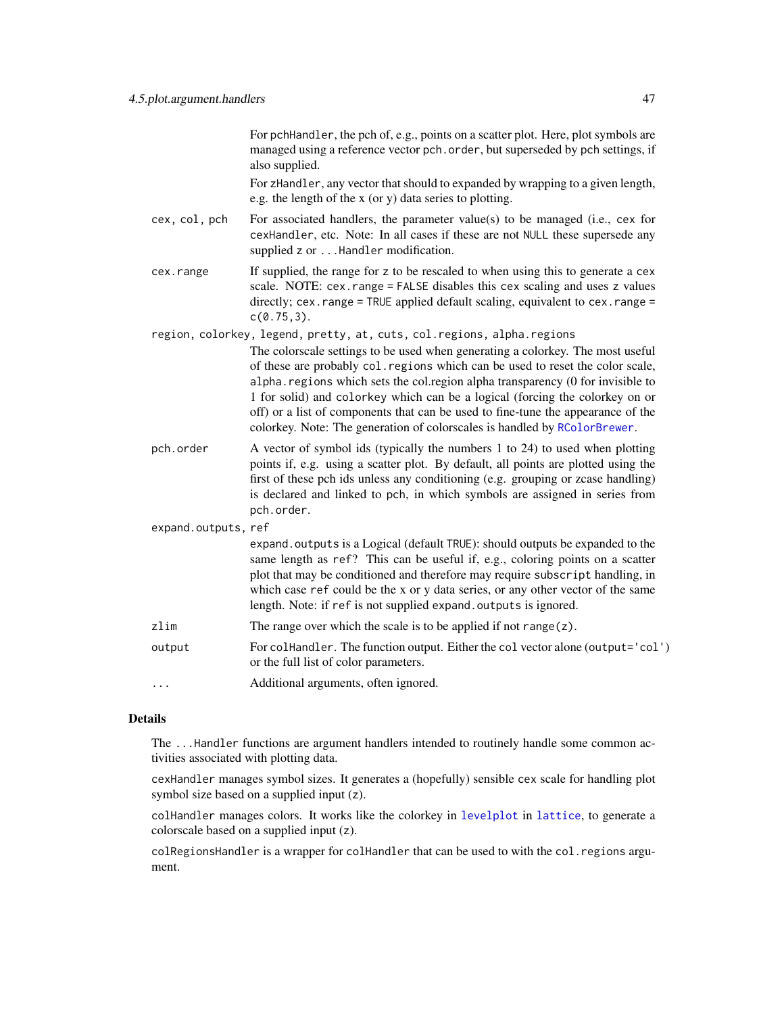<span id="page-46-0"></span>For pchHandler, the pch of, e.g., points on a scatter plot. Here, plot symbols are managed using a reference vector pch.order, but superseded by pch settings, if also supplied.

For zHandler, any vector that should to expanded by wrapping to a given length, e.g. the length of the x (or y) data series to plotting.

- cex, col, pch For associated handlers, the parameter value(s) to be managed (i.e., cex for cexHandler, etc. Note: In all cases if these are not NULL these supersede any supplied z or . . . Handler modification.
- cex.range If supplied, the range for z to be rescaled to when using this to generate a cex scale. NOTE: cex.range = FALSE disables this cex scaling and uses z values directly; cex.range = TRUE applied default scaling, equivalent to cex.range = c(0.75,3).

region, colorkey, legend, pretty, at, cuts, col.regions, alpha.regions

The colorscale settings to be used when generating a colorkey. The most useful of these are probably col.regions which can be used to reset the color scale, alpha.regions which sets the col.region alpha transparency (0 for invisible to 1 for solid) and colorkey which can be a logical (forcing the colorkey on or off) or a list of components that can be used to fine-tune the appearance of the colorkey. Note: The generation of colorscales is handled by [RColorBrewer](#page-0-0).

- pch.order A vector of symbol ids (typically the numbers 1 to 24) to used when plotting points if, e.g. using a scatter plot. By default, all points are plotted using the first of these pch ids unless any conditioning (e.g. grouping or zcase handling) is declared and linked to pch, in which symbols are assigned in series from pch.order.
- expand.outputs, ref expand.outputs is a Logical (default TRUE): should outputs be expanded to the same length as ref? This can be useful if, e.g., coloring points on a scatter plot that may be conditioned and therefore may require subscript handling, in which case ref could be the x or y data series, or any other vector of the same length. Note: if ref is not supplied expand. outputs is ignored. zlim The range over which the scale is to be applied if not range( $z$ ). output For colHandler. The function output. Either the col vector alone (output='col') or the full list of color parameters. ... Additional arguments, often ignored.

#### Details

The ...Handler functions are argument handlers intended to routinely handle some common activities associated with plotting data.

cexHandler manages symbol sizes. It generates a (hopefully) sensible cex scale for handling plot symbol size based on a supplied input (z).

colHandler manages colors. It works like the colorkey in [levelplot](#page-0-0) in [lattice](#page-0-0), to generate a colorscale based on a supplied input (z).

colRegionsHandler is a wrapper for colHandler that can be used to with the col.regions argument.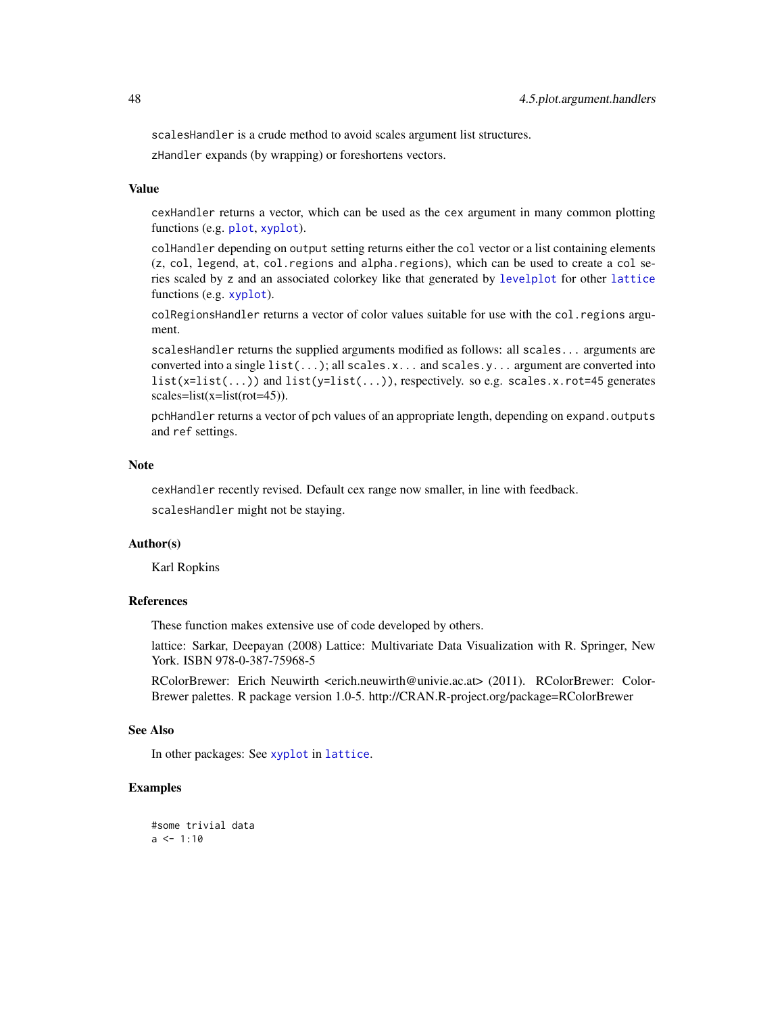<span id="page-47-0"></span>scalesHandler is a crude method to avoid scales argument list structures.

zHandler expands (by wrapping) or foreshortens vectors.

#### Value

cexHandler returns a vector, which can be used as the cex argument in many common plotting functions (e.g. [plot](#page-0-0), [xyplot](#page-0-0)).

colHandler depending on output setting returns either the col vector or a list containing elements (z, col, legend, at, col.regions and alpha.regions), which can be used to create a col series scaled by z and an associated colorkey like that generated by [levelplot](#page-0-0) for other [lattice](#page-0-0) functions (e.g. [xyplot](#page-0-0)).

colRegionsHandler returns a vector of color values suitable for use with the col.regions argument.

scalesHandler returns the supplied arguments modified as follows: all scales... arguments are converted into a single list(...); all scales.x... and scales.y... argument are converted into  $list(x=list(...) )$  and  $list(y=list(...) )$ , respectively. so e.g. scales.x.rot=45 generates scales=list(x=list(rot=45)).

pchHandler returns a vector of pch values of an appropriate length, depending on expand.outputs and ref settings.

### Note

cexHandler recently revised. Default cex range now smaller, in line with feedback. scalesHandler might not be staying.

### Author(s)

Karl Ropkins

### References

These function makes extensive use of code developed by others.

lattice: Sarkar, Deepayan (2008) Lattice: Multivariate Data Visualization with R. Springer, New York. ISBN 978-0-387-75968-5

RColorBrewer: Erich Neuwirth <erich.neuwirth@univie.ac.at> (2011). RColorBrewer: Color-Brewer palettes. R package version 1.0-5. http://CRAN.R-project.org/package=RColorBrewer

### See Also

In other packages: See [xyplot](#page-0-0) in [lattice](#page-0-0).

### Examples

```
#some trivial data
a \leq 1:10
```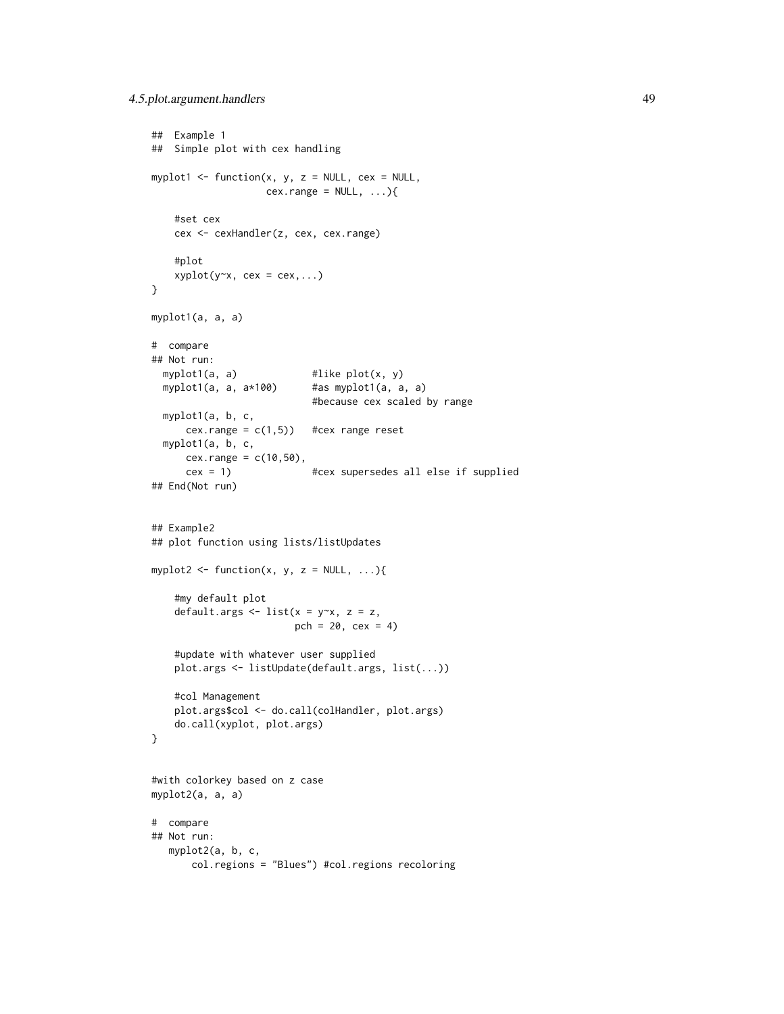```
## Example 1
## Simple plot with cex handling
myplot1 <- function(x, y, z = NULL, cex = NULL,
                   cex.\text{range} = NULL, ...}
    #set cex
    cex <- cexHandler(z, cex, cex.range)
    #plot
    xyplot(y-x, cex = cex,...)}
myplot1(a, a, a)
# compare
## Not run:
  myplot1(a, a) #like plot(x, y)
  myplot1(a, a, a*100) #as myplot1(a, a, a)
                            #because cex scaled by range
  myplot1(a, b, c,
      cex.range = c(1,5)) #cex range reset
  myplot1(a, b, c,
      cex.random = c(10,50),
      cex = 1) #cex supersedes all else if supplied
## End(Not run)
## Example2
## plot function using lists/listUpdates
myplot2 <- function(x, y, z = NULL, \ldots){
    #my default plot
    default.args \le list(x = y\approxx, z = z,
                        pch = 20, cex = 4)
    #update with whatever user supplied
    plot.args <- listUpdate(default.args, list(...))
    #col Management
    plot.args$col <- do.call(colHandler, plot.args)
    do.call(xyplot, plot.args)
}
#with colorkey based on z case
myplot2(a, a, a)
# compare
## Not run:
   myplot2(a, b, c,
       col.regions = "Blues") #col.regions recoloring
```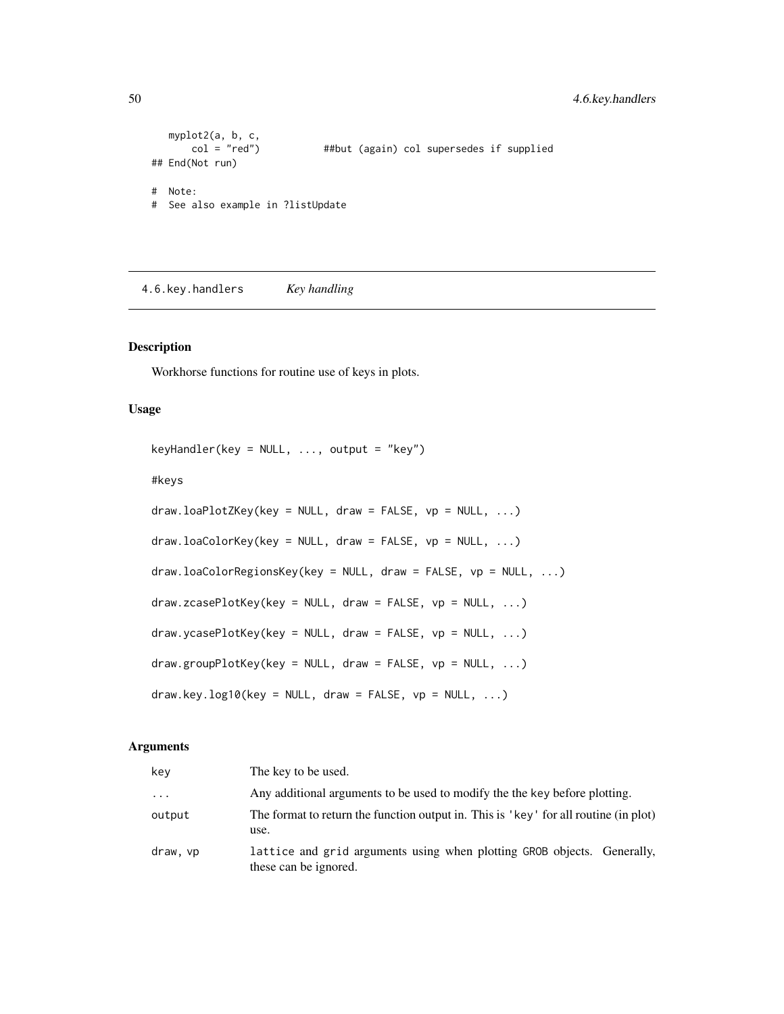```
myplot2(a, b, c,
      col = "red") ##but (again) col supersedes if supplied
## End(Not run)
# Note:
# See also example in ?listUpdate
```
4.6.key.handlers *Key handling*

### <span id="page-49-1"></span>Description

Workhorse functions for routine use of keys in plots.

### Usage

```
keyHandler(key = NULL, ..., output = "key")#keys
draw.loaPlotZKey(key = NULL, draw = FALSE, vp = NULL, ...)
draw.loaColorKey(key = NULL, draw = FALSE, vp = NULL, ...)
draw.loaColorRegionsKey(key = NULL, draw = FALSE, vp = NULL, ...)
draw.zcasePlotKey(key = NULL, draw = FALSE, vp = NULL, ...)
draw.ycasePlotKey(key = NULL, draw = FALSE, vp = NULL, ...)
draw.groupPlotKey(key = NULL, draw = FALSE, vp = NULL, ...)draw-key.log10(key = NULL, draw = FALSE, vp = NULL, ...)
```
### Arguments

| key      | The key to be used.                                                                              |
|----------|--------------------------------------------------------------------------------------------------|
| $\cdot$  | Any additional arguments to be used to modify the the key before plotting.                       |
| output   | The format to return the function output in. This is 'key' for all routine (in plot)<br>use.     |
| draw, vp | lattice and grid arguments using when plotting GROB objects. Generally,<br>these can be ignored. |

<span id="page-49-0"></span>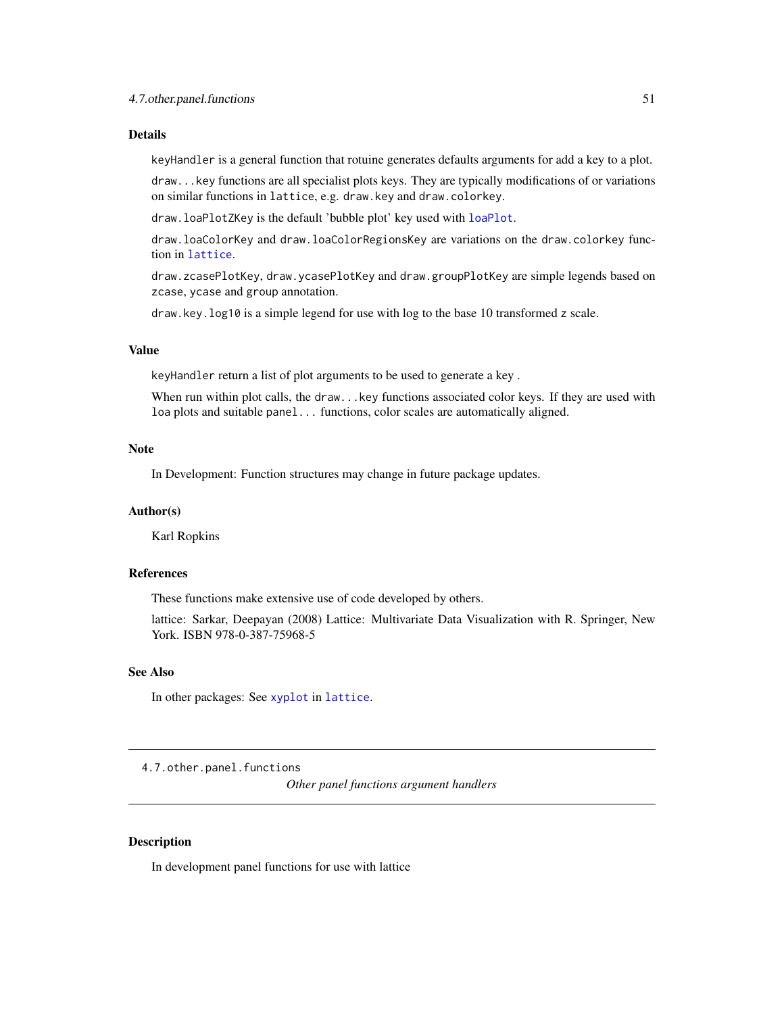#### <span id="page-50-0"></span>Details

keyHandler is a general function that rotuine generates defaults arguments for add a key to a plot.

draw...key functions are all specialist plots keys. They are typically modifications of or variations on similar functions in lattice, e.g. draw.key and draw.colorkey.

draw.loaPlotZKey is the default 'bubble plot' key used with [loaPlot](#page-3-1).

draw.loaColorKey and draw.loaColorRegionsKey are variations on the draw.colorkey function in [lattice](#page-0-0).

draw.zcasePlotKey, draw.ycasePlotKey and draw.groupPlotKey are simple legends based on zcase, ycase and group annotation.

draw.key.log10 is a simple legend for use with log to the base 10 transformed z scale.

### Value

keyHandler return a list of plot arguments to be used to generate a key .

When run within plot calls, the draw...key functions associated color keys. If they are used with loa plots and suitable panel... functions, color scales are automatically aligned.

#### Note

In Development: Function structures may change in future package updates.

#### Author(s)

Karl Ropkins

#### References

These functions make extensive use of code developed by others.

lattice: Sarkar, Deepayan (2008) Lattice: Multivariate Data Visualization with R. Springer, New York. ISBN 978-0-387-75968-5

### See Also

In other packages: See [xyplot](#page-0-0) in [lattice](#page-0-0).

4.7.other.panel.functions

*Other panel functions argument handlers*

### <span id="page-50-1"></span>Description

In development panel functions for use with lattice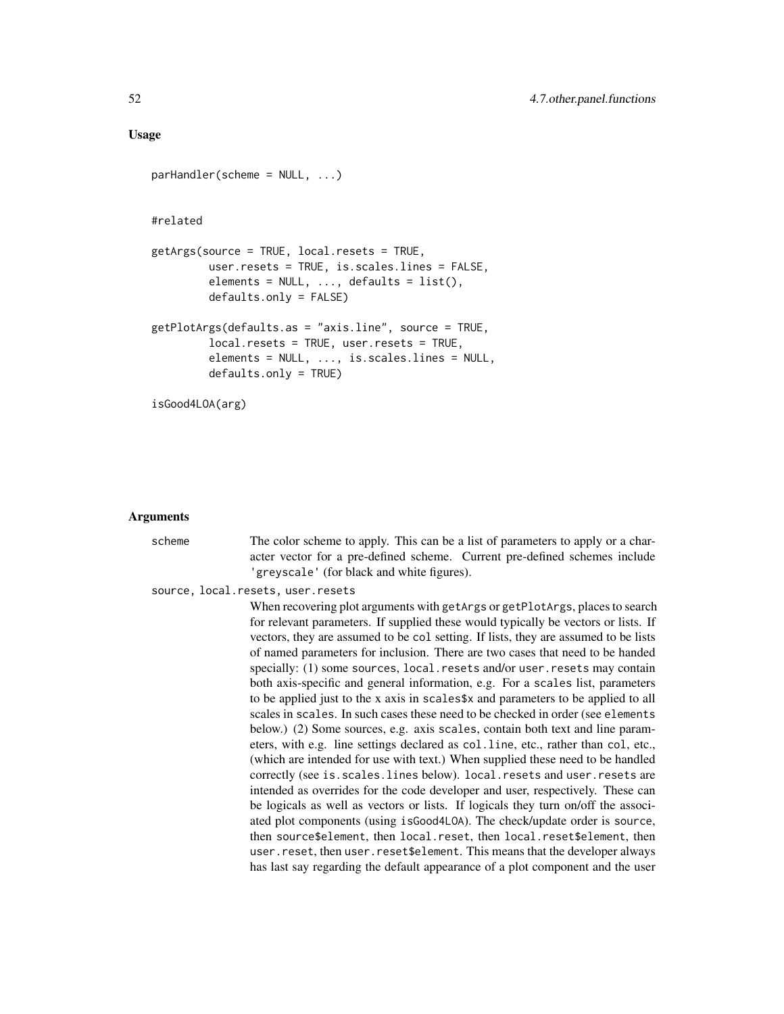### Usage

```
parHandler(scheme = NULL, ...)
#related
getArgs(source = TRUE, local.resets = TRUE,
         user.resets = TRUE, is.scales.lines = FALSE,
         elements = NULL, ..., defaults = list(),defaults.only = FALSE)
getPlotArgs(defaults.as = "axis.line", source = TRUE,
         local.resets = TRUE, user.resets = TRUE,
         elements = NULL, ..., is.scales.lines = NULL,
         defaults.only = TRUE)
isGood4LOA(arg)
```
#### Arguments

```
scheme The color scheme to apply. This can be a list of parameters to apply or a char-
                  acter vector for a pre-defined scheme. Current pre-defined schemes include
                  'greyscale' (for black and white figures).
source, local.resets, user.resets
                  When recovering plot arguments with getArgs or getPlotArgs, places to search
                  for relevant parameters. If supplied these would typically be vectors or lists. If
                  vectors, they are assumed to be col setting. If lists, they are assumed to be lists
                  of named parameters for inclusion. There are two cases that need to be handed
                  specially: (1) some sources, local.resets and/or user.resets may contain
                  both axis-specific and general information, e.g. For a scales list, parameters
                  to be applied just to the x axis in scales$x and parameters to be applied to all
                  scales in scales. In such cases these need to be checked in order (see elements
                  below.) (2) Some sources, e.g. axis scales, contain both text and line param-
                  eters, with e.g. line settings declared as col.line, etc., rather than col, etc.,
                  (which are intended for use with text.) When supplied these need to be handled
                  correctly (see is.scales.lines below). local.resets and user.resets are
                  intended as overrides for the code developer and user, respectively. These can
                  be logicals as well as vectors or lists. If logicals they turn on/off the associ-
                  ated plot components (using isGood4LOA). The check/update order is source,
                  then source$element, then local.reset, then local.reset$element, then
                  user.reset, then user.reset$element. This means that the developer always
                  has last say regarding the default appearance of a plot component and the user
```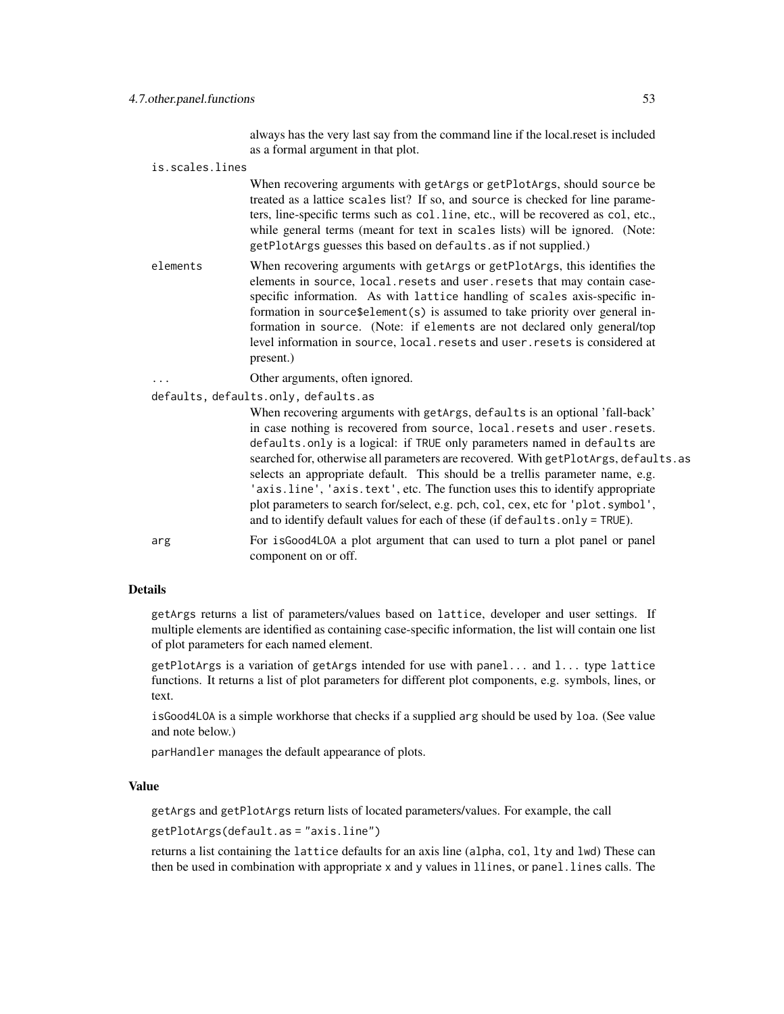always has the very last say from the command line if the local.reset is included as a formal argument in that plot.

is.scales.lines

When recovering arguments with getArgs or getPlotArgs, should source be treated as a lattice scales list? If so, and source is checked for line parameters, line-specific terms such as col.line, etc., will be recovered as col, etc., while general terms (meant for text in scales lists) will be ignored. (Note: getPlotArgs guesses this based on defaults.as if not supplied.)

elements When recovering arguments with getArgs or getPlotArgs, this identifies the elements in source, local.resets and user.resets that may contain casespecific information. As with lattice handling of scales axis-specific information in source\$element(s) is assumed to take priority over general information in source. (Note: if elements are not declared only general/top level information in source, local.resets and user.resets is considered at present.)

Other arguments, often ignored.

defaults, defaults.only, defaults.as

When recovering arguments with getArgs, defaults is an optional 'fall-back' in case nothing is recovered from source, local.resets and user.resets. defaults.only is a logical: if TRUE only parameters named in defaults are searched for, otherwise all parameters are recovered. With getPlotArgs, defaults.as selects an appropriate default. This should be a trellis parameter name, e.g. 'axis.line', 'axis.text', etc. The function uses this to identify appropriate plot parameters to search for/select, e.g. pch, col, cex, etc for 'plot.symbol', and to identify default values for each of these (if defaults.only = TRUE).

arg For isGood4LOA a plot argument that can used to turn a plot panel or panel component on or off.

### Details

getArgs returns a list of parameters/values based on lattice, developer and user settings. If multiple elements are identified as containing case-specific information, the list will contain one list of plot parameters for each named element.

getPlotArgs is a variation of getArgs intended for use with panel... and l... type lattice functions. It returns a list of plot parameters for different plot components, e.g. symbols, lines, or text.

isGood4LOA is a simple workhorse that checks if a supplied arg should be used by loa. (See value and note below.)

parHandler manages the default appearance of plots.

### Value

getArgs and getPlotArgs return lists of located parameters/values. For example, the call

getPlotArgs(default.as = "axis.line")

returns a list containing the lattice defaults for an axis line (alpha, col, lty and lwd) These can then be used in combination with appropriate x and y values in llines, or panel.lines calls. The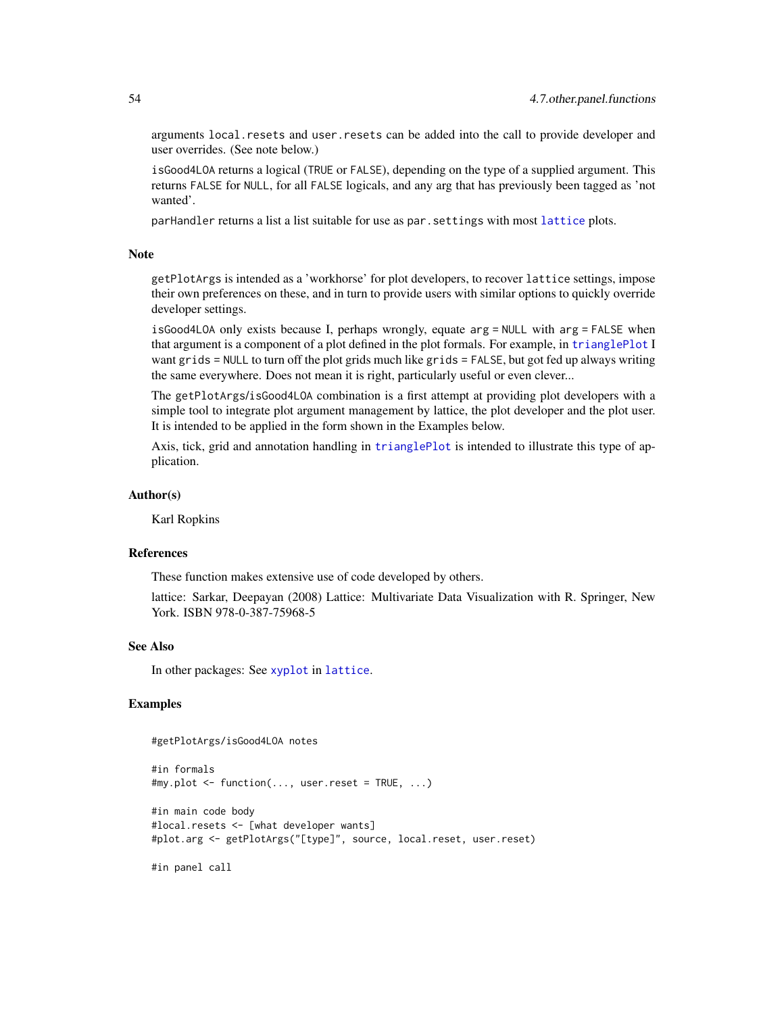<span id="page-53-0"></span>arguments local.resets and user.resets can be added into the call to provide developer and user overrides. (See note below.)

isGood4LOA returns a logical (TRUE or FALSE), depending on the type of a supplied argument. This returns FALSE for NULL, for all FALSE logicals, and any arg that has previously been tagged as 'not wanted'.

parHandler returns a list a list suitable for use as par.settings with most [lattice](#page-0-0) plots.

### Note

getPlotArgs is intended as a 'workhorse' for plot developers, to recover lattice settings, impose their own preferences on these, and in turn to provide users with similar options to quickly override developer settings.

isGood4LOA only exists because I, perhaps wrongly, equate arg = NULL with arg = FALSE when that argument is a component of a plot defined in the plot formals. For example, in [trianglePlot](#page-13-1) I want grids = NULL to turn off the plot grids much like grids = FALSE, but got fed up always writing the same everywhere. Does not mean it is right, particularly useful or even clever...

The getPlotArgs/isGood4LOA combination is a first attempt at providing plot developers with a simple tool to integrate plot argument management by lattice, the plot developer and the plot user. It is intended to be applied in the form shown in the Examples below.

Axis, tick, grid and annotation handling in [trianglePlot](#page-13-1) is intended to illustrate this type of application.

### Author(s)

Karl Ropkins

#### References

These function makes extensive use of code developed by others.

lattice: Sarkar, Deepayan (2008) Lattice: Multivariate Data Visualization with R. Springer, New York. ISBN 978-0-387-75968-5

### See Also

In other packages: See [xyplot](#page-0-0) in [lattice](#page-0-0).

### Examples

#getPlotArgs/isGood4LOA notes

```
#in formals
#my.plot <- function(..., user.reset = TRUE, ...)
#in main code body
#local.resets <- [what developer wants]
#plot.arg <- getPlotArgs("[type]", source, local.reset, user.reset)
```
#in panel call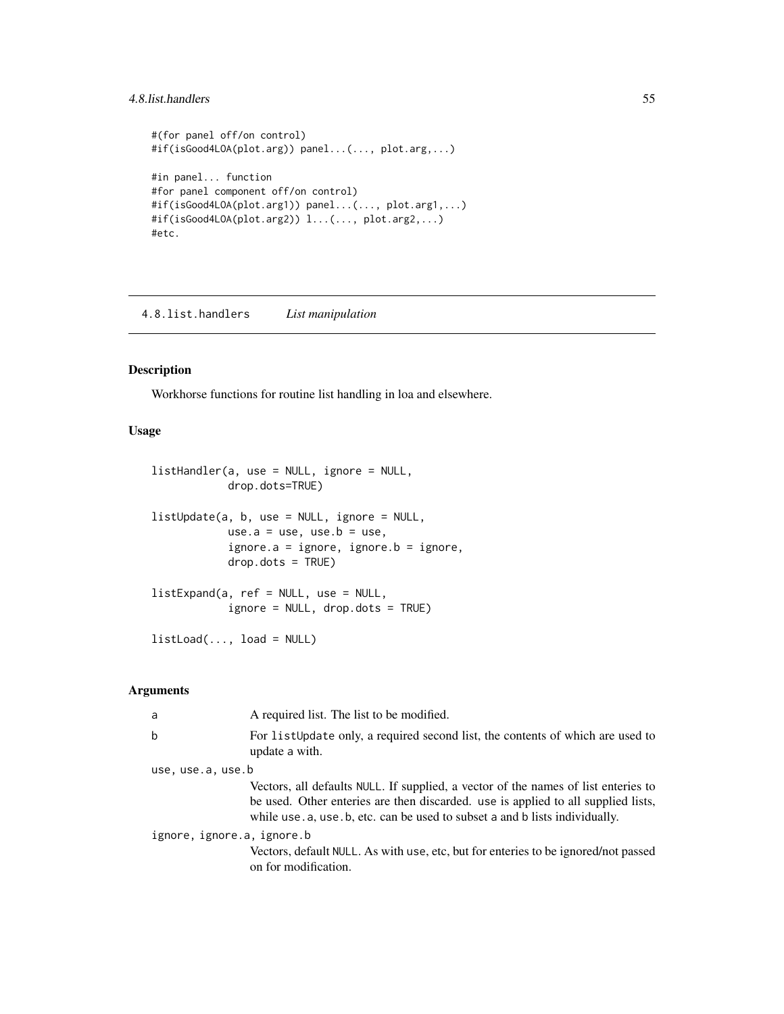### <span id="page-54-0"></span>4.8.list.handlers 55

```
#(for panel off/on control)
#if(isGood4LOA(plot.arg)) panel...(..., plot.arg,...)
#in panel... function
#for panel component off/on control)
#if(isGood4LOA(plot.arg1)) panel...(..., plot.arg1,...)
#if(isGood4LOA(plot.arg2)) l...(..., plot.arg2,...)
#etc.
```
4.8.list.handlers *List manipulation*

### <span id="page-54-1"></span>Description

Workhorse functions for routine list handling in loa and elsewhere.

### Usage

```
listHandler(a, use = NULL, ignore = NULL,
            drop.dots=TRUE)
listUpdate(a, b, use = NULL, ignore = NULL,
            use.a = use, use.b = use,
            ignore.a = ignore, ignore.b = ignore,
            drop.dots = TRUE)
listExpand(a, ref = NULL, use = NULL,
            ignore = NULL, drop.dots = TRUE)
listLoad(..., load = NULL)
```
### Arguments

| a                          | A required list. The list to be modified.                                                                                                                                                                                                             |
|----------------------------|-------------------------------------------------------------------------------------------------------------------------------------------------------------------------------------------------------------------------------------------------------|
| b                          | For list Update only, a required second list, the contents of which are used to<br>update a with.                                                                                                                                                     |
| use, use.a, use.b          |                                                                                                                                                                                                                                                       |
|                            | Vectors, all defaults NULL. If supplied, a vector of the names of list enteries to<br>be used. Other enteries are then discarded, use is applied to all supplied lists,<br>while use a, use b, etc. can be used to subset a and b lists individually. |
| ignore, ignore.a, ignore.b |                                                                                                                                                                                                                                                       |
|                            | Vectors, default NULL. As with use, etc, but for enteries to be ignored/not passed<br>on for modification.                                                                                                                                            |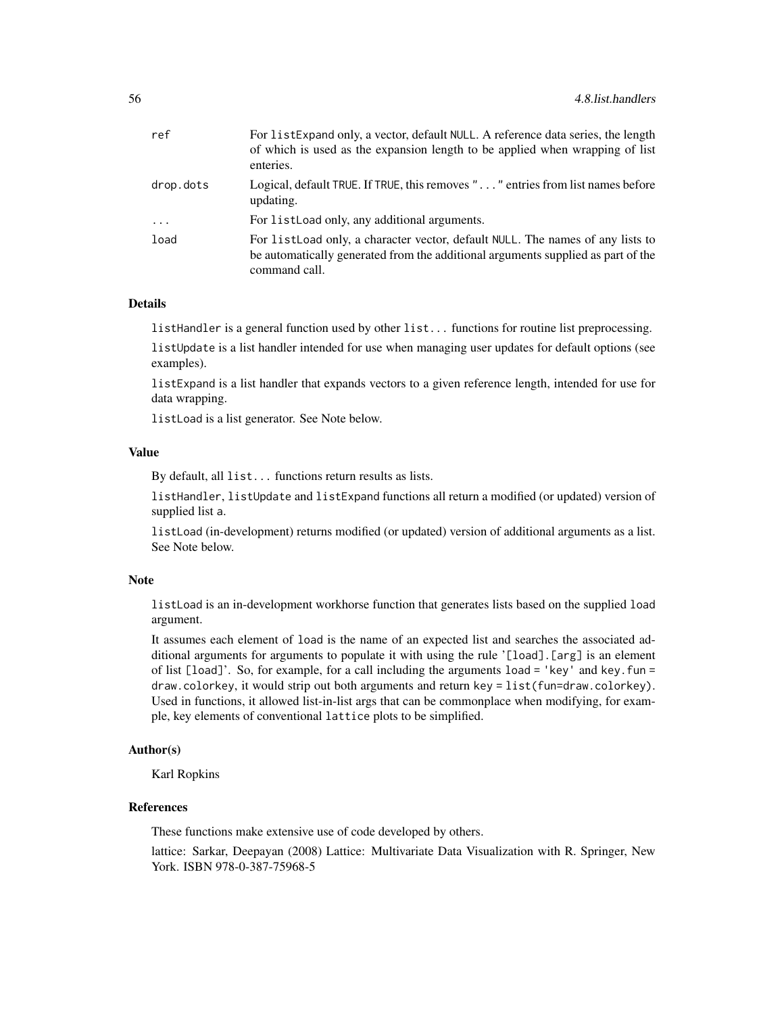| ref       | For listExpand only, a vector, default NULL. A reference data series, the length<br>of which is used as the expansion length to be applied when wrapping of list<br>enteries.        |
|-----------|--------------------------------------------------------------------------------------------------------------------------------------------------------------------------------------|
| drop.dots | Logical, default TRUE. If TRUE, this removes "" entries from list names before<br>updating.                                                                                          |
| $\cdots$  | For list Load only, any additional arguments.                                                                                                                                        |
| load      | For list Load only, a character vector, default NULL. The names of any lists to<br>be automatically generated from the additional arguments supplied as part of the<br>command call. |

### Details

listHandler is a general function used by other list... functions for routine list preprocessing.

listUpdate is a list handler intended for use when managing user updates for default options (see examples).

listExpand is a list handler that expands vectors to a given reference length, intended for use for data wrapping.

listLoad is a list generator. See Note below.

### Value

By default, all list... functions return results as lists.

listHandler, listUpdate and listExpand functions all return a modified (or updated) version of supplied list a.

listLoad (in-development) returns modified (or updated) version of additional arguments as a list. See Note below.

#### Note

listLoad is an in-development workhorse function that generates lists based on the supplied load argument.

It assumes each element of load is the name of an expected list and searches the associated additional arguments for arguments to populate it with using the rule '[load].[arg] is an element of list [load]'. So, for example, for a call including the arguments load = 'key' and key.fun = draw.colorkey, it would strip out both arguments and return key = list(fun=draw.colorkey). Used in functions, it allowed list-in-list args that can be commonplace when modifying, for example, key elements of conventional lattice plots to be simplified.

#### Author(s)

Karl Ropkins

#### **References**

These functions make extensive use of code developed by others.

lattice: Sarkar, Deepayan (2008) Lattice: Multivariate Data Visualization with R. Springer, New York. ISBN 978-0-387-75968-5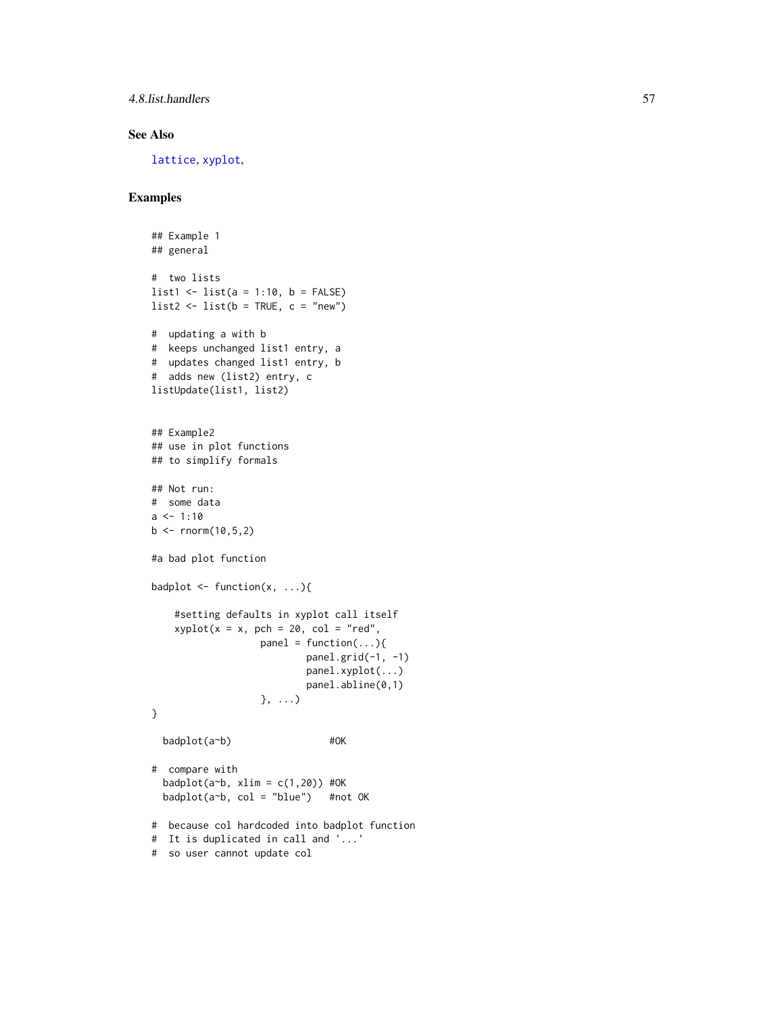### <span id="page-56-0"></span>4.8.list.handlers 57

### See Also

[lattice](#page-0-0), [xyplot](#page-0-0),

### Examples

```
## Example 1
## general
# two lists
list1 \leftarrow list(a = 1:10, b = FALSE)
list2 \leftarrow list(b = TRUE, c = "new")# updating a with b
# keeps unchanged list1 entry, a
# updates changed list1 entry, b
# adds new (list2) entry, c
listUpdate(list1, list2)
## Example2
## use in plot functions
## to simplify formals
## Not run:
# some data
a \le -1:10b \le - rnorm(10,5,2)
#a bad plot function
badplot \leq function(x, ...){
    #setting defaults in xyplot call itself
    xyplot(x = x, pch = 20, col = "red",panel = function(...){}panel.grid(-1, -1)
                           panel.xyplot(...)
                           panel.abline(0,1)
                   }, ...)
}
  badplot(a~b) #OK
# compare with
  badplot(a~b, xlim = c(1, 20)) #OK
  badplot(a~b, col = "blue") #not OK
# because col hardcoded into badplot function
# It is duplicated in call and '...'
# so user cannot update col
```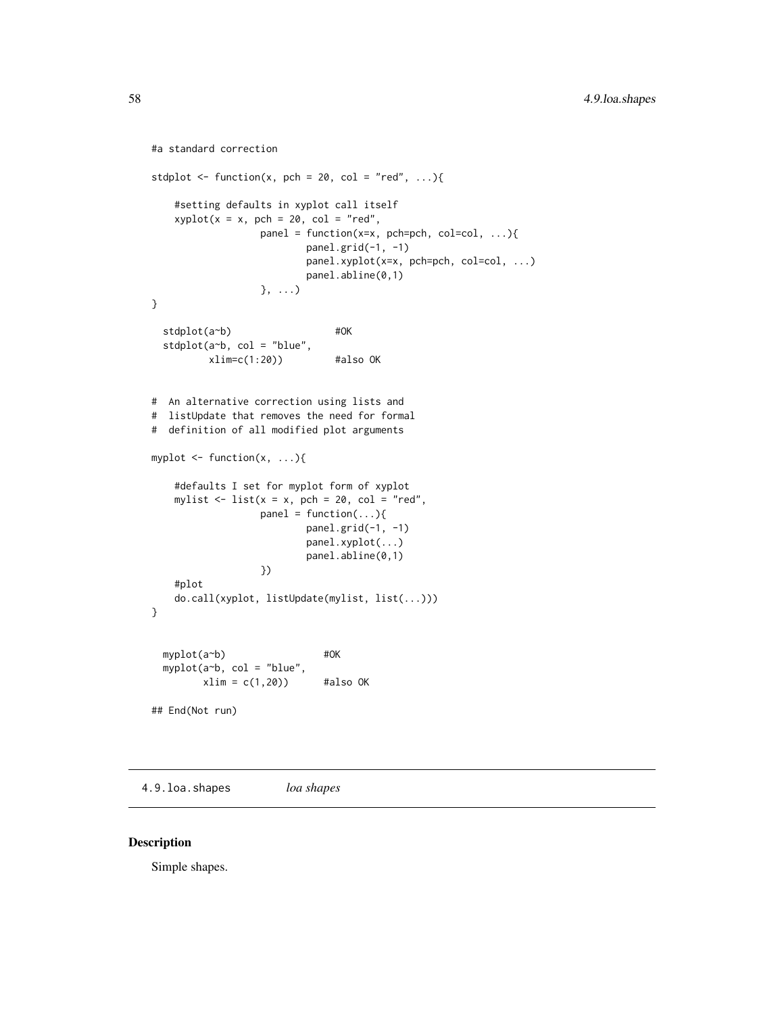```
#a standard correction
stdplot \leq function(x, pch = 20, col = "red", ...){
    #setting defaults in xyplot call itself
   xyplot(x = x, pch = 20, col = "red",panel = function(x=x, pch=pch, col=col, ...){
                         panel.grid(-1, -1)
                         panel.xyplot(x=x, pch=pch, col=col, ...)
                         panel.abline(0,1)
                  }, ...)
}
 stdplot(a~b) #OK
 stdplot(a~b, col = "blue",
         xlim=c(1:20) #also OK
# An alternative correction using lists and
# listUpdate that removes the need for formal
# definition of all modified plot arguments
myplot <- function(x, ...){
    #defaults I set for myplot form of xyplot
   mylist \le list(x = x, pch = 20, col = "red",
                  panel = function(...){}panel.grid(-1, -1)
                         panel.xyplot(...)
                         panel.abline(0,1)
                  })
    #plot
    do.call(xyplot, listUpdate(mylist, list(...)))
}
 myplot(a~b) #OK
 myplot(a~b, col = "blue",
        xlim = c(1,20) #also OK
## End(Not run)
```
4.9.loa.shapes *loa shapes*

### <span id="page-57-1"></span>Description

Simple shapes.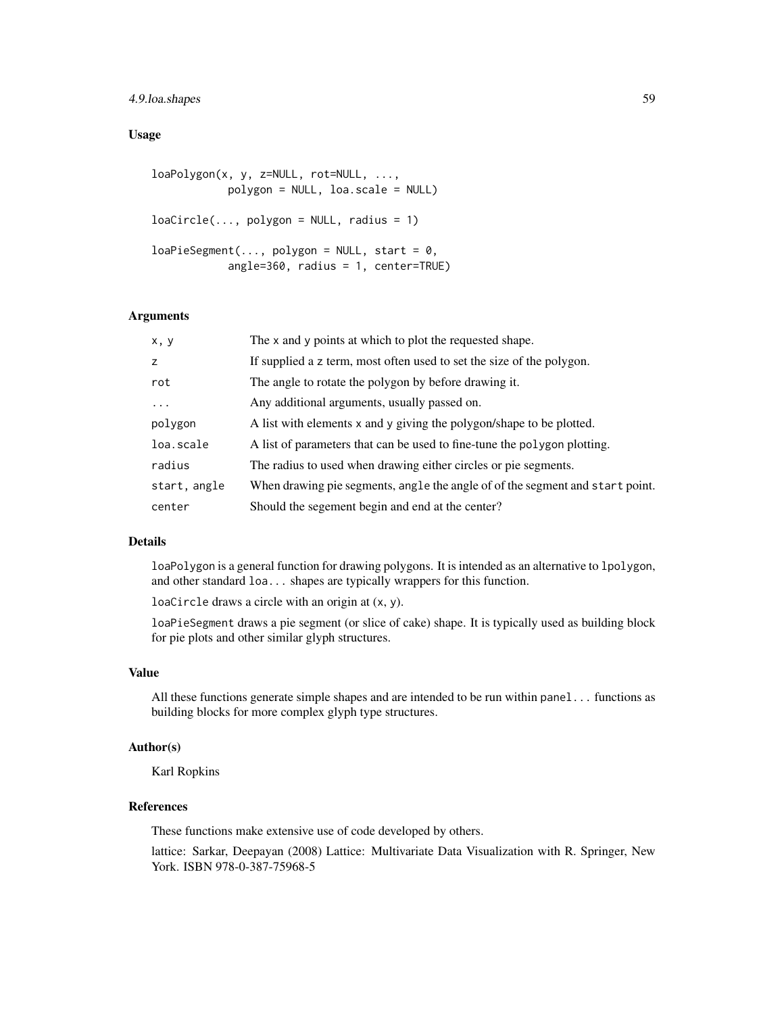### 4.9.loa.shapes 59

### Usage

```
loaPolygon(x, y, z=NULL, rot=NULL, ...,
           polygon = NULL, loa.scale = NULL)
loacircle(..., polygon = NULL, radius = 1)loaPieSegment(..., polygon = NULL, start = 0,angle=360, radius = 1, center=TRUE)
```
### Arguments

| x, y         | The x and y points at which to plot the requested shape.                      |
|--------------|-------------------------------------------------------------------------------|
| z            | If supplied a z term, most often used to set the size of the polygon.         |
| rot          | The angle to rotate the polygon by before drawing it.                         |
| $\ddots$     | Any additional arguments, usually passed on.                                  |
| polygon      | A list with elements x and y giving the polygon/shape to be plotted.          |
| loa.scale    | A list of parameters that can be used to fine-tune the polygon plotting.      |
| radius       | The radius to used when drawing either circles or pie segments.               |
| start, angle | When drawing pie segments, angle the angle of of the segment and start point. |
| center       | Should the segement begin and end at the center?                              |

### Details

loaPolygon is a general function for drawing polygons. It is intended as an alternative to lpolygon, and other standard loa... shapes are typically wrappers for this function.

loaCircle draws a circle with an origin at (x, y).

loaPieSegment draws a pie segment (or slice of cake) shape. It is typically used as building block for pie plots and other similar glyph structures.

#### Value

All these functions generate simple shapes and are intended to be run within panel... functions as building blocks for more complex glyph type structures.

### Author(s)

Karl Ropkins

#### References

These functions make extensive use of code developed by others.

lattice: Sarkar, Deepayan (2008) Lattice: Multivariate Data Visualization with R. Springer, New York. ISBN 978-0-387-75968-5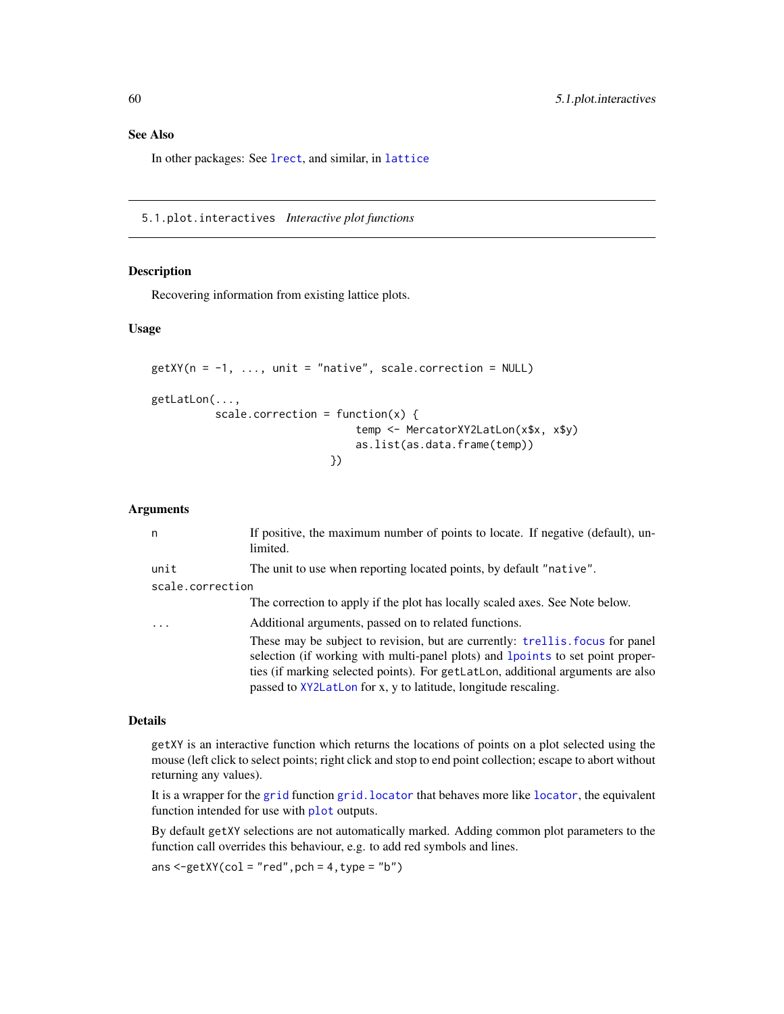In other packages: See [lrect](#page-0-0), and similar, in [lattice](#page-0-0)

5.1.plot.interactives *Interactive plot functions*

#### <span id="page-59-1"></span>Description

Recovering information from existing lattice plots.

### Usage

```
getXY(n = -1, ..., unit = "native", scale-correction = NULL)getLatLon(...,
          scale.correction = function(x) {
                                temp <- MercatorXY2LatLon(x$x, x$y)
                                as.list(as.data.frame(temp))
                            })
```
### Arguments

| n                | If positive, the maximum number of points to locate. If negative (default), un-<br>limited.                                                                                                                                                                                                                           |
|------------------|-----------------------------------------------------------------------------------------------------------------------------------------------------------------------------------------------------------------------------------------------------------------------------------------------------------------------|
| unit             | The unit to use when reporting located points, by default "native".                                                                                                                                                                                                                                                   |
| scale.correction |                                                                                                                                                                                                                                                                                                                       |
|                  | The correction to apply if the plot has locally scaled axes. See Note below.                                                                                                                                                                                                                                          |
| .                | Additional arguments, passed on to related functions.                                                                                                                                                                                                                                                                 |
|                  | These may be subject to revision, but are currently: trellis, focus for panel<br>selection (if working with multi-panel plots) and 1 points to set point proper-<br>ties (if marking selected points). For getLatLon, additional arguments are also<br>passed to XY2LatLon for x, y to latitude, longitude rescaling. |

### Details

getXY is an interactive function which returns the locations of points on a plot selected using the mouse (left click to select points; right click and stop to end point collection; escape to abort without returning any values).

It is a wrapper for the [grid](#page-0-0) function grid. [locator](#page-0-0) that behaves more like locator, the equivalent function intended for use with [plot](#page-0-0) outputs.

By default getXY selections are not automatically marked. Adding common plot parameters to the function call overrides this behaviour, e.g. to add red symbols and lines.

```
ans \leq-getXY(col = "red", pch = 4, type = "b")
```
<span id="page-59-0"></span>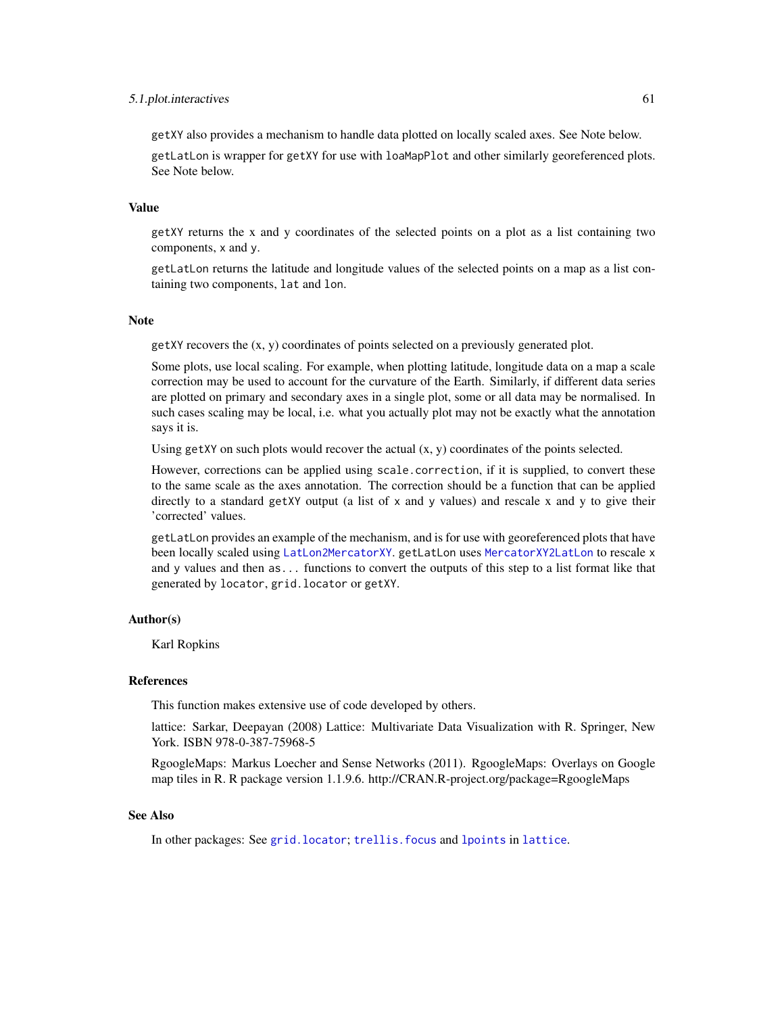#### <span id="page-60-0"></span>5.1.plot.interactives 61

getXY also provides a mechanism to handle data plotted on locally scaled axes. See Note below.

getLatLon is wrapper for getXY for use with loaMapPlot and other similarly georeferenced plots. See Note below.

#### Value

getXY returns the x and y coordinates of the selected points on a plot as a list containing two components, x and y.

getLatLon returns the latitude and longitude values of the selected points on a map as a list containing two components, lat and lon.

### Note

getXY recovers the (x, y) coordinates of points selected on a previously generated plot.

Some plots, use local scaling. For example, when plotting latitude, longitude data on a map a scale correction may be used to account for the curvature of the Earth. Similarly, if different data series are plotted on primary and secondary axes in a single plot, some or all data may be normalised. In such cases scaling may be local, i.e. what you actually plot may not be exactly what the annotation says it is.

Using getXY on such plots would recover the actual  $(x, y)$  coordinates of the points selected.

However, corrections can be applied using scale.correction, if it is supplied, to convert these to the same scale as the axes annotation. The correction should be a function that can be applied directly to a standard getXY output (a list of  $x$  and  $y$  values) and rescale  $x$  and  $y$  to give their 'corrected' values.

getLatLon provides an example of the mechanism, and is for use with georeferenced plots that have been locally scaled using [LatLon2MercatorXY](#page-7-1). getLatLon uses [MercatorXY2LatLon](#page-7-1) to rescale x and y values and then as... functions to convert the outputs of this step to a list format like that generated by locator, grid.locator or getXY.

### Author(s)

Karl Ropkins

#### **References**

This function makes extensive use of code developed by others.

lattice: Sarkar, Deepayan (2008) Lattice: Multivariate Data Visualization with R. Springer, New York. ISBN 978-0-387-75968-5

RgoogleMaps: Markus Loecher and Sense Networks (2011). RgoogleMaps: Overlays on Google map tiles in R. R package version 1.1.9.6. http://CRAN.R-project.org/package=RgoogleMaps

#### See Also

In other packages: See [grid.locator](#page-0-0); [trellis.focus](#page-0-0) and [lpoints](#page-0-0) in [lattice](#page-0-0).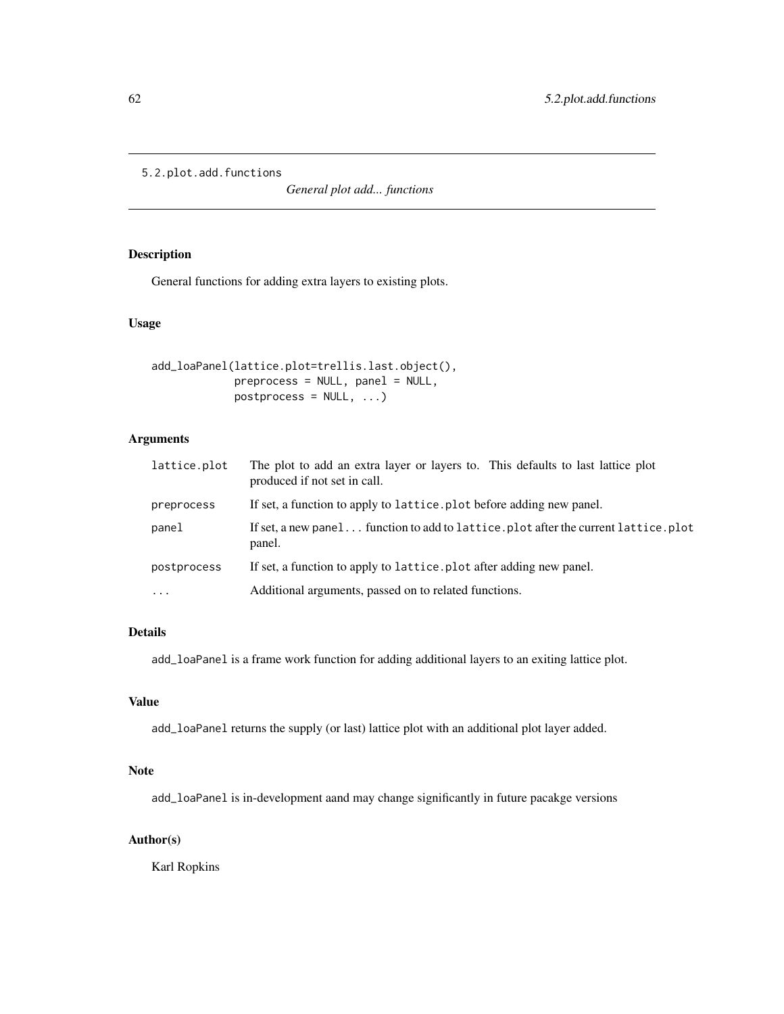```
5.2.plot.add.functions
```
*General plot add... functions*

### Description

General functions for adding extra layers to existing plots.

### Usage

```
add_loaPanel(lattice.plot=trellis.last.object(),
            preprocess = NULL, panel = NULL,
            postprocess = NULL, ...
```
### Arguments

| lattice.plot | The plot to add an extra layer or layers to. This defaults to last lattice plot<br>produced if not set in call. |
|--------------|-----------------------------------------------------------------------------------------------------------------|
| preprocess   | If set, a function to apply to lattice. plot before adding new panel.                                           |
| panel        | If set, a new panel function to add to lattice.plot after the current lattice.plot<br>panel.                    |
| postprocess  | If set, a function to apply to lattice, plot after adding new panel.                                            |
| $\ddotsc$    | Additional arguments, passed on to related functions.                                                           |

### Details

add\_loaPanel is a frame work function for adding additional layers to an exiting lattice plot.

### Value

add\_loaPanel returns the supply (or last) lattice plot with an additional plot layer added.

### Note

add\_loaPanel is in-development aand may change significantly in future pacakge versions

### Author(s)

Karl Ropkins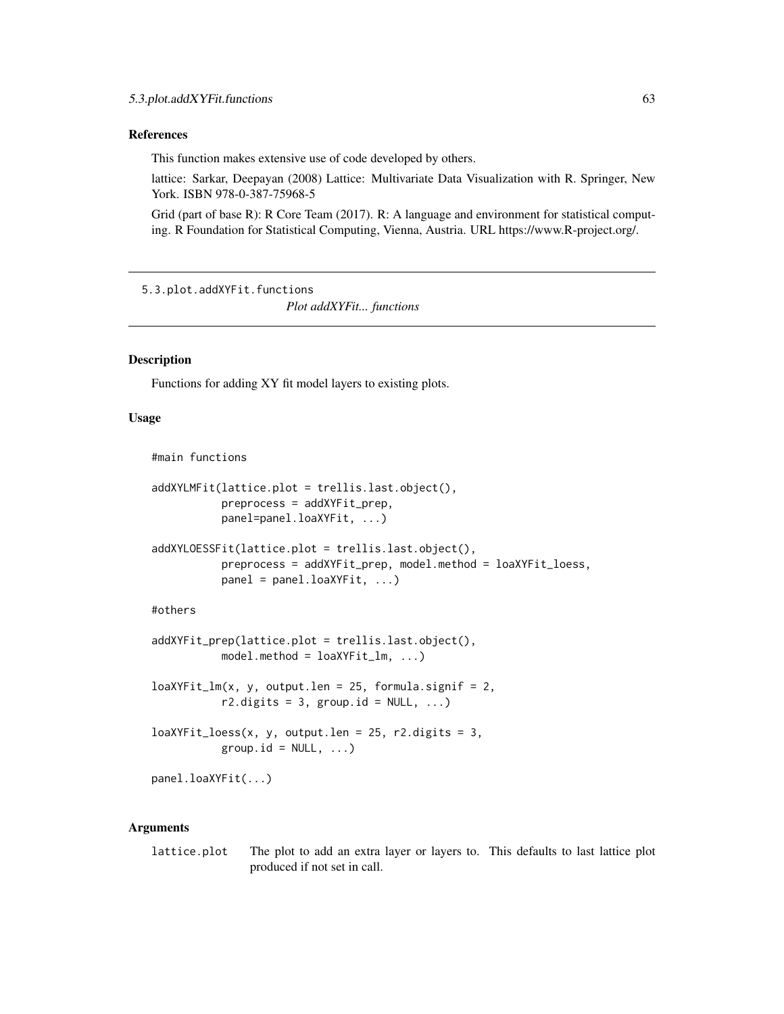#### <span id="page-62-0"></span>References

This function makes extensive use of code developed by others.

lattice: Sarkar, Deepayan (2008) Lattice: Multivariate Data Visualization with R. Springer, New York. ISBN 978-0-387-75968-5

Grid (part of base R): R Core Team (2017). R: A language and environment for statistical computing. R Foundation for Statistical Computing, Vienna, Austria. URL https://www.R-project.org/.

5.3.plot.addXYFit.functions

*Plot addXYFit... functions*

### **Description**

Functions for adding XY fit model layers to existing plots.

### Usage

#main functions

```
addXYLMFit(lattice.plot = trellis.last.object(),
           preprocess = addXYFit_prep,
          panel=panel.loaXYFit, ...)
```

```
addXYLOESSFit(lattice.plot = trellis.last.object(),
           preprocess = addXYFit_prep, model.method = loaXYFit_loess,
          panel = panel.loaXYFit, ...)
```
#### #others

```
addXYFit_prep(lattice.plot = trellis.last.object(),
          model.method = loaXYFit_l, ...)
```

```
loaXYFit_lm(x, y, output.1en = 25, formula.signif = 2,r2.digits = 3, group.id = NULL, ...)
```
 $loaXYFit\_loess(x, y, output.1en = 25, r2. digits = 3,$ group.id =  $NULL, ...)$ 

panel.loaXYFit(...)

### Arguments

lattice.plot The plot to add an extra layer or layers to. This defaults to last lattice plot produced if not set in call.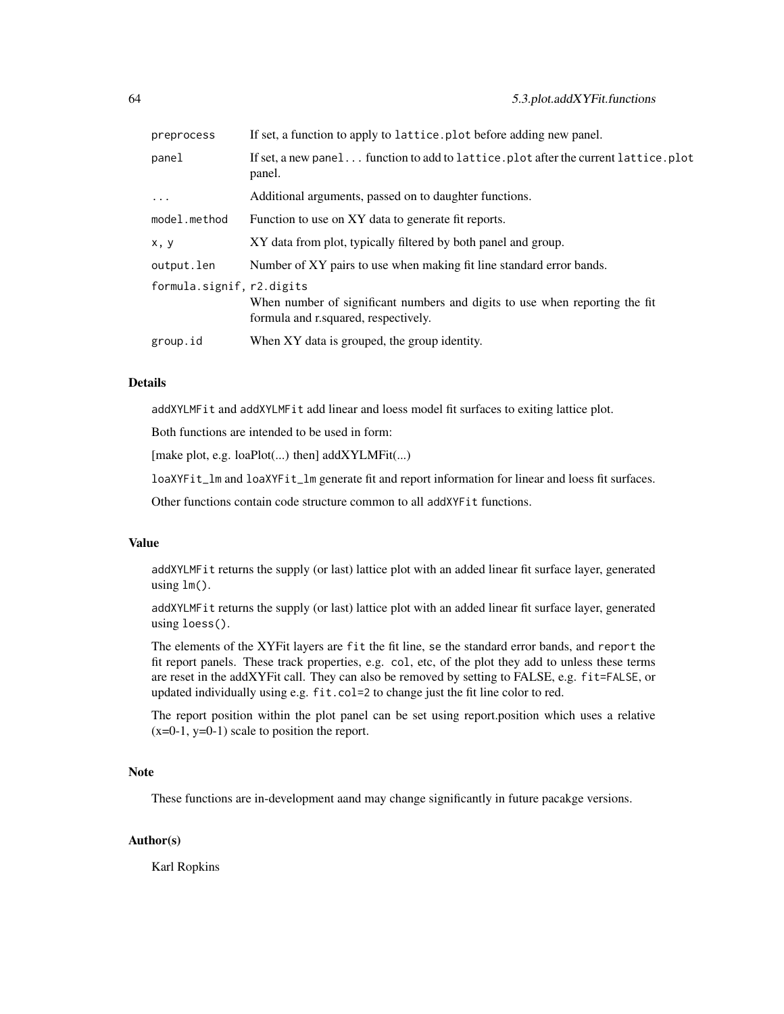| preprocess                | If set, a function to apply to lattice. plot before adding new panel.                                               |
|---------------------------|---------------------------------------------------------------------------------------------------------------------|
| panel                     | If set, a new panel function to add to lattice.plot after the current lattice.plot<br>panel.                        |
| $\ddots$ .                | Additional arguments, passed on to daughter functions.                                                              |
| model.method              | Function to use on XY data to generate fit reports.                                                                 |
| x, y                      | XY data from plot, typically filtered by both panel and group.                                                      |
| output.len                | Number of XY pairs to use when making fit line standard error bands.                                                |
| formula.signif, r2.digits | When number of significant numbers and digits to use when reporting the fit<br>formula and r.squared, respectively. |
| group.id                  | When XY data is grouped, the group identity.                                                                        |
|                           |                                                                                                                     |

### Details

addXYLMFit and addXYLMFit add linear and loess model fit surfaces to exiting lattice plot.

Both functions are intended to be used in form:

[make plot, e.g. loaPlot(...) then] addXYLMFit(...)

loaXYFit\_lm and loaXYFit\_lm generate fit and report information for linear and loess fit surfaces.

Other functions contain code structure common to all addXYFit functions.

### Value

addXYLMFit returns the supply (or last) lattice plot with an added linear fit surface layer, generated using lm().

addXYLMFit returns the supply (or last) lattice plot with an added linear fit surface layer, generated using loess().

The elements of the XYFit layers are fit the fit line, se the standard error bands, and report the fit report panels. These track properties, e.g. col, etc, of the plot they add to unless these terms are reset in the addXYFit call. They can also be removed by setting to FALSE, e.g. fit=FALSE, or updated individually using e.g. fit.col=2 to change just the fit line color to red.

The report position within the plot panel can be set using report.position which uses a relative  $(x=0-1, y=0-1)$  scale to position the report.

### Note

These functions are in-development aand may change significantly in future pacakge versions.

### Author(s)

Karl Ropkins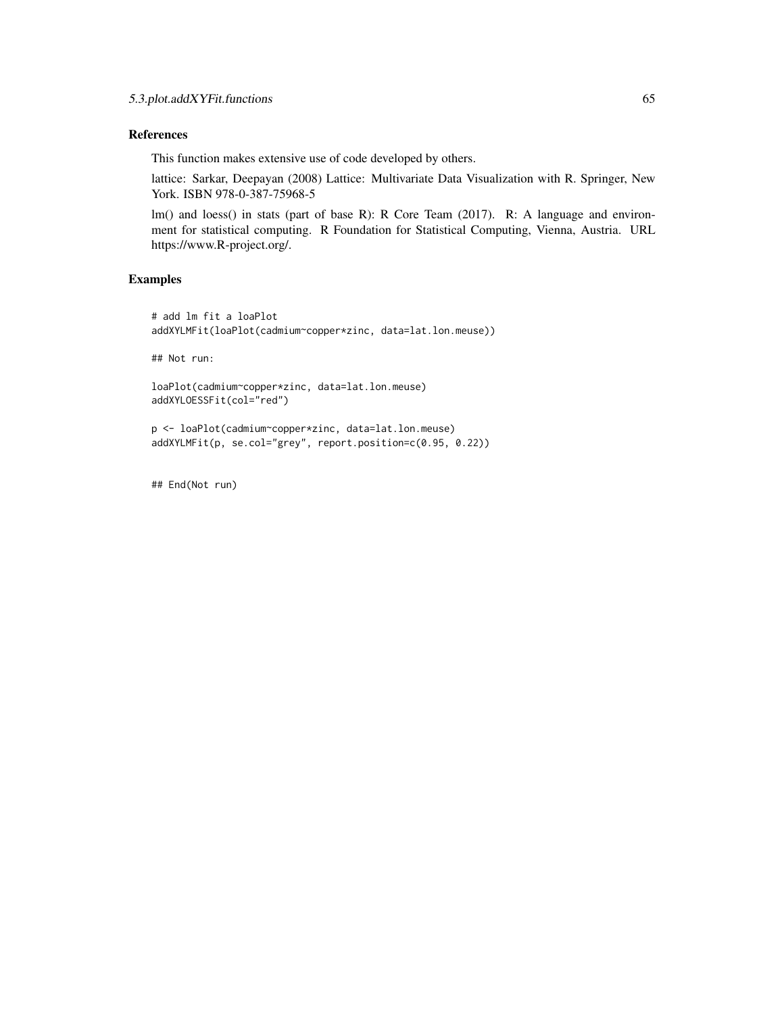### References

This function makes extensive use of code developed by others.

lattice: Sarkar, Deepayan (2008) Lattice: Multivariate Data Visualization with R. Springer, New York. ISBN 978-0-387-75968-5

lm() and loess() in stats (part of base R): R Core Team (2017). R: A language and environment for statistical computing. R Foundation for Statistical Computing, Vienna, Austria. URL https://www.R-project.org/.

### Examples

```
# add lm fit a loaPlot
addXYLMFit(loaPlot(cadmium~copper*zinc, data=lat.lon.meuse))
```
## Not run:

```
loaPlot(cadmium~copper*zinc, data=lat.lon.meuse)
addXYLOESSFit(col="red")
```

```
p <- loaPlot(cadmium~copper*zinc, data=lat.lon.meuse)
addXYLMFit(p, se.col="grey", report.position=c(0.95, 0.22))
```
## End(Not run)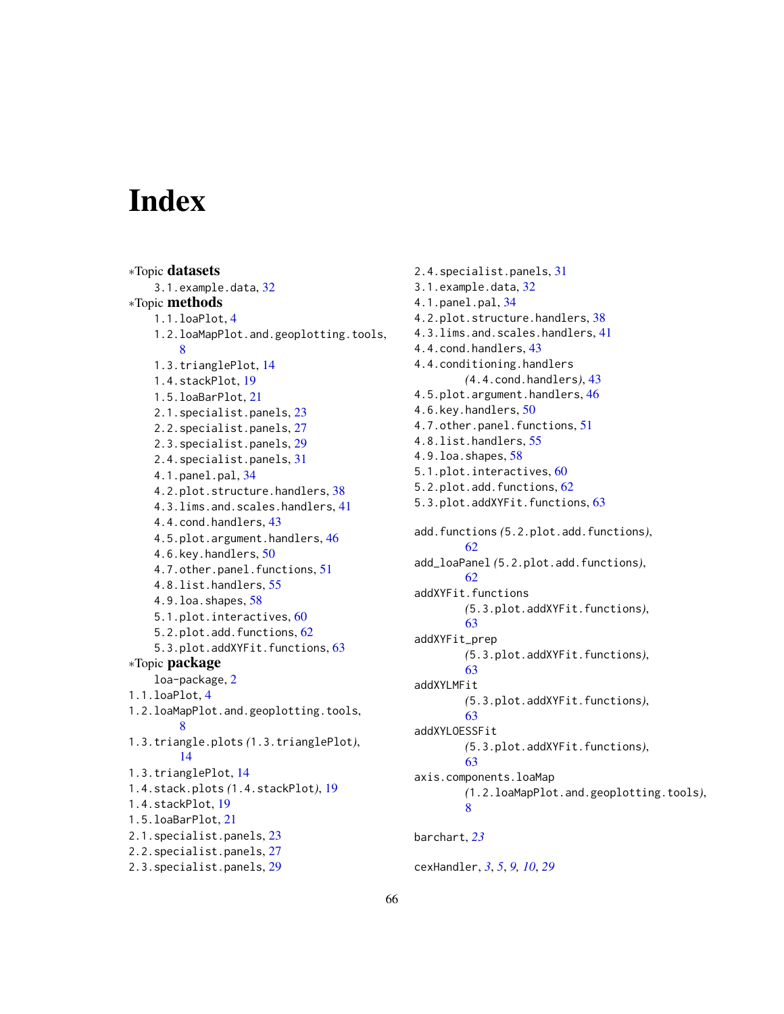# <span id="page-65-0"></span>**Index**

```
∗Topic datasets
    3.1.example.data, 32
∗Topic methods
    1.1.loaPlot, 4
    1.2.loaMapPlot.and.geoplotting.tools,
        8
    1.3.trianglePlot, 14
    1.4.stackPlot, 19
    1.5.loaBarPlot, 21
    2.1.specialist.panels, 23
    2.2.specialist.panels, 27
    2.3.specialist.panels, 29
    2.4.specialist.panels, 31
    4.1.panel.pal, 34
    4.2.plot.structure.handlers, 38
    4.3.lims.and.scales.handlers, 41
    4.4.cond.handlers, 43
    4.5.plot.argument.handlers, 46
    4.6.key.handlers, 50
    4.7.other.panel.functions, 51
    4.8.list.handlers, 55
    4.9.loa.shapes, 58
    5.1.plot.interactives, 60
    5.2.plot.add.functions, 62
    5.3.plot.addXYFit.functions, 63
∗Topic package
    loa-package, 2
1.1.loaPlot, 4
1.2.loaMapPlot.and.geoplotting.tools,
        8
1.3.triangle.plots (1.3.trianglePlot),
        14
1.3.trianglePlot, 14
1.4.stack.plots (1.4.stackPlot), 19
1.4.stackPlot, 19
1.5.loaBarPlot, 21
2.1.specialist.panels, 23
2.2.specialist.panels, 27
2.3.specialist.panels, 29
```
2.4.specialist.panels, [31](#page-30-0) 3.1.example.data, [32](#page-31-0) 4.1.panel.pal, [34](#page-33-0) 4.2.plot.structure.handlers, [38](#page-37-0) 4.3.lims.and.scales.handlers, [41](#page-40-0) 4.4.cond.handlers, [43](#page-42-0) 4.4.conditioning.handlers *(*4.4.cond.handlers*)*, [43](#page-42-0) 4.5.plot.argument.handlers, [46](#page-45-0) 4.6.key.handlers, [50](#page-49-0) 4.7.other.panel.functions, [51](#page-50-0) 4.8.list.handlers, [55](#page-54-0) 4.9.loa.shapes, [58](#page-57-0) 5.1.plot.interactives, [60](#page-59-0) 5.2.plot.add.functions, [62](#page-61-0) 5.3.plot.addXYFit.functions, [63](#page-62-0) add.functions *(*5.2.plot.add.functions*)*, [62](#page-61-0) add\_loaPanel *(*5.2.plot.add.functions*)*, [62](#page-61-0) addXYFit.functions *(*5.3.plot.addXYFit.functions*)*, [63](#page-62-0) addXYFit\_prep *(*5.3.plot.addXYFit.functions*)*, [63](#page-62-0) addXYLMFit *(*5.3.plot.addXYFit.functions*)*, [63](#page-62-0) addXYLOESSFit *(*5.3.plot.addXYFit.functions*)*, [63](#page-62-0) axis.components.loaMap *(*1.2.loaMapPlot.and.geoplotting.tools*)*, [8](#page-7-0) barchart, *[23](#page-22-0)* cexHandler, *[3](#page-2-0)*, *[5](#page-4-0)*, *[9,](#page-8-0) [10](#page-9-0)*, *[29](#page-28-0)*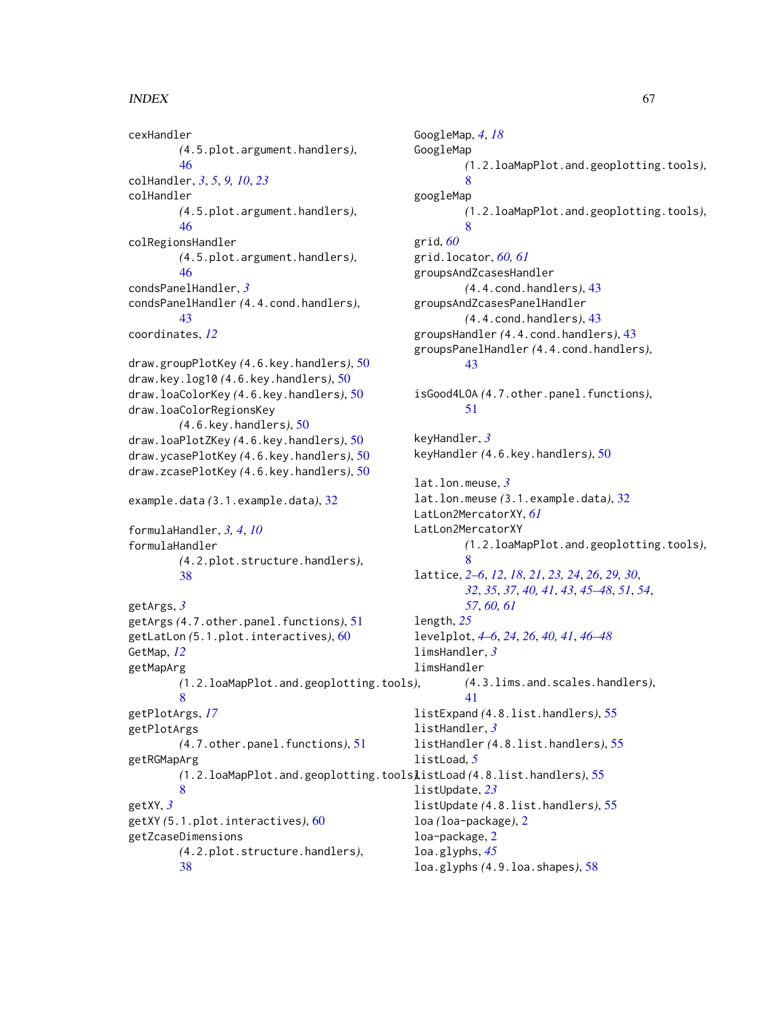### INDEX  $67$

cexHandler *(*4.5.plot.argument.handlers*)*, [46](#page-45-0) colHandler, *[3](#page-2-0)*, *[5](#page-4-0)*, *[9,](#page-8-0) [10](#page-9-0)*, *[23](#page-22-0)* colHandler *(*4.5.plot.argument.handlers*)*, [46](#page-45-0) colRegionsHandler *(*4.5.plot.argument.handlers*)*, [46](#page-45-0) condsPanelHandler, *[3](#page-2-0)* condsPanelHandler *(*4.4.cond.handlers*)*, [43](#page-42-0) coordinates, *[12](#page-11-0)* draw.groupPlotKey *(*4.6.key.handlers*)*, [50](#page-49-0) draw.key.log10 *(*4.6.key.handlers*)*, [50](#page-49-0) draw.loaColorKey *(*4.6.key.handlers*)*, [50](#page-49-0) draw.loaColorRegionsKey *(*4.6.key.handlers*)*, [50](#page-49-0) draw.loaPlotZKey *(*4.6.key.handlers*)*, [50](#page-49-0) draw.ycasePlotKey *(*4.6.key.handlers*)*, [50](#page-49-0) draw.zcasePlotKey *(*4.6.key.handlers*)*, [50](#page-49-0) example.data *(*3.1.example.data*)*, [32](#page-31-0) formulaHandler, *[3,](#page-2-0) [4](#page-3-0)*, *[10](#page-9-0)* formulaHandler *(*4.2.plot.structure.handlers*)*, [38](#page-37-0) getArgs, *[3](#page-2-0)* getArgs *(*4.7.other.panel.functions*)*, [51](#page-50-0) getLatLon *(*5.1.plot.interactives*)*, [60](#page-59-0) GetMap, *[12](#page-11-0)* getMapArg *(*1.2.loaMapPlot.and.geoplotting.tools*)*, [8](#page-7-0) getPlotArgs, *[17](#page-16-0)* getPlotArgs *(*4.7.other.panel.functions*)*, [51](#page-50-0) getRGMapArg *(*1.2.loaMapPlot.and.geoplotting.tools*)*, listLoad *(*4.8.list.handlers*)*, [55](#page-54-0) [8](#page-7-0) getXY, *[3](#page-2-0)* getXY *(*5.1.plot.interactives*)*, [60](#page-59-0) getZcaseDimensions *(*4.2.plot.structure.handlers*)*,

[38](#page-37-0)

GoogleMap, *[4](#page-3-0)*, *[18](#page-17-0)* GoogleMap *(*1.2.loaMapPlot.and.geoplotting.tools*)*, [8](#page-7-0) googleMap *(*1.2.loaMapPlot.and.geoplotting.tools*)*, [8](#page-7-0) grid, *[60](#page-59-0)* grid.locator, *[60,](#page-59-0) [61](#page-60-0)* groupsAndZcasesHandler *(*4.4.cond.handlers*)*, [43](#page-42-0) groupsAndZcasesPanelHandler *(*4.4.cond.handlers*)*, [43](#page-42-0) groupsHandler *(*4.4.cond.handlers*)*, [43](#page-42-0) groupsPanelHandler *(*4.4.cond.handlers*)*, [43](#page-42-0) isGood4LOA *(*4.7.other.panel.functions*)*, [51](#page-50-0) keyHandler, *[3](#page-2-0)* keyHandler *(*4.6.key.handlers*)*, [50](#page-49-0) lat.lon.meuse, *[3](#page-2-0)* lat.lon.meuse *(*3.1.example.data*)*, [32](#page-31-0) LatLon2MercatorXY, *[61](#page-60-0)* LatLon2MercatorXY *(*1.2.loaMapPlot.and.geoplotting.tools*)*, [8](#page-7-0) lattice, *[2](#page-1-0)[–6](#page-5-0)*, *[12](#page-11-0)*, *[18](#page-17-0)*, *[21](#page-20-0)*, *[23,](#page-22-0) [24](#page-23-0)*, *[26](#page-25-0)*, *[29,](#page-28-0) [30](#page-29-0)*, *[32](#page-31-0)*, *[35](#page-34-0)*, *[37](#page-36-0)*, *[40,](#page-39-0) [41](#page-40-0)*, *[43](#page-42-0)*, *[45](#page-44-0)[–48](#page-47-0)*, *[51](#page-50-0)*, *[54](#page-53-0)*, *[57](#page-56-0)*, *[60,](#page-59-0) [61](#page-60-0)* length, *[25](#page-24-0)* levelplot, *[4](#page-3-0)[–6](#page-5-0)*, *[24](#page-23-0)*, *[26](#page-25-0)*, *[40,](#page-39-0) [41](#page-40-0)*, *[46](#page-45-0)[–48](#page-47-0)* limsHandler, *[3](#page-2-0)* limsHandler *(*4.3.lims.and.scales.handlers*)*, [41](#page-40-0) listExpand *(*4.8.list.handlers*)*, [55](#page-54-0) listHandler, *[3](#page-2-0)* listHandler *(*4.8.list.handlers*)*, [55](#page-54-0) listLoad, *[5](#page-4-0)* listUpdate, *[23](#page-22-0)* listUpdate *(*4.8.list.handlers*)*, [55](#page-54-0) loa *(*loa-package*)*, [2](#page-1-0) loa-package, [2](#page-1-0) loa.glyphs, *[45](#page-44-0)* loa.glyphs *(*4.9.loa.shapes*)*, [58](#page-57-0)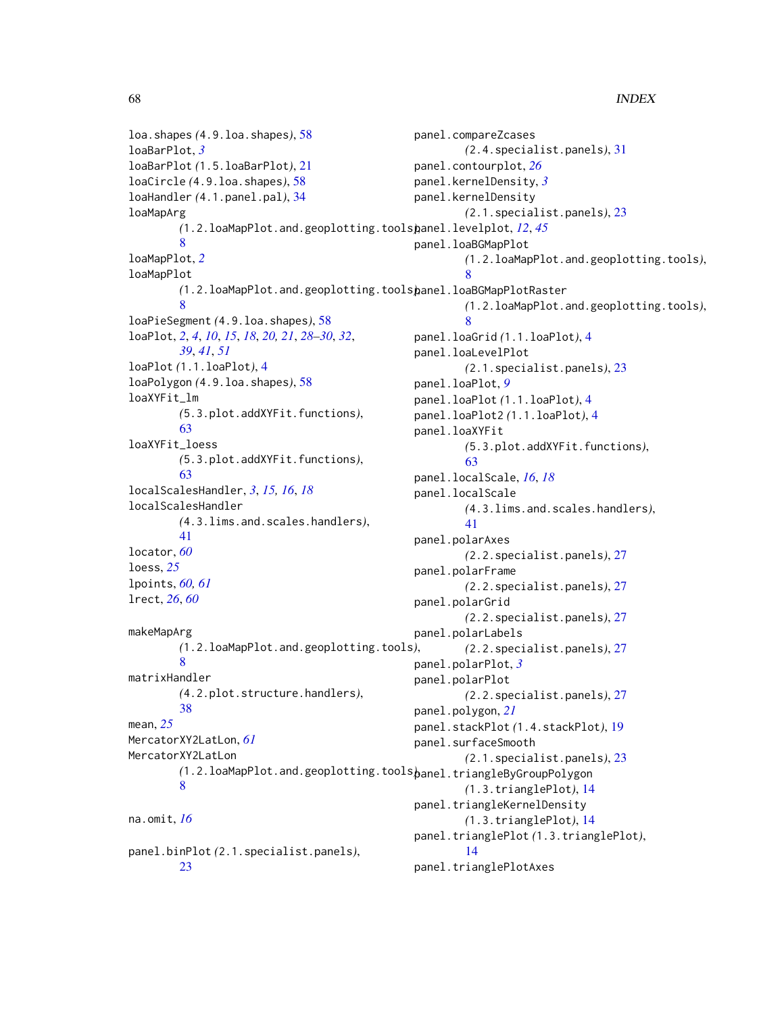loa.shapes *(*4.9.loa.shapes*)*, [58](#page-57-0) loaBarPlot, *[3](#page-2-0)* loaBarPlot *(*1.5.loaBarPlot*)*, [21](#page-20-0) loaCircle *(*4.9.loa.shapes*)*, [58](#page-57-0) loaHandler *(*4.1.panel.pal*)*, [34](#page-33-0) loaMapArg *(*1.2.loaMapPlot.and.geoplotting.tools*)*, panel.levelplot, *[12](#page-11-0)*, *[45](#page-44-0)* **Q** loaMapPlot, *[2](#page-1-0)* loaMapPlot *(*1.2.loaMapPlot.and.geoplotting.tools*)*, panel.loaBGMapPlotRaster [8](#page-7-0) loaPieSegment *(*4.9.loa.shapes*)*, [58](#page-57-0) loaPlot, *[2](#page-1-0)*, *[4](#page-3-0)*, *[10](#page-9-0)*, *[15](#page-14-0)*, *[18](#page-17-0)*, *[20,](#page-19-0) [21](#page-20-0)*, *[28–](#page-27-0)[30](#page-29-0)*, *[32](#page-31-0)*, *[39](#page-38-0)*, *[41](#page-40-0)*, *[51](#page-50-0)* loaPlot *(*1.1.loaPlot*)*, [4](#page-3-0) loaPolygon *(*4.9.loa.shapes*)*, [58](#page-57-0) loaXYFit\_lm *(*5.3.plot.addXYFit.functions*)*, [63](#page-62-0) loaXYFit\_loess *(*5.3.plot.addXYFit.functions*)*, [63](#page-62-0) localScalesHandler, *[3](#page-2-0)*, *[15,](#page-14-0) [16](#page-15-0)*, *[18](#page-17-0)* localScalesHandler *(*4.3.lims.and.scales.handlers*)*, [41](#page-40-0) locator, *[60](#page-59-0)* loess, *[25](#page-24-0)* lpoints, *[60,](#page-59-0) [61](#page-60-0)* lrect, *[26](#page-25-0)*, *[60](#page-59-0)* makeMapArg *(*1.2.loaMapPlot.and.geoplotting.tools*)*, [8](#page-7-0) matrixHandler *(*4.2.plot.structure.handlers*)*, [38](#page-37-0) mean, *[25](#page-24-0)* MercatorXY2LatLon, *[61](#page-60-0)* MercatorXY2LatLon *(*1.2.loaMapPlot.and.geoplotting.tools*)*, panel.triangleByGroupPolygon [8](#page-7-0) na.omit, *[16](#page-15-0)* panel.binPlot *(*2.1.specialist.panels*)*, [23](#page-22-0) panel.compareZcases *(*2.4.specialist.panels*)*, [31](#page-30-0) panel.contourplot, *[26](#page-25-0)* panel.kernelDensity, *[3](#page-2-0)* panel.kernelDensity *(*2.1.specialist.panels*)*, [23](#page-22-0) panel.loaBGMapPlot *(*1.2.loaMapPlot.and.geoplotting.tools*)*, [8](#page-7-0) *(*1.2.loaMapPlot.and.geoplotting.tools*)*, [8](#page-7-0) panel.loaGrid *(*1.1.loaPlot*)*, [4](#page-3-0) panel.loaLevelPlot *(*2.1.specialist.panels*)*, [23](#page-22-0) panel.loaPlot, *[9](#page-8-0)* panel.loaPlot *(*1.1.loaPlot*)*, [4](#page-3-0) panel.loaPlot2 *(*1.1.loaPlot*)*, [4](#page-3-0) panel.loaXYFit *(*5.3.plot.addXYFit.functions*)*, [63](#page-62-0) panel.localScale, *[16](#page-15-0)*, *[18](#page-17-0)* panel.localScale *(*4.3.lims.and.scales.handlers*)*, [41](#page-40-0) panel.polarAxes *(*2.2.specialist.panels*)*, [27](#page-26-0) panel.polarFrame *(*2.2.specialist.panels*)*, [27](#page-26-0) panel.polarGrid *(*2.2.specialist.panels*)*, [27](#page-26-0) panel.polarLabels *(*2.2.specialist.panels*)*, [27](#page-26-0) panel.polarPlot, *[3](#page-2-0)* panel.polarPlot *(*2.2.specialist.panels*)*, [27](#page-26-0) panel.polygon, *[21](#page-20-0)* panel.stackPlot *(*1.4.stackPlot*)*, [19](#page-18-0) panel.surfaceSmooth *(*2.1.specialist.panels*)*, [23](#page-22-0) *(*1.3.trianglePlot*)*, [14](#page-13-0) panel.triangleKernelDensity *(*1.3.trianglePlot*)*, [14](#page-13-0) panel.trianglePlot *(*1.3.trianglePlot*)*, [14](#page-13-0) panel.trianglePlotAxes